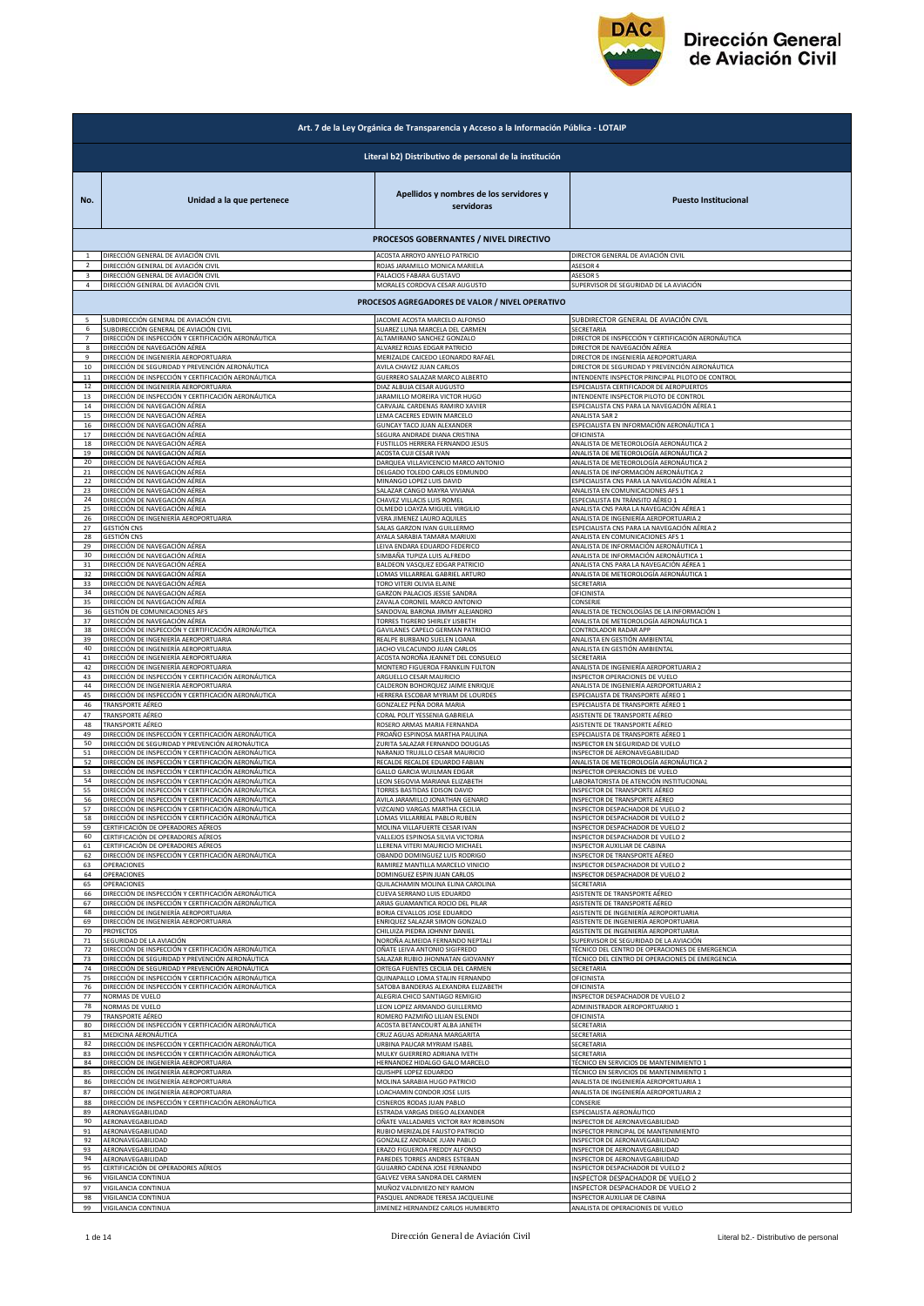

|                          | Art. 7 de la Ley Orgánica de Transparencia y Acceso a la Información Pública - LOTAIP |                                                       |                                                    |  |
|--------------------------|---------------------------------------------------------------------------------------|-------------------------------------------------------|----------------------------------------------------|--|
|                          | Literal b2) Distributivo de personal de la institución                                |                                                       |                                                    |  |
| No.                      | Unidad a la que pertenece                                                             | Apellidos y nombres de los servidores y<br>servidoras | <b>Puesto Institucional</b>                        |  |
|                          |                                                                                       | PROCESOS GOBERNANTES / NIVEL DIRECTIVO                |                                                    |  |
| $\overline{2}$           | DIRECCIÓN GENERAL DE AVIACIÓN CIVIL                                                   | ACOSTA ARROYO ANYELO PATRICIO                         | DIRECTOR GENERAL DE AVIACIÓN CIVIL                 |  |
|                          | DIRECCIÓN GENERAL DE AVIACIÓN CIVIL                                                   | ROJAS JARAMILLO MONICA MARIELA                        | ASESOR 4                                           |  |
| 3                        | DIRECCIÓN GENERAL DE AVIACIÓN CIVIL                                                   | PALACIOS FABARA GUSTAVO                               | ASESOR 5                                           |  |
| 4                        | DIRECCIÓN GENERAL DE AVIACIÓN CIVIL                                                   | MORALES CORDOVA CESAR AUGUSTO                         | SUPERVISOR DE SEGURIDAD DE LA AVIACIÓN             |  |
|                          |                                                                                       | PROCESOS AGREGADORES DE VALOR / NIVEL OPERATIVO       |                                                    |  |
| $\overline{\phantom{a}}$ | SUBDIRECCIÓN GENERAL DE AVIACIÓN CIVIL                                                | JACOME ACOSTA MARCELO ALFONSO                         | SUBDIRECTOR GENERAL DE AVIACIÓN CIVIL              |  |
| 6                        | SUBDIRECCIÓN GENERAL DE AVIACIÓN CIVIL                                                | SUAREZ LUNA MARCELA DEL CARMEN                        | SECRETARIA                                         |  |
| $\overline{7}$           | DIRECCIÓN DE INSPECCIÓN Y CERTIFICACIÓN AERONÁUTICA                                   | ALTAMIRANO SANCHEZ GONZALO                            | DIRECTOR DE INSPECCIÓN Y CERTIFICACIÓN AERONÁUTICA |  |
| 8                        | DIRECCIÓN DE NAVEGACIÓN AÉREA                                                         | ALVAREZ ROJAS EDGAR PATRICIO                          | DIRECTOR DE NAVEGACIÓN AÉREA                       |  |
| $\mathbf{q}$             | DIRECCIÓN DE INGENIERÍA AEROPORTUARIA                                                 | MERIZALDE CAICEDO LEONARDO RAFAEL                     | DIRECTOR DE INGENIERÍA AEROPORTUARIA               |  |
| 10                       | DIRECCIÓN DE SEGURIDAD Y PREVENCIÓN AERONÁUTICA                                       | AVILA CHAVEZ JUAN CARLOS                              | DIRECTOR DE SEGURIDAD Y PREVENCIÓN AERONÁUTICA     |  |
| $11\,$                   | DIRECCIÓN DE INSPECCIÓN Y CERTIFICACIÓN AERONÁUTICA                                   | GUERRERO SALAZAR MARCO ALBERTO                        | INTENDENTE INSPECTOR PRINCIPAL PILOTO DE CONTROL   |  |
| 12                       | DIRECCIÓN DE INGENIERÍA AEROPORTUARIA                                                 | DIAZ ALBUJA CESAR AUGUSTO                             | ESPECIALISTA CERTIFICADOR DE AEROPUERTOS           |  |
| 13                       | DIRECCIÓN DE INSPECCIÓN Y CERTIFICACIÓN AERONÁUTICA                                   | ARAMILLO MOREIRA VICTOR HUGO                          | INTENDENTE INSPECTOR PILOTO DE CONTROL             |  |
| 14                       | DIRECCIÓN DE NAVEGACIÓN AÉREA                                                         | CARVAJAL CARDENAS RAMIRO XAVIER                       | ESPECIALISTA CNS PARA LA NAVEGACIÓN AÉREA 1        |  |
| 15                       | DIRECCIÓN DE NAVEGACIÓN AÉREA                                                         | LEMA CACERES EDWIN MARCELO                            | ANALISTA SAR 2                                     |  |
| 16                       | DIRECCIÓN DE NAVEGACIÓN AÉREA                                                         | GUNCAY TACO JUAN ALEXANDER                            | ESPECIALISTA EN INFORMACIÓN AERONÁUTICA 1          |  |
| 17                       | DIRECCIÓN DE NAVEGACIÓN AÉREA                                                         | SEGURA ANDRADE DIANA CRISTINA                         | OFICINISTA                                         |  |
| 18                       | DIRECCIÓN DE NAVEGACIÓN AÉREA                                                         | FUSTILLOS HERRERA FERNANDO JESUS                      | ANALISTA DE METEOROLOGÍA AERONÁUTICA 2             |  |
| 19                       | DIRECCIÓN DE NAVEGACIÓN AÉREA                                                         | ACOSTA CUJI CESAR IVAN                                | ANALISTA DE METEOROLOGÍA AERONÁUTICA 2             |  |
| 20                       | DIRECCIÓN DE NAVEGACIÓN AÉREA                                                         | DARQUEA VILLAVICENCIO MARCO ANTONIO                   | ANALISTA DE METEOROLOGÍA AERONÁUTICA 2             |  |
| 21                       | DIRECCIÓN DE NAVEGACIÓN AÉREA                                                         | DELGADO TOLEDO CARLOS EDMUNDO                         | ANALISTA DE INFORMACIÓN AERONÁUTICA 2              |  |
| 22                       | DIRECCIÓN DE NAVEGACIÓN AÉREA                                                         | MINANGO LOPEZ LUIS DAVID                              | ESPECIALISTA CNS PARA LA NAVEGACIÓN AÉREA 1        |  |
| 23                       | DIRECCIÓN DE NAVEGACIÓN AÉREA                                                         | SALAZAR CANGO MAYRA VIVIANA                           | ANALISTA EN COMUNICACIONES AFS 1                   |  |
| 24                       | DIRECCIÓN DE NAVEGACIÓN AÉREA                                                         | CHAVEZ VILLACIS LUIS ROMEL                            | ESPECIALISTA EN TRÁNSITO AÉREO 1                   |  |
| 25                       | DIRECCIÓN DE NAVEGACIÓN AÉREA                                                         | OLMEDO LOAYZA MIGUEL VIRGILIO                         | ANALISTA CNS PARA LA NAVEGACIÓN AÉREA 1            |  |
| 26                       | DIRECCIÓN DE INGENIERÍA AEROPORTUARIA                                                 | VERA JIMENEZ LAURO AQUILES                            | ANALISTA DE INGENIERÍA AEROPORTUARIA 2             |  |
| 27                       | GESTIÓN CNS                                                                           | SALAS GARZON IVAN GUILLERMO                           | ESPECIALISTA CNS PARA LA NAVEGACIÓN AÉREA 2        |  |
| 28                       | GESTIÓN CNS                                                                           | AYALA SARABIA TAMARA MARIUXI                          | ANALISTA EN COMUNICACIONES AFS 1                   |  |
| 29                       | DIRECCIÓN DE NAVEGACIÓN AÉREA                                                         | EIVA ENDARA EDUARDO FEDERICO                          | ANALISTA DE INFORMACIÓN AERONÁUTICA 1              |  |
| 30 <sub>o</sub>          | DIRECCIÓN DE NAVEGACIÓN AÉREA                                                         | SIMBAÑA TUPIZA LUIS ALFREDO                           | ANALISTA DE INFORMACIÓN AERONÁUTICA 1              |  |
| 31                       | DIRECCIÓN DE NAVEGACIÓN AÉREA                                                         | BALDEON VASQUEZ EDGAR PATRICIO                        | ANALISTA CNS PARA LA NAVEGACIÓN AÉREA 1            |  |
| 32                       | DIRECCIÓN DE NAVEGACIÓN AÉREA                                                         | OMAS VILLARREAL GABRIEL ARTURO                        | ANALISTA DE METEOROLOGÍA AERONÁUTICA 1             |  |
| 33                       | DIRECCIÓN DE NAVEGACIÓN AÉREA                                                         | TORO VITERI OLIVIA ELAINE                             | SECRETARIA                                         |  |
| 34                       | DIRECCIÓN DE NAVEGACIÓN AÉREA                                                         | GARZON PALACIOS JESSIE SANDRA                         | OFICINISTA                                         |  |
| 35                       | DIRECCIÓN DE NAVEGACIÓN AÉREA                                                         | ZAVALA CORONEL MARCO ANTONIO                          | CONSERJE                                           |  |
| 36                       | GESTIÓN DE COMUNICACIONES AFS                                                         | SANDOVAL BARONA JIMMY ALEJANDRO                       | ANALISTA DE TECNOLOGÍAS DE LA INFORMACIÓN 1        |  |
| 37                       | DIRECCIÓN DE NAVEGACIÓN AÉREA                                                         | TORRES TIGRERO SHIRLEY LISBETH                        | ANALISTA DE METEOROLOGÍA AERONÁUTICA 1             |  |
| 38                       | DIRECCIÓN DE INSPECCIÓN Y CERTIFICACIÓN AERONÁUTICA                                   | GAVILANES CAPELO GERMAN PATRICIO                      | CONTROLADOR RADAR APP                              |  |
| 39                       | DIRECCIÓN DE INGENIERÍA AEROPORTUARIA                                                 | REALPE BURBANO SUELEN LOANA                           | ANALISTA EN GESTIÓN AMBIENTAL                      |  |
| 40                       | DIRECCIÓN DE INGENIERÍA AEROPORTUARIA                                                 | JACHO VILCACUNDO JUAN CARLOS                          | ANALISTA EN GESTIÓN AMBIENTAL                      |  |
| 41                       | DIRECCIÓN DE INGENIERÍA AEROPORTUARIA                                                 | ACOSTA NOROÑA JEANNET DEL CONSUELO                    | SECRETARIA                                         |  |
| 42                       | DIRECCIÓN DE INGENIERÍA AEROPORTUARIA                                                 | MONTERO FIGUEROA FRANKLIN FULTON                      | ANALISTA DE INGENIERÍA AEROPORTUARIA 2             |  |
| 43                       | DIRECCIÓN DE INSPECCIÓN Y CERTIFICACIÓN AERONÁUTICA                                   | ARGUELLO CESAR MAURICIO                               | INSPECTOR OPERACIONES DE VUELO                     |  |
| 44                       | DIRECCIÓN DE INGENIERÍA AEROPORTUARIA                                                 | CALDERON BOHORQUEZ JAIME ENRIQUE                      | ANALISTA DE INGENIERÍA AEROPORTUARIA 2             |  |
| 45                       | DIRECCIÓN DE INSPECCIÓN Y CERTIFICACIÓN AERONÁUTICA                                   | HERRERA ESCOBAR MYRIAM DE LOURDES                     | ESPECIALISTA DE TRANSPORTE AÉREO 1                 |  |
| 46                       | TRANSPORTE AÉREO                                                                      | GONZALEZ PEÑA DORA MARIA                              | ESPECIALISTA DE TRANSPORTE AÉREO 1                 |  |
| 47                       | TRANSPORTE AÉREO                                                                      | CORAL POLIT YESSENIA GABRIELA                         | ASISTENTE DE TRANSPORTE AÉREO                      |  |
| 48                       | TRANSPORTE AÉREO                                                                      | ROSERO ARMAS MARIA FERNANDA                           | ASISTENTE DE TRANSPORTE AÉREO                      |  |
| 49                       | DIRECCIÓN DE INSPECCIÓN Y CERTIFICACIÓN AERONÁUTICA                                   | PROAÑO ESPINOSA MARTHA PAULINA                        | ESPECIALISTA DE TRANSPORTE AÉREO 1                 |  |
| 50                       | DIRECCIÓN DE SEGURIDAD Y PREVENCIÓN AERONÁUTICA                                       | ZURITA SALAZAR FERNANDO DOUGLAS                       | INSPECTOR EN SEGURIDAD DE VUELO                    |  |
| 51                       | DIRECCIÓN DE INSPECCIÓN Y CERTIFICACIÓN AERONÁUTICA                                   | NARANJO TRUJILLO CESAR MAURICIO                       | INSPECTOR DE AERONAVEGABILIDAD                     |  |
| 52                       | DIRECCIÓN DE INSPECCIÓN Y CERTIFICACIÓN AERONÁUTICA                                   | RECALDE RECALDE EDUARDO FABIAN                        | ANALISTA DE METEOROLOGÍA AERONÁUTICA 2             |  |
| 53                       | DIRECCIÓN DE INSPECCIÓN Y CERTIFICACIÓN AERONÁUTICA                                   | GALLO GARCIA WUILMAN EDGAR                            | INSPECTOR OPERACIONES DE VUELO                     |  |
| 54                       | DIRECCIÓN DE INSPECCIÓN Y CERTIFICACIÓN AERONÁUTICA                                   | LEON SEGOVIA MARIANA ELIZABETH                        | LABORATORISTA DE ATENCIÓN INSTITUCIONAL            |  |
| 55                       | DIRECCIÓN DE INSPECCIÓN Y CERTIFICACIÓN AERONÁUTICA                                   | TORRES BASTIDAS EDISON DAVID                          | <b>INSPECTOR DE TRANSPORTE AÉREO</b>               |  |
| 56                       | DIRECCIÓN DE INSPECCIÓN Y CERTIFICACIÓN AERONÁUTICA                                   | AVILA JARAMILLO JONATHAN GENARO                       | INSPECTOR DE TRANSPORTE AÉREO                      |  |
| 57                       | DIRECCIÓN DE INSPECCIÓN Y CERTIFICACIÓN AERONÁUTICA                                   | VIZCAINO VARGAS MARTHA CECILIA                        | <b>INSPECTOR DESPACHADOR DE VUELO 2</b>            |  |
| 58                       | DIRECCIÓN DE INSPECCIÓN Y CERTIFICACIÓN AERONÁUTICA                                   | LOMAS VILLARREAL PABLO RUBEN                          | INSPECTOR DESPACHADOR DE VUELO 2                   |  |
| 59                       | CERTIFICACIÓN DE OPERADORES AÉREOS                                                    | MOLINA VILLAFUERTE CESAR IVAN                         | INSPECTOR DESPACHADOR DE VUELO 2                   |  |
| 60                       | CERTIFICACIÓN DE OPERADORES AÉREOS                                                    | VALLEJOS ESPINOSA SILVIA VICTORIA                     | INSPECTOR DESPACHADOR DE VUELO 2                   |  |
| 61                       | CERTIFICACIÓN DE OPERADORES AÉREOS                                                    | LLERENA VITERI MAURICIO MICHAEL                       | INSPECTOR AUXILIAR DE CABINA                       |  |
| 62                       | DIRECCIÓN DE INSPECCIÓN Y CERTIFICACIÓN AERONÁUTICA                                   | OBANDO DOMINGUEZ LUIS RODRIGO                         | <b>INSPECTOR DE TRANSPORTE AÉREO</b>               |  |
| 63                       | OPERACIONES                                                                           | RAMIREZ MANTILLA MARCELO VINICIO                      | INSPECTOR DESPACHADOR DE VUELO 2                   |  |
| 64                       | OPERACIONES                                                                           | DOMINGUEZ ESPIN JUAN CARLOS                           | INSPECTOR DESPACHADOR DE VUELO 2                   |  |
| 65                       | OPERACIONES                                                                           | QUILACHAMIN MOLINA ELINA CAROLINA                     | SECRETARIA                                         |  |
| 66                       | DIRECCIÓN DE INSPECCIÓN Y CERTIFICACIÓN AERONÁUTICA                                   | CUEVA SERRANO LUIS EDUARDO                            | ASISTENTE DE TRANSPORTE AÉREO                      |  |
| 67                       | DIRECCIÓN DE INSPECCIÓN Y CERTIFICACIÓN AERONÁUTICA                                   | ARIAS GUAMANTICA ROCIO DEL PILAR                      | ASISTENTE DE TRANSPORTE AÉREO                      |  |
| 68                       | DIRECCIÓN DE INGENIERÍA AEROPORTUARIA                                                 | BORJA CEVALLOS JOSE EDUARDO                           | ASISTENTE DE INGENIERÍA AEROPORTUARIA              |  |
| 69                       | DIRECCIÓN DE INGENIERÍA AEROPORTUARIA                                                 | ENRIQUEZ SALAZAR SIMON GONZALO                        | ASISTENTE DE INGENIERÍA AEROPORTUARIA              |  |
| 70                       | <b>PROYECTOS</b>                                                                      | CHILUIZA PIEDRA JOHNNY DANIEL                         | ASISTENTE DE INGENIERÍA AEROPORTUARIA              |  |
| 71                       | SEGURIDAD DE LA AVIACIÓN                                                              | NOROÑA ALMEIDA FERNANDO NEPTALI                       | SUPERVISOR DE SEGURIDAD DE LA AVIACIÓN             |  |
| 72                       | DIRECCIÓN DE INSPECCIÓN Y CERTIFICACIÓN AERONÁUTICA                                   | OÑATE LEIVA ANTONIO SIGIFREDO                         | TÉCNICO DEL CENTRO DE OPERACIONES DE EMERGENCIA    |  |
| 73                       | DIRECCIÓN DE SEGURIDAD Y PREVENCIÓN AERONÁUTICA                                       | SALAZAR RUBIO JHONNATAN GIOVANNY                      | TÉCNICO DEL CENTRO DE OPERACIONES DE EMERGENCIA    |  |
| 74                       | DIRECCIÓN DE SEGURIDAD Y PREVENCIÓN AERONÁUTICA                                       | ORTEGA FUENTES CECILIA DEL CARMEN                     | SECRETARIA                                         |  |
| 75                       | DIRECCIÓN DE INSPECCIÓN Y CERTIFICACIÓN AERONÁUTICA                                   | QUINAPALLO LOMA STALIN FERNANDO                       | OFICINISTA                                         |  |
| 76                       | DIRECCIÓN DE INSPECCIÓN Y CERTIFICACIÓN AERONÁUTICA                                   | SATOBA BANDERAS ALEXANDRA ELIZABETH                   | OFICINISTA                                         |  |
| 77                       | NORMAS DE VUELO                                                                       | ALEGRIA CHICO SANTIAGO REMIGIO                        | INSPECTOR DESPACHADOR DE VUELO 2                   |  |
| 78                       | NORMAS DE VUELO                                                                       | LEON LOPEZ ARMANDO GUILLERMO                          | ADMINISTRADOR AEROPORTUARIO 1                      |  |
| 79                       | TRANSPORTE AÉREO                                                                      | ROMERO PAZMIÑO LILIAN ESLENDI                         | <b>OFICINISTA</b>                                  |  |
| 80                       | DIRECCIÓN DE INSPECCIÓN Y CERTIFICACIÓN AERONÁUTICA                                   | ACOSTA BETANCOURT ALBA JANETH                         | SECRETARIA                                         |  |
| 81                       | MEDICINA AERONÁUTICA                                                                  | CRUZ AGUAS ADRIANA MARGARITA                          | SECRETARIA                                         |  |
| 82                       | DIRECCIÓN DE INSPECCIÓN Y CERTIFICACIÓN AERONÁUTICA                                   | URBINA PAUCAR MYRIAM ISABEL                           | SECRETARIA                                         |  |
| 83                       | DIRECCIÓN DE INSPECCIÓN Y CERTIFICACIÓN AERONÁUTICA                                   | MULKY GUERRERO ADRIANA IVETH                          | SECRETARIA                                         |  |
| 84                       | DIRECCIÓN DE INGENIERÍA AEROPORTUARIA                                                 | HERNANDEZ HIDALGO GALO MARCELO                        | TÉCNICO EN SERVICIOS DE MANTENIMIENTO 1            |  |
| 85                       | DIRECCIÓN DE INGENIERÍA AEROPORTUARIA                                                 | QUISHPE LOPEZ EDUARDO                                 | TÉCNICO EN SERVICIOS DE MANTENIMIENTO 1            |  |
| 86                       | DIRECCIÓN DE INGENIERÍA AEROPORTUARIA                                                 | MOLINA SARABIA HUGO PATRICIO                          | ANALISTA DE INGENIERÍA AEROPORTUARIA 1             |  |
| 87                       | DIRECCIÓN DE INGENIERÍA AEROPORTUARIA                                                 | LOACHAMIN CONDOR JOSE LUIS                            | ANALISTA DE INGENIERÍA AEROPORTUARIA 2             |  |
| 88                       | DIRECCIÓN DE INSPECCIÓN Y CERTIFICACIÓN AERONÁUTICA                                   | CISNEROS RODAS JUAN PABLO                             | CONSERJE                                           |  |
| 89                       | AERONAVEGABILIDAD                                                                     | ESTRADA VARGAS DIEGO ALEXANDER                        | ESPECIALISTA AERONÁUTICO                           |  |
| 90                       | AERONAVEGABILIDAD                                                                     | OÑATE VALLADARES VICTOR RAY ROBINSON                  | INSPECTOR DE AERONAVEGABILIDAD                     |  |
| 91                       | AERONAVEGABILIDAD                                                                     | RUBIO MERIZALDE FAUSTO PATRICIO                       | INSPECTOR PRINCIPAL DE MANTENIMIENTO               |  |
| 92                       | AERONAVEGABILIDAD                                                                     | GONZALEZ ANDRADE JUAN PABLO                           | INSPECTOR DE AERONAVEGABILIDAD                     |  |
| 93                       | AERONAVEGABILIDAD                                                                     | ERAZO FIGUEROA FREDDY ALFONSO                         | INSPECTOR DE AERONAVEGABILIDAD                     |  |
| 94                       | AERONAVEGABILIDAD                                                                     | PAREDES TORRES ANDRES ESTEBAN                         | INSPECTOR DE AERONAVEGABILIDAD                     |  |
| 95                       | CERTIFICACIÓN DE OPERADORES AÉREOS                                                    | GUIJARRO CADENA JOSE FERNANDO                         | INSPECTOR DESPACHADOR DE VUELO 2                   |  |
| 96                       | VIGILANCIA CONTINUA                                                                   | GALVEZ VERA SANDRA DEL CARMEN                         | INSPECTOR DESPACHADOR DE VUELO 2                   |  |
| 97                       | VIGILANCIA CONTINUA                                                                   | MUÑOZ VALDIVIEZO NEY RAMON                            | INSPECTOR DESPACHADOR DE VUELO 2                   |  |
| 98                       |                                                                                       | PASQUEL ANDRADE TERESA JACQUELINE                     | INSPECTOR AUXILIAR DE CABINA                       |  |
| 99                       | VIGILANCIA CONTINUA<br>VIGILANCIA CONTINUA                                            | <b>IIMENEZ HERNANDEZ CARLOS HUMBERTO</b>              | ANALISTA DE OPERACIONES DE VUELO                   |  |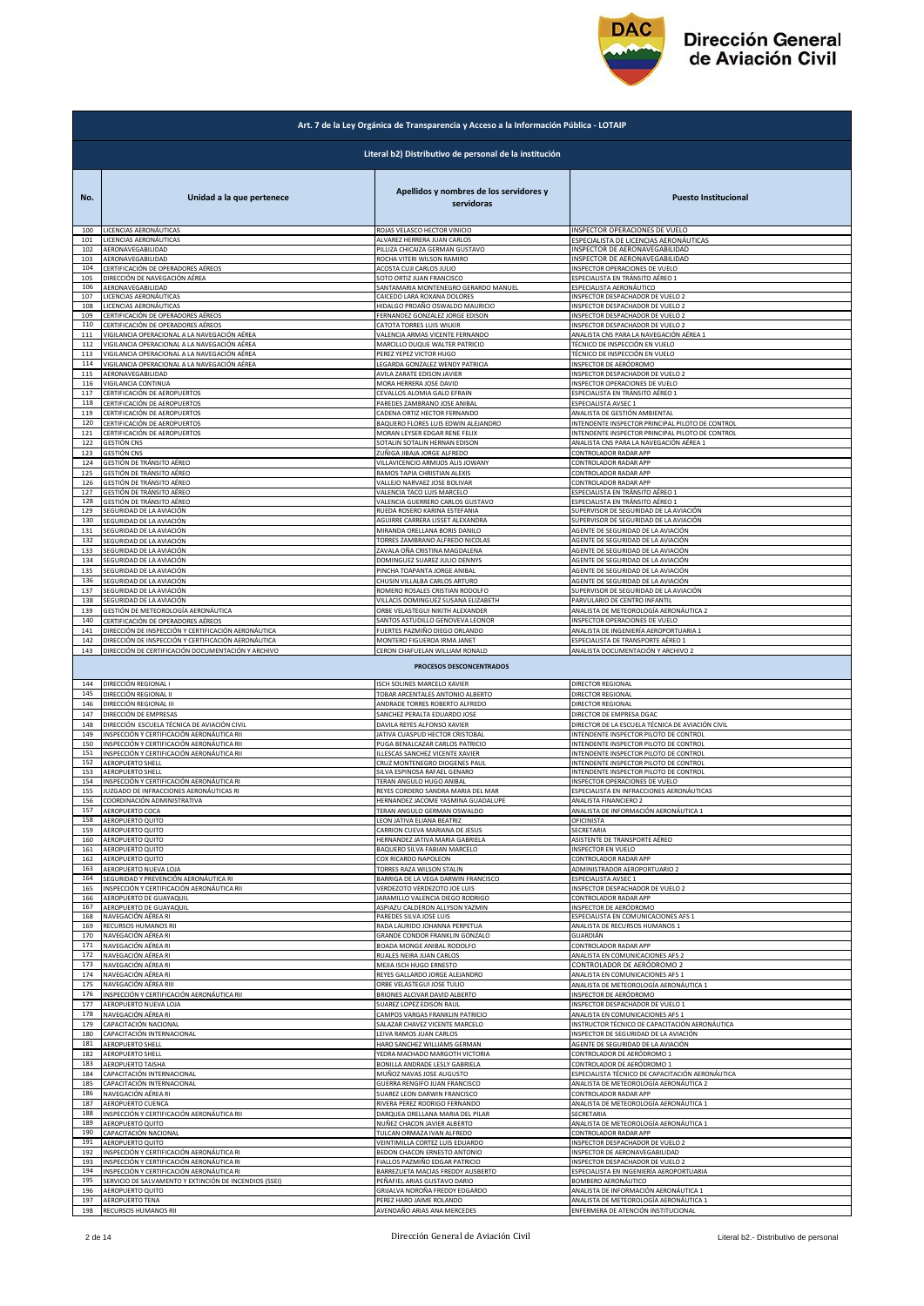

|             | Art. 7 de la Ley Orgánica de Transparencia y Acceso a la Información Pública - LOTAIP |                                                          |                                                                                  |  |
|-------------|---------------------------------------------------------------------------------------|----------------------------------------------------------|----------------------------------------------------------------------------------|--|
|             | Literal b2) Distributivo de personal de la institución                                |                                                          |                                                                                  |  |
| No.         | Unidad a la que pertenece                                                             | Apellidos y nombres de los servidores y<br>servidoras    | <b>Puesto Institucional</b>                                                      |  |
| 100         | LICENCIAS AERONÁUTICAS                                                                | ROJAS VELASCO HECTOR VINICIO                             | INSPECTOR OPERACIONES DE VUELO                                                   |  |
| 101         | LICENCIAS AERONÁUTICAS                                                                | ALVAREZ HERRERA JUAN CARLOS                              | ESPECIALISTA DE LICENCIAS AERONÁUTICAS                                           |  |
| 102         | AERONAVEGABILIDAD                                                                     | PILLIZA CHICAIZA GERMAN GUSTAVO                          | INSPECTOR DE AERONAVEGABILIDAD                                                   |  |
| 103         | AERONAVEGABILIDAD                                                                     | ROCHA VITERI WILSON RAMIRO                               | INSPECTOR DE AERONAVEGABILIDAD                                                   |  |
| 104         | CERTIFICACIÓN DE OPERADORES AÉREOS                                                    | ACOSTA CUJI CARLOS JULIO                                 | INSPECTOR OPERACIONES DE VUELO                                                   |  |
| 105         | DIRECCIÓN DE NAVEGACIÓN AÉREA                                                         | SOTO ORTIZ JUAN FRANCISCO                                | ESPECIALISTA EN TRÁNSITO AÉREO 1                                                 |  |
| 106         | AERONAVEGABILIDAD                                                                     | SANTAMARIA MONTENEGRO GERARDO MANUEL                     | ESPECIALISTA AERONÁUTICO                                                         |  |
| 107         | LICENCIAS AERONÁUTICAS                                                                | CAICEDO LARA ROXANA DOLORES                              | INSPECTOR DESPACHADOR DE VUELO 2                                                 |  |
| 108         | LICENCIAS AERONÁUTICAS                                                                | HIDALGO PROAÑO OSWALDO MAURICIO                          | INSPECTOR DESPACHADOR DE VUELO 2                                                 |  |
| 109         | CERTIFICACIÓN DE OPERADORES AÉREOS                                                    | FERNANDEZ GONZALEZ JORGE EDISON                          | INSPECTOR DESPACHADOR DE VUELO 2                                                 |  |
| 110         | CERTIFICACIÓN DE OPERADORES AÉREOS                                                    | CATOTA TORRES LUIS WILKIR                                | INSPECTOR DESPACHADOR DE VUELO 2                                                 |  |
| ${\bf 111}$ | VIGILANCIA OPERACIONAL A LA NAVEGACIÓN AÉREA                                          | VALENCIA ARMAS VICENTE FERNANDO                          | ANALISTA CNS PARA LA NAVEGACIÓN AÉREA 1                                          |  |
| 112         | VIGILANCIA OPERACIONAL A LA NAVEGACIÓN AÉREA                                          | MARCILLO DUQUE WALTER PATRICIO                           | TÉCNICO DE INSPECCIÓN EN VUELO                                                   |  |
| 113         | VIGILANCIA OPERACIONAL A LA NAVEGACIÓN AÉREA                                          | PEREZ YEPEZ VICTOR HUGO                                  | TÉCNICO DE INSPECCIÓN EN VUELO                                                   |  |
| 114         | VIGILANCIA OPERACIONAL A LA NAVEGACIÓN AÉREA                                          | LEGARDA GONZALEZ WENDY PATRICIA                          | INSPECTOR DE AERÓDROMO                                                           |  |
| 115         | AERONAVEGABILIDAD                                                                     | AVILA ZARATE EDISON JAVIER                               | INSPECTOR DESPACHADOR DE VUELO 2                                                 |  |
| 116         | VIGILANCIA CONTINUA                                                                   | MORA HERRERA JOSE DAVID                                  | INSPECTOR OPERACIONES DE VUELO                                                   |  |
| 117         | CERTIFICACIÓN DE AEROPUERTOS                                                          | CEVALLOS ALOMIA GALO EFRAIN                              | ESPECIALISTA EN TRÁNSITO AÉREO 1                                                 |  |
| 118         | CERTIFICACIÓN DE AEROPUERTOS                                                          | PAREDES ZAMBRANO JOSE ANIBAL                             | ESPECIALISTA AVSEC 1                                                             |  |
| 119         | CERTIFICACIÓN DE AEROPUERTOS                                                          | CADENA ORTIZ HECTOR FERNANDO                             | ANALISTA DE GESTIÓN AMBIENTAL                                                    |  |
| 120         | CERTIFICACIÓN DE AEROPUERTOS                                                          | BAQUERO FLORES LUIS EDWIN ALEJANDRO                      | INTENDENTE INSPECTOR PRINCIPAL PILOTO DE CONTROL                                 |  |
| 121         | CERTIFICACIÓN DE AEROPUERTOS                                                          | MORAN LEYSER EDGAR RENE FELIX                            | INTENDENTE INSPECTOR PRINCIPAL PILOTO DE CONTROL                                 |  |
| 122         | <b>GESTIÓN CNS</b>                                                                    | SOTALIN SOTALIN HERNAN EDISON                            | ANALISTA CNS PARA LA NAVEGACIÓN AÉREA 1                                          |  |
| 123         | <b>GESTIÓN CNS</b>                                                                    | ZUÑIGA JIBAJA JORGE ALFREDO                              | CONTROLADOR RADAR APP                                                            |  |
| 124         | GESTIÓN DE TRÁNSITO AÉREO                                                             | VILLAVICENCIO ARMIJOS ALIS JOWANY                        | CONTROLADOR RADAR APP                                                            |  |
| 125         | GESTIÓN DE TRÁNSITO AÉREO                                                             | RAMOS TAPIA CHRISTIAN ALEXIS                             | CONTROLADOR RADAR APP                                                            |  |
| 126         | GESTIÓN DE TRÁNSITO AÉREO                                                             | VALLEJO NARVAEZ JOSE BOLIVAR                             | CONTROLADOR RADAR APP                                                            |  |
| 127         | GESTIÓN DE TRÁNSITO AÉREO                                                             | VALENCIA TACO LUIS MARCELO                               | ESPECIALISTA EN TRÁNSITO AÉREO 1                                                 |  |
| 128         | GESTIÓN DE TRÁNSITO AÉREO                                                             | VALENCIA GUERRERO CARLOS GUSTAVO                         | ESPECIALISTA EN TRÁNSITO AÉREO 1                                                 |  |
| 129         | SEGURIDAD DE LA AVIACIÓN                                                              | RUEDA ROSERO KARINA ESTEFANIA                            | SUPERVISOR DE SEGURIDAD DE LA AVIACIÓN<br>SUPERVISOR DE SEGURIDAD DE LA AVIACIÓN |  |
| 130         | SEGURIDAD DE LA AVIACIÓN                                                              | AGUIRRE CARRERA LISSET ALEXANDRA                         | AGENTE DE SEGURIDAD DE LA AVIACIÓN                                               |  |
| 131         | SEGURIDAD DE LA AVIACIÓN                                                              | MIRANDA ORELLANA BORIS DANILO                            |                                                                                  |  |
| 132         | SEGURIDAD DE LA AVIACIÓN                                                              | TORRES ZAMBRANO ALFREDO NICOLAS                          | AGENTE DE SEGURIDAD DE LA AVIACIÓN                                               |  |
| 133         | SEGURIDAD DE LA AVIACIÓN                                                              | ZAVALA OÑA CRISTINA MAGDALENA                            | AGENTE DE SEGURIDAD DE LA AVIACIÓN                                               |  |
| 134         | SEGURIDAD DE LA AVIACIÓN                                                              | DOMINGUEZ SUAREZ JULIO DENNYS                            | AGENTE DE SEGURIDAD DE LA AVIACIÓN                                               |  |
| 135         | SEGURIDAD DE LA AVIACIÓN                                                              | PINCHA TOAPANTA JORGE ANIBAL                             | AGENTE DE SEGURIDAD DE LA AVIACIÓN                                               |  |
| 136         | SEGURIDAD DE LA AVIACIÓN                                                              | CHUSIN VILLALBA CARLOS ARTURO                            | AGENTE DE SEGURIDAD DE LA AVIACIÓN                                               |  |
| 137         | SEGURIDAD DE LA AVIACIÓN                                                              | ROMERO ROSALES CRISTIAN RODOLFO                          | SUPERVISOR DE SEGURIDAD DE LA AVIACIÓN                                           |  |
| 138         | SEGURIDAD DE LA AVIACIÓN                                                              | VILLACIS DOMINGUEZ SUSANA ELIZABETH                      | PARVULARIO DE CENTRO INFANTIL                                                    |  |
| 139         | GESTIÓN DE METEOROLOGÍA AERONÁUTICA                                                   | ORBE VELASTEGUI NIKITH ALEXANDER                         | ANALISTA DE METEOROLOGÍA AERONÁUTICA 2                                           |  |
| 140         | CERTIFICACIÓN DE OPERADORES AÉREOS                                                    | SANTOS ASTUDILLO GENOVEVA LEONOR                         | INSPECTOR OPERACIONES DE VUELO                                                   |  |
| 141         | DIRECCIÓN DE INSPECCIÓN Y CERTIFICACIÓN AERONÁUTICA                                   | FUERTES PAZMIÑO DIEGO ORLANDO                            | ANALISTA DE INGENIERÍA AEROPORTUARIA 1                                           |  |
| 142         | DIRECCIÓN DE INSPECCIÓN Y CERTIFICACIÓN AERONÁUTICA                                   | MONTERO FIGUEROA IRMA JANET                              | ESPECIALISTA DE TRANSPORTE AÉREO 1                                               |  |
| 143         | DIRECCIÓN DE CERTIFICACIÓN DOCUMENTACIÓN Y ARCHIVO                                    | CERON CHAFUELAN WILLIAM RONALD                           | ANALISTA DOCUMENTACIÓN Y ARCHIVO 2                                               |  |
|             |                                                                                       | PROCESOS DESCONCENTRADOS                                 |                                                                                  |  |
| 144         | DIRECCIÓN REGIONAL I                                                                  | <b>ISCH SOLINES MARCELO XAVIER</b>                       | DIRECTOR REGIONAL                                                                |  |
| 145         | DIRECCIÓN REGIONAL II                                                                 | TOBAR ARCENTALES ANTONIO ALBERTO                         | DIRECTOR REGIONAL                                                                |  |
| 146         | DIRECCIÓN REGIONAL III                                                                | ANDRADE TORRES ROBERTO ALFREDO                           | DIRECTOR REGIONAL                                                                |  |
| 147         | DIRECCIÓN DE EMPRESAS                                                                 | SANCHEZ PERALTA EDUARDO JOSE                             | DIRECTOR DE EMPRESA DGAC                                                         |  |
| 148         | DIRECCIÓN ESCUELA TÉCNICA DE AVIACIÓN CIVIL                                           | DAVILA REYES ALFONSO XAVIER                              | DIRECTOR DE LA ESCUELA TÉCNICA DE AVIACIÓN CIVIL                                 |  |
| 149         | INSPECCIÓN Y CERTIFICACIÓN AERONÁUTICA RII                                            | JATIVA CUASPUD HECTOR CRISTOBAL                          | INTENDENTE INSPECTOR PILOTO DE CONTROL                                           |  |
| 150         | INSPECCIÓN Y CERTIFICACIÓN AERONÁUTICA RII                                            | PUGA BENALCAZAR CARLOS PATRICIO                          | INTENDENTE INSPECTOR PILOTO DE CONTROL                                           |  |
| 151         | INSPECCIÓN Y CERTIFICACIÓN AERONÁUTICA RII                                            | ILLESCAS SANCHEZ VICENTE XAVIER                          | INTENDENTE INSPECTOR PILOTO DE CONTROL                                           |  |
| 152         | AEROPUERTO SHELL                                                                      | CRUZ MONTENEGRO DIOGENES PAUL                            | INTENDENTE INSPECTOR PILOTO DE CONTROL                                           |  |
| 153         | AEROPUERTO SHELL                                                                      | SILVA ESPINOSA RAFAEL GENARO                             | INTENDENTE INSPECTOR PILOTO DE CONTROL                                           |  |
| 154         | INSPECCIÓN Y CERTIFICACIÓN AERONÁUTICA RI                                             | TERAN ANGULO HUGO ANIBAL                                 | INSPECTOR OPERACIONES DE VUELO                                                   |  |
| 155         | JUZGADO DE INFRACCIONES AERONÁUTICAS RI                                               | REYES CORDERO SANDRA MARIA DEL MAR                       | ESPECIALISTA EN INFRACCIONES AERONÁUTICAS                                        |  |
| 156         | COORDINACIÓN ADMINISTRATIVA                                                           | HERNANDEZ JACOME YASMINA GUADALUPE                       | ANALISTA FINANCIERO 2                                                            |  |
| 157         | AEROPUERTO COCA                                                                       | TERAN ANGULO GERMAN OSWALDO                              | ANALISTA DE INFORMACIÓN AERONÁUTICA 1                                            |  |
| 158         | AEROPUERTO QUITO                                                                      | EON JATIVA ELIANA BEATRIZ                                | OFICINISTA                                                                       |  |
| 159         | AEROPUERTO QUITO                                                                      | CARRION CUEVA MARIANA DE JESUS                           | SECRETARIA                                                                       |  |
| 160         | AEROPUERTO QUITO                                                                      | HERNANDEZ JATIVA MARIA GABRIELA                          | ASISTENTE DE TRANSPORTE AÉREO                                                    |  |
| 161         | AEROPUERTO QUITO                                                                      | BAQUERO SILVA FABIAN MARCELO                             | <b>INSPECTOR EN VUELO</b>                                                        |  |
| 162         | AEROPUERTO QUITO                                                                      |                                                          | CONTROLADOR RADAR APP                                                            |  |
| 163         | AEROPUERTO NUEVA LOJA                                                                 | COX RICARDO NAPOLEON<br><b>FORRES RAZA WILSON STALIN</b> | ADMINISTRADOR AEROPORTUARIO 2                                                    |  |
| 164         | SEGURIDAD Y PREVENCIÓN AERONÁUTICA RI                                                 | BARRIGA DE LA VEGA DARWIN FRANCISCO                      | ESPECIALISTA AVSEC 1                                                             |  |
| 165         | INSPECCIÓN Y CERTIFICACIÓN AERONÁUTICA RII                                            | VERDEZOTO VERDEZOTO JOE LUIS                             | INSPECTOR DESPACHADOR DE VUELO 2                                                 |  |
| 166         | AEROPUERTO DE GUAYAQUIL                                                               | JARAMILLO VALENCIA DIEGO RODRIGO                         | CONTROLADOR RADAR APP                                                            |  |
| 167         | AEROPUERTO DE GUAYAQUIL                                                               | ASPIAZU CALDERON ALLYSON YAZMIN                          | INSPECTOR DE AERÓDROMO                                                           |  |
| 168         | NAVEGACIÓN AÉREA RI                                                                   | PAREDES SILVA JOSE LUIS                                  | ESPECIALISTA EN COMUNICACIONES AFS 1                                             |  |
| 169         | RECURSOS HUMANOS RII                                                                  | RADA LAURIDO JOHANNA PERPETUA                            | ANALISTA DE RECURSOS HUMANOS 1                                                   |  |
| 170         | NAVEGACIÓN AÉREA RI                                                                   | GRANDE CONDOR FRANKLIN GONZALO                           | GUARDIÁN                                                                         |  |
| 171         | NAVEGACIÓN AÉREA RI                                                                   | BOADA MONGE ANIBAL RODOLFO                               | CONTROLADOR RADAR APP                                                            |  |
| 172         | NAVEGACIÓN AÉREA RI                                                                   | RUALES NEIRA JUAN CARLOS                                 | ANALISTA EN COMUNICACIONES AFS 2                                                 |  |
| 173         | NAVEGACIÓN AÉREA RI                                                                   | MEJIA ISCH HUGO ERNESTO                                  | CONTROLADOR DE AERÓDROMO 2                                                       |  |
| 174         | NAVEGACIÓN AÉREA RI                                                                   | REYES GALLARDO JORGE ALEJANDRO                           | ANALISTA EN COMUNICACIONES AFS 1                                                 |  |
| 175         | NAVEGACIÓN AÉREA RIII                                                                 | ORBE VELASTEGUI JOSE TULIO                               | ANALISTA DE METEOROLOGÍA AERONÁUTICA 1                                           |  |
| 176         | INSPECCIÓN Y CERTIFICACIÓN AERONÁUTICA RII                                            | BRIONES ALCIVAR DAVID ALBERTO                            | INSPECTOR DE AERÓDROMO                                                           |  |
| 177         | AEROPUERTO NUEVA LOJA                                                                 | SUAREZ LOPEZ EDISON RAUL                                 | INSPECTOR DESPACHADOR DE VUELO 1                                                 |  |
| 178         | NAVEGACIÓN AÉREA RI                                                                   | CAMPOS VARGAS FRANKLIN PATRICIO                          | ANALISTA EN COMUNICACIONES AFS 1                                                 |  |
| 179         | CAPACITACIÓN NACIONAL                                                                 | SALAZAR CHAVEZ VICENTE MARCELO                           | INSTRUCTOR TÉCNICO DE CAPACITACIÓN AERONÁUTICA                                   |  |
| 180         | CAPACITACIÓN INTERNACIONAL                                                            | LEIVA RAMOS JUAN CARLOS                                  | INSPECTOR DE SEGURIDAD DE LA AVIACIÓN                                            |  |
| 181         | AEROPUERTO SHELL                                                                      | HARO SANCHEZ WILLIAMS GERMAN                             | AGENTE DE SEGURIDAD DE LA AVIACIÓN                                               |  |
| 182         | <b>AEROPUERTO SHELL</b>                                                               | YEDRA MACHADO MARGOTH VICTORIA                           | CONTROLADOR DE AERÓDROMO 1                                                       |  |
| 183         | AEROPUERTO TAISHA                                                                     | <b>BONILLA ANDRADE LESLY GABRIELA</b>                    | CONTROLADOR DE AERÓDROMO 1                                                       |  |
| 184         | CAPACITACIÓN INTERNACIONAL                                                            | MUÑOZ NAVAS JOSE AUGUSTO                                 | ESPECIALISTA TÉCNICO DE CAPACITACIÓN AERONÁUTICA                                 |  |
| 185         | CAPACITACIÓN INTERNACIONAL                                                            | GUERRA RENGIFO JUAN FRANCISCO                            | ANALISTA DE METEOROLOGÍA AERONÁUTICA 2                                           |  |
| 186         | NAVEGACIÓN AÉREA RI                                                                   | SUAREZ LEON DARWIN FRANCISCO                             | CONTROLADOR RADAR APP                                                            |  |
| 187         | AEROPUERTO CUENCA                                                                     | RIVERA PEREZ RODRIGO FERNANDO                            | ANALISTA DE METEOROLOGÍA AERONÁUTICA 1                                           |  |
| 188<br>189  | INSPECCIÓN Y CERTIFICACIÓN AERONÁUTICA RII                                            | DARQUEA ORELLANA MARIA DEL PILAR                         | SECRETARIA                                                                       |  |
| 190         | AEROPUERTO QUITO                                                                      | NUÑEZ CHACON JAVIER ALBERTO                              | ANALISTA DE METEOROLOGÍA AERONÁUTICA 1                                           |  |
|             | CAPACITACIÓN NACIONAL                                                                 | TULCAN ORMAZA IVAN ALFREDO                               | CONTROLADOR RADAR APP                                                            |  |
| 191         | AEROPUERTO QUITO                                                                      | VEINTIMILLA CORTEZ LUIS EDUARDO                          | INSPECTOR DESPACHADOR DE VUELO 2                                                 |  |
| 192         | INSPECCIÓN Y CERTIFICACIÓN AERONÁUTICA RI                                             | BEDON CHACON ERNESTO ANTONIO                             | INSPECTOR DE AERONAVEGABILIDAD                                                   |  |
| 193         | INSPECCIÓN Y CERTIFICACIÓN AERONÁUTICA RI                                             | FIALLOS PAZMIÑO EDGAR PATRICIO                           | INSPECTOR DESPACHADOR DE VUELO 2                                                 |  |
| 194         | INSPECCIÓN Y CERTIFICACIÓN AERONÁUTICA RI                                             | BARREZUETA MACIAS FREDDY AUSBERTO                        | ESPECIALISTA EN INGENIERÍA AEROPORTUARIA                                         |  |
| 195         | SERVICIO DE SALVAMENTO Y EXTINCIÓN DE INCENDIOS (SSEI)                                | PEÑAFIEL ARIAS GUSTAVO DARIO                             | BOMBERO AERONÁUTICO                                                              |  |
| 196         | AEROPUERTO QUITO                                                                      | GRIJALVA NOROÑA FREDDY EDGARDO                           | ANALISTA DE INFORMACIÓN AERONÁUTICA 1                                            |  |
| 197         | AEROPUERTO TENA                                                                       | PEREZ HARO JAIME ROLANDO                                 | ANALISTA DE METEOROLOGÍA AERONÁUTICA 1                                           |  |
| 198         | RECURSOS HUMANOS RII                                                                  | AVENDAÑO ARIAS ANA MERCEDES                              | ENFERMERA DE ATENCIÓN INSTITUCIONAL                                              |  |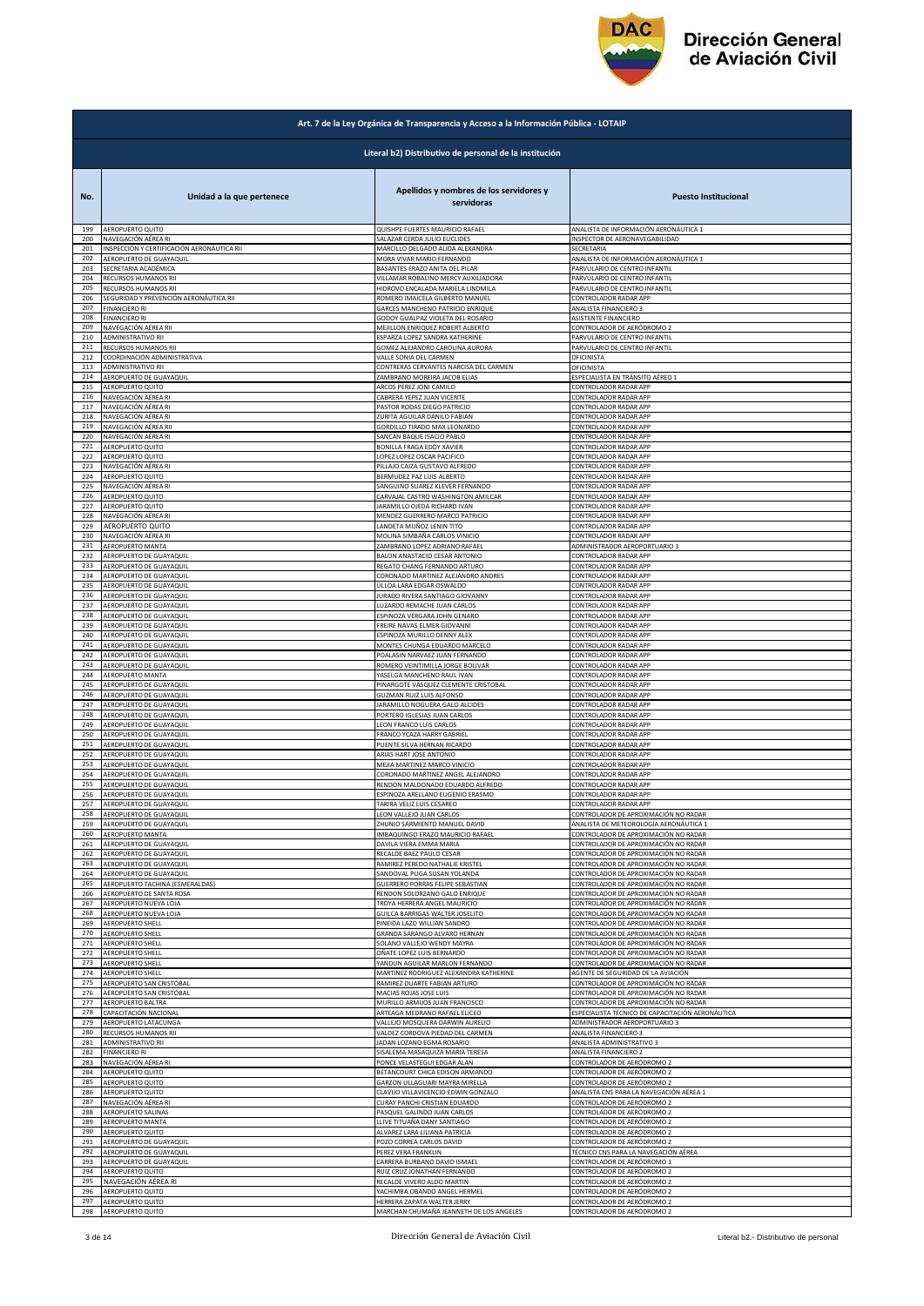

|            | Art. 7 de la Ley Orgánica de Transparencia y Acceso a la Información Pública - LOTAIP |                                                                    |                                                  |  |
|------------|---------------------------------------------------------------------------------------|--------------------------------------------------------------------|--------------------------------------------------|--|
|            |                                                                                       | Literal b2) Distributivo de personal de la institución             |                                                  |  |
| No.        | Unidad a la que pertenece                                                             | Apellidos y nombres de los servidores y<br>servidoras              | <b>Puesto Institucional</b>                      |  |
| 199        | AEROPUERTO QUITO                                                                      | QUISHPE FUERTES MAURICIO RAFAEL                                    | ANALISTA DE INFORMACIÓN AERONÁUTICA 1            |  |
| 200        | NAVEGACIÓN AÉREA RI                                                                   | SALAZAR CERDA JULIO EUCLIDES                                       | INSPECTOR DE AERONAVEGABILIDAD                   |  |
| 201        | INSPECCIÓN Y CERTIFICACIÓN AERONÁUTICA RII                                            | MARCILLO DELGADO ALIDA ALEXANDRA                                   | SECRETARIA                                       |  |
| 202        | AEROPUERTO DE GUAYAQUIL                                                               | MORA VIVAR MARIO FERNANDO                                          | ANALISTA DE INFORMACIÓN AERONÁUTICA 1            |  |
| 203        | SECRETARIA ACADÉMICA                                                                  | BASANTES ERAZO ANITA DEL PILAR                                     | PARVULARIO DE CENTRO INFANTIL                    |  |
| 204        | RECURSOS HUMANOS RII                                                                  | VILLAMAR ROBALINO MERCY AUXILIADORA                                | PARVULARIO DE CENTRO INFANTIL                    |  |
| 205        | RECURSOS HUMANOS RII                                                                  | HIDROVO ENCALADA MARIELA LINDMILA                                  | PARVULARIO DE CENTRO INFANTIL                    |  |
| 206        | SEGURIDAD Y PREVENCIÓN AERONÁUTICA RII                                                | ROMERO IMAICELA GILBERTO MANUEL                                    | CONTROLADOR RADAR APP                            |  |
| 207        | <b>FINANCIERO RI</b>                                                                  | GARCES MANCHENO PATRICIO ENRIQUE                                   | ANALISTA FINANCIERO 3                            |  |
| 208        | <b>FINANCIERO RI</b>                                                                  | GODOY GUALPAZ VIOLETA DEL ROSARIO                                  | ASISTENTE FINANCIERO                             |  |
| 209        | NAVEGACIÓN AÉREA RII                                                                  | MEJILLON ENRIQUEZ ROBERT ALBERTO                                   | CONTROLADOR DE AERÓDROMO 2                       |  |
| 210        | <b>ADMINISTRATIVO RII</b>                                                             | ESPARZA LOPEZ SANDRA KATHERINE                                     | PARVULARIO DE CENTRO INFANTIL                    |  |
| 211        | RECURSOS HUMANOS RII                                                                  | GOMEZ ALEJANDRO CAROLINA AURORA                                    | PARVULARIO DE CENTRO INFANTIL                    |  |
| 212        | COORDINACIÓN ADMINISTRATIVA                                                           | VALLE SONIA DEL CARMEN                                             | OFICINISTA                                       |  |
| 213        | ADMINISTRATIVO RII                                                                    | CONTRERAS CERVANTES NARCISA DEL CARMEN                             | OFICINISTA                                       |  |
| 214        | AEROPUERTO DE GUAYAQUIL                                                               | ZAMBRANO MOREIRA JACOB ELIAS                                       | ESPECIALISTA EN TRÁNSITO AÉREO 1                 |  |
| 215        | AEROPUERTO QUITO                                                                      | ARCOS PEREZ JONI CAMILO                                            | CONTROLADOR RADAR APP                            |  |
| 216        | NAVEGACIÓN AÉREA RI                                                                   | CABRERA YEPEZ JUAN VICENTE                                         | CONTROLADOR RADAR APP                            |  |
| 217        | NAVEGACIÓN AÉREA RI                                                                   | PASTOR RODAS DIEGO PATRICIO                                        | CONTROLADOR RADAR APP                            |  |
| 218        | NAVEGACIÓN AÉREA RI                                                                   | ZURITA AGUILAR DANILO FABIAN                                       | CONTROLADOR RADAR APP                            |  |
| 219        | NAVEGACIÓN AÉREA RII                                                                  | GORDILLO TIRADO MAX LEONARDO                                       | CONTROLADOR RADAR APP                            |  |
| 220        | NAVEGACIÓN AÉREA RI                                                                   | SANCAN BAQUE ISACIO PABLO                                          | CONTROLADOR RADAR APP                            |  |
| 221        | AEROPUERTO QUITO                                                                      | BONILLA FRAGA EDDY XAVIER                                          | CONTROLADOR RADAR APP                            |  |
| 222        | AEROPUERTO QUITO                                                                      | LOPEZ LOPEZ OSCAR PACIFICO                                         | CONTROLADOR RADAR APP                            |  |
| 223        | NAVEGACIÓN AÉREA RI                                                                   | PILLAJO CAIZA GUSTAVO ALFREDO                                      | CONTROLADOR RADAR APP                            |  |
| 224        | AEROPUERTO QUITO                                                                      | BERMUDEZ PAZ LUIS ALBERTO                                          | CONTROLADOR RADAR APP                            |  |
| 225<br>226 | NAVEGACIÓN AÉREA RI                                                                   | SANGUINO SUAREZ KLEVER FERNANDO                                    | CONTROLADOR RADAR APP                            |  |
| 227        | AEROPUERTO QUITO                                                                      | CARVAJAL CASTRO WASHINGTON AMILCAR                                 | CONTROLADOR RADAR APP                            |  |
|            | AEROPUERTO QUITO                                                                      | JARAMILLO OJEDA RICHARD IVAN                                       | CONTROLADOR RADAR APP                            |  |
| 228        | NAVEGACIÓN AÉREA RI                                                                   | MENDEZ GUERRERO MARCO PATRICIO                                     | CONTROLADOR RADAR APP                            |  |
| 229        | AEROPUERTO QUITO                                                                      | LANDETA MUÑOZ LENIN TITO                                           | CONTROLADOR RADAR APP                            |  |
| 230        | NAVEGACIÓN AÉREA RI                                                                   | MOLINA SIMBAÑA CARLOS VINICIO                                      | CONTROLADOR RADAR APP                            |  |
| 231        | AEROPUERTO MANTA                                                                      | ZAMBRANO LOPEZ ADRIANO RAFAEL                                      | ADMINISTRADOR AEROPORTUARIO 3                    |  |
| 232        | AEROPUERTO DE GUAYAQUIL                                                               | BALON ANASTACIO CESAR ANTONIO                                      | CONTROLADOR RADAR APP                            |  |
| 233        | AEROPUERTO DE GUAYAQUIL                                                               | REGATO CHANG FERNANDO ARTURO                                       | CONTROLADOR RADAR APP                            |  |
| 234        | AEROPUERTO DE GUAYAQUIL                                                               | CORONADO MARTINEZ ALEJANDRO ANDRES                                 | CONTROLADOR RADAR APP                            |  |
| 235        | AEROPUERTO DE GUAYAQUIL                                                               | ULLOA LARA EDGAR OSWALDO                                           | CONTROLADOR RADAR APP                            |  |
| 236        | AEROPUERTO DE GUAYAQUIL                                                               | JURADO RIVERA SANTIAGO GIOVANNY                                    | CONTROLADOR RADAR APP                            |  |
| 237        | AEROPUERTO DE GUAYAQUIL                                                               | LUZARDO REMACHE JUAN CARLOS                                        | CONTROLADOR RADAR APP                            |  |
| 238        | AEROPUERTO DE GUAYAQUIL                                                               | ESPINOZA VERGARA JOHN GENARO                                       | CONTROLADOR RADAR APP                            |  |
| 239        | AEROPUERTO DE GUAYAQUIL                                                               | FREIRE NAVAS ELMER GIOVANNI                                        | CONTROLADOR RADAR APP                            |  |
| 240        | AEROPUERTO DE GUAYAQUIL                                                               | ESPINOZA MURILLO DENNY ALEX                                        | CONTROLADOR RADAR APP                            |  |
| 241<br>242 | AEROPUERTO DE GUAYAQUIL                                                               | MONTES CHUNGA EDUARDO MARCELO                                      | CONTROLADOR RADAR APP<br>CONTROLADOR RADAR APP   |  |
| 243        | AEROPUERTO DE GUAYAQUIL<br>AEROPUERTO DE GUAYAQUIL                                    | POALASIN NARVAEZ JUAN FERNANDO<br>ROMERO VEINTIMILLA JORGE BOLIVAR | CONTROLADOR RADAR APP                            |  |
| 244        | AEROPUERTO MANTA                                                                      | YASELGA MANCHENO RAUL IVAN                                         | CONTROLADOR RADAR APP                            |  |
| 245        | AEROPUERTO DE GUAYAQUIL                                                               | PINARGOTE VASQUEZ CLEMENTE CRISTOBAL                               | CONTROLADOR RADAR APP                            |  |
| 246        | AEROPUERTO DE GUAYAQUIL                                                               | <b>GUZMAN RUIZ LUIS ALFONSO</b>                                    | CONTROLADOR RADAR APP                            |  |
| 247        | AEROPUERTO DE GUAYAQUIL                                                               | JARAMILLO NOGUERA GALO ALCIDES                                     | CONTROLADOR RADAR APP                            |  |
| 248        | AEROPUERTO DE GUAYAQUIL                                                               | PORTERO IGLESIAS JUAN CARLOS                                       | CONTROLADOR RADAR APP                            |  |
| 249        | AEROPUERTO DE GUAYAQUIL                                                               | LEON FRANCO LUIS CARLOS                                            | CONTROLADOR RADAR APP                            |  |
| 250        | AEROPUERTO DE GUAYAQUIL                                                               | FRANCO YCAZA HARRY GABRIEL                                         | CONTROLADOR RADAR APP                            |  |
| 251        | AEROPUERTO DE GUAYAQUIL                                                               | PUENTE SILVA HERNAN RICARDO                                        | CONTROLADOR RADAR APP                            |  |
| 252        | AEROPUERTO DE GUAYAQUIL                                                               | ARIAS HART JOSE ANTONIO                                            | CONTROLADOR RADAR APP                            |  |
| 253        | AEROPUERTO DE GUAYAQUIL                                                               | MEJIA MARTINEZ MARCO VINICIO                                       | CONTROLADOR RADAR APP                            |  |
| 254        | AEROPUERTO DE GUAYAQUIL                                                               | CORONADO MARTINEZ ANGEL ALEJANDRO                                  | CONTROLADOR RADAR APP                            |  |
| 255        | AEROPUERTO DE GUAYAQUIL                                                               | RENDON MALDONADO EDUARDO ALFREDO                                   | CONTROLADOR RADAR APP                            |  |
| 256        | AEROPUERTO DE GUAYAQUIL                                                               | ESPINOZA ARELLANO EUGENIO ERASMO                                   | CONTROLADOR RADAR APP                            |  |
| 257        | ALKOPULKTO DL GUAYAQUI                                                                | IAKIKA VELIZ LUIS CESAKEC                                          | UN I KULADUK KADAK API                           |  |
| 258        | AEROPUERTO DE GUAYAQUIL                                                               | LEON VALLEJO JUAN CARLOS                                           | CONTROLADOR DE APROXIMACIÓN NO RADAR             |  |
| 259        | AEROPUERTO DE GUAYAQUIL<br>AEROPUERTO MANTA                                           | ZHUNIO SARMIENTO MANUEL DAVID                                      | ANALISTA DE METEOROLOGÍA AERONÁUTICA 1           |  |
| 260        | AEROPUERTO DE GUAYAQUIL                                                               | IMBAQUINGO ERAZO MAURICIO RAFAEL                                   | CONTROLADOR DE APROXIMACIÓN NO RADAR             |  |
| 261        |                                                                                       | DAVILA VIERA EMMA MARIA                                            | CONTROLADOR DE APROXIMACIÓN NO RADAR             |  |
| 262        | AEROPUERTO DE GUAYAQUIL                                                               | RECALDE BAEZ PAULO CESAR                                           | CONTROLADOR DE APROXIMACIÓN NO RADAR             |  |
| 263        | AEROPUERTO DE GUAYAQUIL                                                               | RAMIREZ PEREDO NATHALIE KRISTEL                                    | CONTROLADOR DE APROXIMACIÓN NO RADAR             |  |
| 264        | AEROPUERTO DE GUAYAQUIL                                                               | SANDOVAL PUGA SUSAN YOLANDA                                        | CONTROLADOR DE APROXIMACIÓN NO RADAR             |  |
| 265        | AEROPUERTO TACHINA (ESMERALDAS)                                                       | GUERRERO PORRAS FELIPE SEBASTIAN                                   | CONTROLADOR DE APROXIMACIÓN NO RADAR             |  |
| 266        | AEROPUERTO DE SANTA ROSA                                                              | RENDON SOLORZANO GALO ENRIQUE                                      | CONTROLADOR DE APROXIMACIÓN NO RADAR             |  |
| 267        | AEROPUERTO NUEVA LOJA                                                                 | TROYA HERRERA ANGEL MAURICIO                                       | CONTROLADOR DE APROXIMACIÓN NO RADAR             |  |
| 268        | AEROPUERTO NUEVA LOJA                                                                 | GUILCA BARRIGAS WALTER JOSELITO                                    | CONTROLADOR DE APROXIMACIÓN NO RADAR             |  |
| 269        | <b>AEROPUERTO SHELL</b>                                                               | PINEIDA LAZO WILLIAN SANDRO                                        | CONTROLADOR DE APROXIMACIÓN NO RADAR             |  |
| 270        | AEROPUERTO SHELL                                                                      | GRANDA SARANGO ALVARO HERNAN                                       | CONTROLADOR DE APROXIMACIÓN NO RADAR             |  |
| 271        | AEROPUERTO SHELL                                                                      | SOLANO VALLEJO WENDY MAYRA                                         | CONTROLADOR DE APROXIMACIÓN NO RADAR             |  |
| 272        | AEROPUERTO SHELL                                                                      | OÑATE LOPEZ LUIS BERNARDO                                          | CONTROLADOR DE APROXIMACIÓN NO RADAR             |  |
| 273        | <b>AEROPUERTO SHELL</b>                                                               | YANDUN AGUILAR MARLON FERNANDO                                     | CONTROLADOR DE APROXIMACIÓN NO RADAR             |  |
| 274        | AEROPUERTO SHELL                                                                      | MARTINEZ RODRIGUEZ ALEXANDRA KATHERINE                             | AGENTE DE SEGURIDAD DE LA AVIACIÓN               |  |
| 275        | AEROPUERTO SAN CRISTÓBAL                                                              | RAMIREZ DUARTE FABIAN ARTURO                                       | CONTROLADOR DE APROXIMACIÓN NO RADAR             |  |
| 276        | AEROPUERTO SAN CRISTÓBAL                                                              | MACIAS ROJAS JOSE LUIS                                             | CONTROLADOR DE APROXIMACIÓN NO RADAR             |  |
| 277        | AEROPUERTO BALTRA                                                                     | MURILLO ARMIJOS JUAN FRANCISCO                                     | CONTROLADOR DE APROXIMACIÓN NO RADAR             |  |
| 278        | CAPACITACIÓN NACIONAL                                                                 | ARTEAGA MEDRANO RAFAEL ELICEO                                      | ESPECIALISTA TÉCNICO DE CAPACITACIÓN AERONÁUTICA |  |
| 279        | AEROPUERTO LATACUNGA                                                                  | VALLEJO MOSQUERA DARWIN AURELIO                                    | ADMINISTRADOR AEROPORTUARIO 3                    |  |
| 280        | RECURSOS HUMANOS RII                                                                  | VALDEZ CORDOVA PIEDAD DEL CARMEN                                   | ANALISTA FINANCIERO 3                            |  |
| 281        | ADMINISTRATIVO RII                                                                    | JADAN LOZANO EGMA ROSARIO                                          | ANALISTA ADMINISTRATIVO 3                        |  |
| 282        | <b>FINANCIERO RI</b>                                                                  | SISALEMA MASAQUIZA MARIA TERESA                                    | ANALISTA FINANCIERO 2                            |  |
| 283        | NAVEGACIÓN AÉREA RI                                                                   | PONCE VELASTEGUI EDGAR ALAN                                        | CONTROLADOR DE AERÓDROMO 2                       |  |
| 284        | AEROPUERTO QUITO                                                                      | BETANCOURT CHICA EDISON ARMANDO                                    | CONTROLADOR DE AERÓDROMO 2                       |  |
| 285        | AEROPUERTO QUITO                                                                      | GARZON ULLAGUARI MAYRA MIRELLA                                     | CONTROLADOR DE AERÓDROMO 2                       |  |
| 286        | AEROPUERTO QUITO                                                                      | CLAVIJO VILLAVICENCIO EDWIN GONZALO                                | ANALISTA CNS PARA LA NAVEGACIÓN AÉREA 1          |  |
| 287        | NAVEGACIÓN AÉREA RI                                                                   | CURAY PANCHI CRISTIAN EDUARDO                                      | CONTROLADOR DE AERÓDROMO 2                       |  |
| 288        | AEROPUERTO SALINAS                                                                    | PASQUEL GALINDO JUAN CARLOS                                        | CONTROLADOR DE AERÓDROMO 2                       |  |
| 289        | AEROPUERTO MANTA                                                                      | LLIVE TITUAÑA DANY SANTIAGO                                        | CONTROLADOR DE AERÓDROMO 2                       |  |
| 290<br>291 | AEROPUERTO QUITO                                                                      | ALVAREZ LARA LILIANA PATRICIA                                      | CONTROLADOR DE AERÓDROMO 2                       |  |
| 292        | AEROPUERTO DE GUAYAQUIL                                                               | POZO CORREA CARLOS DAVID                                           | CONTROLADOR DE AERÓDROMO 2                       |  |
|            | AEROPUERTO DE GUAYAQUIL                                                               | PEREZ VERA FRANKLIN                                                | TÉCNICO CNS PARA LA NAVEGACIÓN AÉREA             |  |
| 293        | AEROPUERTO DE GUAYAQUIL                                                               | CARRERA BURBANO DAVID ISMAEL                                       | CONTROLADOR DE AERÓDROMO 1                       |  |
| 294        | AEROPUERTO QUITO                                                                      | RUIZ CRUZ JONATHAN FERNANDO                                        | CONTROLADOR DE AERÓDROMO 2                       |  |
| 295        | NAVEGACIÓN AÉREA RI                                                                   | RECALDE VIVERO ALDO MARTIN                                         | CONTROLADOR DE AERÓDROMO 2                       |  |
| 296        | AEROPUERTO QUITO                                                                      | YACHIMBA OBANDO ANGEL HERMEL                                       | CONTROLADOR DE AERÓDROMO 2                       |  |
| 297        | AEROPUERTO QUITO                                                                      | HERRERA ZAPATA WALTER JERRY                                        | CONTROLADOR DE AERÓDROMO 2                       |  |
| 298        | AEROPUERTO QUITO                                                                      | MARCHAN CHUMAÑA JEANNETH DE LOS ANGELES                            | CONTROLADOR DE AERÓDROMO 2                       |  |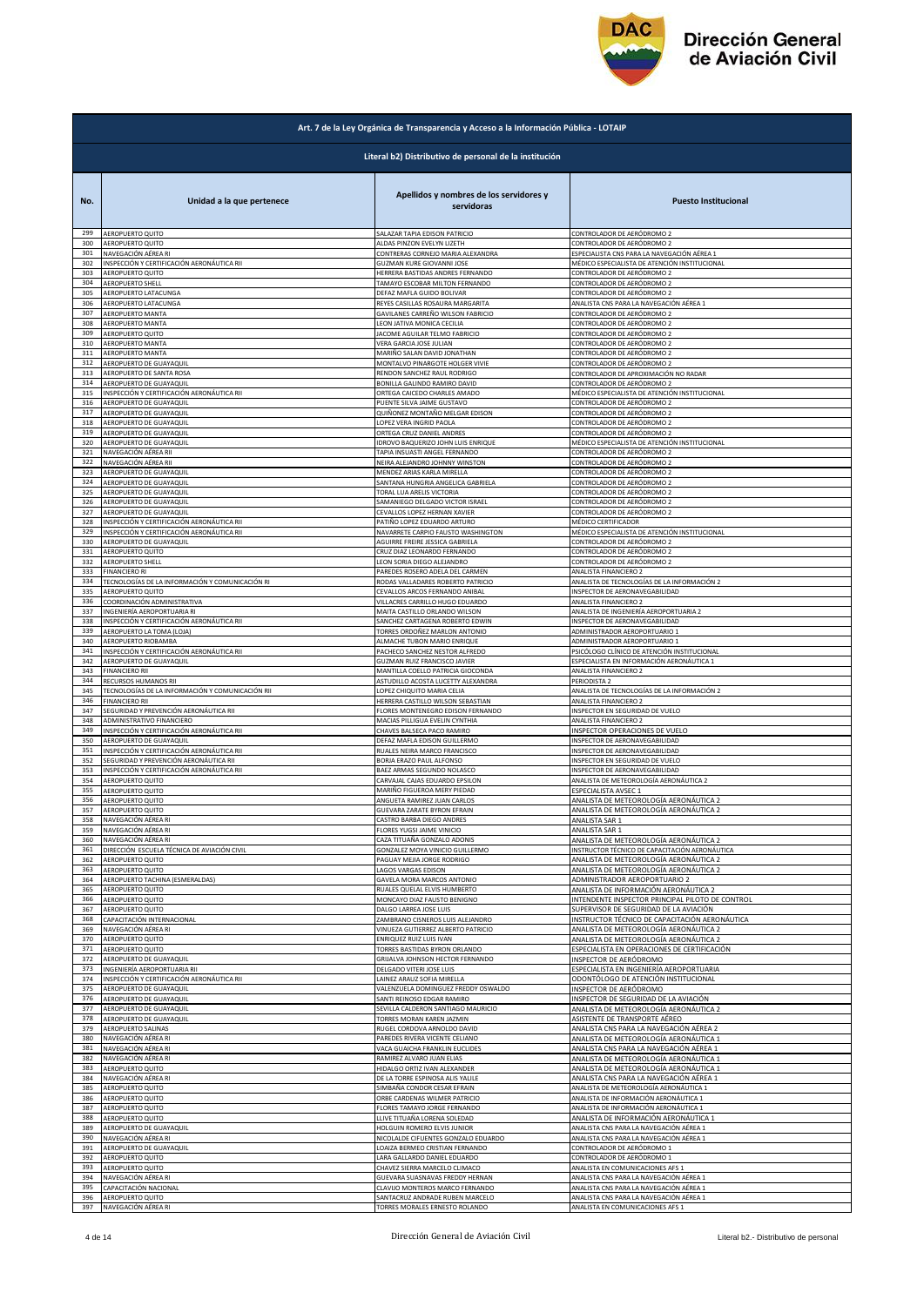

|            | Art. 7 de la Ley Orgánica de Transparencia y Acceso a la Información Pública - LOTAIP |                                                              |                                                                                  |  |
|------------|---------------------------------------------------------------------------------------|--------------------------------------------------------------|----------------------------------------------------------------------------------|--|
|            | Literal b2) Distributivo de personal de la institución                                |                                                              |                                                                                  |  |
| No.        | Unidad a la que pertenece                                                             | Apellidos y nombres de los servidores y<br>servidoras        | <b>Puesto Institucional</b>                                                      |  |
| 299        | AEROPUERTO QUITO                                                                      | SALAZAR TAPIA EDISON PATRICIO                                | CONTROLADOR DE AERÓDROMO 2                                                       |  |
| 300        | AEROPUERTO QUITO                                                                      | ALDAS PINZON EVELYN LIZETH                                   | CONTROLADOR DE AERÓDROMO 2                                                       |  |
| 301        | NAVEGACIÓN AÉREA RI                                                                   | CONTRERAS CORNEJO MARIA ALEXANDRA                            | ESPECIALISTA CNS PARA LA NAVEGACIÓN AÉREA 1                                      |  |
| 302        | INSPECCIÓN Y CERTIFICACIÓN AERONÁUTICA RII                                            | GUZMAN KURE GIOVANNI JOSE                                    | MÉDICO ESPECIALISTA DE ATENCIÓN INSTITUCIONAL                                    |  |
| 303        | AEROPUERTO QUITO                                                                      | HERRERA BASTIDAS ANDRES FERNANDO                             | CONTROLADOR DE AERÓDROMO 2                                                       |  |
| 304        | <b>AEROPUERTO SHELL</b>                                                               | TAMAYO ESCOBAR MILTON FERNANDO                               | CONTROLADOR DE AERÓDROMO 2                                                       |  |
| 305        | AEROPUERTO LATACUNGA                                                                  | DEFAZ MAFLA GUIDO BOLIVAR                                    | CONTROLADOR DE AERÓDROMO 2                                                       |  |
| 306<br>307 | AEROPUERTO LATACUNGA                                                                  | REYES CASILLAS ROSAURA MARGARITA                             | ANALISTA CNS PARA LA NAVEGACIÓN AÉREA 1                                          |  |
| 308        | AEROPUERTO MANTA                                                                      | GAVILANES CARREÑO WILSON FABRICIO                            | CONTROLADOR DE AERÓDROMO 2                                                       |  |
|            | AEROPUERTO MANTA                                                                      | LEON JATIVA MONICA CECILIA                                   | CONTROLADOR DE AERÓDROMO 2                                                       |  |
| 309        | AEROPUERTO QUITO                                                                      | JACOME AGUILAR TELMO FABRICIO                                | CONTROLADOR DE AERÓDROMO 2                                                       |  |
| 310        | AEROPUERTO MANTA                                                                      | VERA GARCIA JOSE JULIAN                                      | CONTROLADOR DE AERÓDROMO 2                                                       |  |
| 311        | AEROPUERTO MANTA                                                                      | MARIÑO SALAN DAVID JONATHAN                                  | CONTROLADOR DE AERÓDROMO 2                                                       |  |
| 312        | AEROPUERTO DE GUAYAQUIL                                                               | MONTALVO PINARGOTE HOLGER VIVIE                              | CONTROLADOR DE AERÓDROMO 2                                                       |  |
| 313        | AEROPUERTO DE SANTA ROSA                                                              | RENDON SANCHEZ RAUL RODRIGO                                  | CONTROLADOR DE APROXIMACIÓN NO RADAR                                             |  |
| 314        | AEROPUERTO DE GUAYAQUIL                                                               | BONILLA GALINDO RAMIRO DAVID                                 | CONTROLADOR DE AERÓDROMO 2                                                       |  |
| 315        | INSPECCIÓN Y CERTIFICACIÓN AERONÁUTICA RII                                            | ORTEGA CAICEDO CHARLES AMADO                                 | MÉDICO ESPECIALISTA DE ATENCIÓN INSTITUCIONAL                                    |  |
| 316        | AEROPUERTO DE GUAYAQUIL                                                               | PUENTE SILVA JAIME GUSTAVO                                   | CONTROLADOR DE AERÓDROMO 2                                                       |  |
| 317        | AEROPUERTO DE GUAYAQUIL                                                               | QUIÑONEZ MONTAÑO MELGAR EDISON                               | CONTROLADOR DE AERÓDROMO 2                                                       |  |
| 318        | AEROPUERTO DE GUAYAQUIL                                                               | LOPEZ VERA INGRID PAOLA                                      | CONTROLADOR DE AERÓDROMO 2                                                       |  |
| 319        | AEROPUERTO DE GUAYAQUIL                                                               | ORTEGA CRUZ DANIEL ANDRES                                    | CONTROLADOR DE AERÓDROMO 2                                                       |  |
| 320        | AEROPUERTO DE GUAYAQUIL                                                               | IDROVO BAQUERIZO JOHN LUIS ENRIQUE                           | MÉDICO ESPECIALISTA DE ATENCIÓN INSTITUCIONAL                                    |  |
| 321        | NAVEGACIÓN AÉREA RII                                                                  | TAPIA INSUASTI ANGEL FERNANDO                                | CONTROLADOR DE AERÓDROMO 2                                                       |  |
| 322        | NAVEGACIÓN AÉREA RII                                                                  | NEIRA ALEJANDRO JOHNNY WINSTON                               | CONTROLADOR DE AERÓDROMO 2                                                       |  |
| 323        | AEROPUERTO DE GUAYAQUIL                                                               | MENDEZ ARIAS KARLA MIRELLA                                   | CONTROLADOR DE AERÓDROMO 2                                                       |  |
| 324        | AEROPUERTO DE GUAYAQUIL                                                               | SANTANA HUNGRIA ANGELICA GABRIELA                            | CONTROLADOR DE AERÓDROMO 2                                                       |  |
| 325        | AEROPUERTO DE GUAYAQUIL                                                               | TORAL LUA ARELIS VICTORIA                                    | CONTROLADOR DE AERÓDROMO 2                                                       |  |
| 326        | AEROPUERTO DE GUAYAQUIL                                                               | SAMANIEGO DELGADO VICTOR ISRAEL                              | CONTROLADOR DE AERÓDROMO 2                                                       |  |
| 327        | AEROPUERTO DE GUAYAQUIL                                                               | CEVALLOS LOPEZ HERNAN XAVIER                                 | CONTROLADOR DE AERÓDROMO 2                                                       |  |
| 328        | INSPECCIÓN Y CERTIFICACIÓN AERONÁUTICA RII                                            | PATIÑO LOPEZ EDUARDO ARTURO                                  | MÉDICO CERTIFICADOR                                                              |  |
| 329        | INSPECCIÓN Y CERTIFICACIÓN AERONÁUTICA RII                                            | NAVARRETE CARPIO FAUSTO WASHINGTON                           | MÉDICO ESPECIALISTA DE ATENCIÓN INSTITUCIONAL                                    |  |
| 330        | AEROPUERTO DE GUAYAQUIL                                                               | AGUIRRE FREIRE JESSICA GABRIELA                              | CONTROLADOR DE AERÓDROMO 2                                                       |  |
| 331        | AEROPUERTO QUITO                                                                      | CRUZ DIAZ LEONARDO FERNANDO                                  | CONTROLADOR DE AERÓDROMO 2                                                       |  |
| 332        | AEROPUERTO SHELL                                                                      | LEON SORIA DIEGO ALEJANDRO                                   | CONTROLADOR DE AERÓDROMO 2                                                       |  |
| 333        | <b>FINANCIERO RI</b>                                                                  | PAREDES ROSERO ADELA DEL CARMEN                              | ANALISTA FINANCIERO 2                                                            |  |
| 334        | TECNOLOGÍAS DE LA INFORMACIÓN Y COMUNICACIÓN RI                                       | RODAS VALLADARES ROBERTO PATRICIO                            | ANALISTA DE TECNOLOGÍAS DE LA INFORMACIÓN 2                                      |  |
| 335        | AEROPUERTO QUITO                                                                      | CEVALLOS ARCOS FERNANDO ANIBAL                               | INSPECTOR DE AERONAVEGABILIDAD                                                   |  |
| 336        | COORDINACIÓN ADMINISTRATIVA                                                           | VILLACRES CARRILLO HUGO EDUARDO                              | ANALISTA FINANCIERO 2                                                            |  |
| 337        | INGENIERÍA AEROPORTUARIA RI                                                           | MAITA CASTILLO ORLANDO WILSON                                | ANALISTA DE INGENIERÍA AEROPORTUARIA 2                                           |  |
| 338        | INSPECCIÓN Y CERTIFICACIÓN AERONÁUTICA RII                                            | SANCHEZ CARTAGENA ROBERTO EDWIN                              | INSPECTOR DE AERONAVEGABILIDAD                                                   |  |
| 339        | AEROPUERTO LA TOMA (LOJA)                                                             | TORRES ORDOÑEZ MARLON ANTONIO                                | ADMINISTRADOR AEROPORTUARIO 1                                                    |  |
| 340        | AEROPUERTO RIOBAMBA                                                                   | ALMACHE TUBON MARIO ENRIQUE                                  | ADMINISTRADOR AEROPORTUARIO 1                                                    |  |
| 341        | INSPECCIÓN Y CERTIFICACIÓN AERONÁUTICA RII                                            | PACHECO SANCHEZ NESTOR ALFREDO                               | PSICÓLOGO CLÍNICO DE ATENCIÓN INSTITUCIONAL                                      |  |
| 342        | AEROPUERTO DE GUAYAQUIL                                                               | GUZMAN RUIZ FRANCISCO JAVIER                                 | ESPECIALISTA EN INFORMACIÓN AERONÁUTICA 1                                        |  |
| 343        | <b>FINANCIERO RII</b>                                                                 | MANTILLA COELLO PATRICIA GIOCONDA                            | ANALISTA FINANCIERO 2                                                            |  |
| 344        | RECURSOS HUMANOS RII                                                                  | ASTUDILLO ACOSTA LUCETTY ALEXANDRA                           | PERIODISTA 2                                                                     |  |
| 345        | TECNOLOGÍAS DE LA INFORMACIÓN Y COMUNICACIÓN RII                                      | LOPEZ CHIQUITO MARIA CELIA                                   | ANALISTA DE TECNOLOGÍAS DE LA INFORMACIÓN 2                                      |  |
| 346        | <b>FINANCIERO RII</b>                                                                 | HERRERA CASTILLO WILSON SEBASTIAN                            | ANALISTA FINANCIERO 2                                                            |  |
| 347<br>348 | SEGURIDAD Y PREVENCIÓN AERONÁUTICA RII                                                | FLORES MONTENEGRO EDISON FERNANDO                            | INSPECTOR EN SEGURIDAD DE VUELO                                                  |  |
| 349        | ADMINISTRATIVO FINANCIERO                                                             | MACIAS PILLIGUA EVELIN CYNTHIA                               | ANALISTA FINANCIERO 2                                                            |  |
|            | INSPECCIÓN Y CERTIFICACIÓN AERONÁUTICA RII                                            | CHAVES BALSECA PACO RAMIRO                                   | INSPECTOR OPERACIONES DE VUELO                                                   |  |
| 350        | AEROPUERTO DE GUAYAQUIL                                                               | DEFAZ MAFLA EDISON GUILLERMO                                 | INSPECTOR DE AERONAVEGABILIDAD                                                   |  |
| 351        | INSPECCIÓN Y CERTIFICACIÓN AERONÁUTICA RII                                            | RUALES NEIRA MARCO FRANCISCO                                 | INSPECTOR DE AERONAVEGABILIDAD                                                   |  |
| 352        | SEGURIDAD Y PREVENCIÓN AERONÁUTICA RII                                                | BORJA ERAZO PAUL ALFONSO                                     | INSPECTOR EN SEGURIDAD DE VUELO                                                  |  |
| 353        | INSPECCIÓN Y CERTIFICACIÓN AERONÁUTICA RII                                            | BAEZ ARMAS SEGUNDO NOLASCO                                   | INSPECTOR DE AERONAVEGABILIDAD                                                   |  |
| 354        | AEROPUERTO QUITO                                                                      | CARVAJAL CAJAS EDUARDO EPSILON                               | ANALISTA DE METEOROLOGÍA AERONÁUTICA 2                                           |  |
| 355        | AEROPUERTO QUITO                                                                      | MARIÑO FIGUEROA MERY PIEDAD                                  | ESPECIALISTA AVSEC 1                                                             |  |
| 356        | AEROPUERTO QUITO                                                                      | ANGUETA RAMIREZ JUAN CARLOS                                  | ANALISTA DE METEOROLOGÍA AERONÁUTICA 2                                           |  |
| 357        | AEROPUERTO QUITO                                                                      | GUEVARA ZARATE BYRON EFRAII                                  | ANALISTA DE METEOROLOGIA AERONAU                                                 |  |
| 358        | NAVEGACIÓN AÉREA RI                                                                   | CASTRO BARBA DIEGO ANDRES                                    |                                                                                  |  |
| 359        | NAVEGACIÓN AÉREA RI                                                                   | FLORES YUGSI JAIME VINICIO                                   | ANALISTA SAR 1<br>ANALISTA SAR 1                                                 |  |
| 360        | NAVEGACIÓN AÉREA RI                                                                   | CAZA TITUAÑA GONZALO ADONIS                                  | ANALISTA DE METEOROLOGÍA AERONÁUTICA 2                                           |  |
| 361        | DIRECCIÓN ESCUELA TÉCNICA DE AVIACIÓN CIVIL                                           | GONZALEZ MOYA VINICIO GUILLERMO                              | INSTRUCTOR TÉCNICO DE CAPACITACIÓN AERONÁUTICA                                   |  |
| 362<br>363 | AEROPUERTO QUITO                                                                      | PAGUAY MEJIA JORGE RODRIGO                                   | ANALISTA DE METEOROLOGÍA AERONÁUTICA 2<br>ANALISTA DE METEOROLOGÍA AERONÁUTICA 2 |  |
| 364        | AEROPUERTO QUITO<br>AEROPUERTO TACHINA (ESMERALDAS)                                   | LAGOS VARGAS EDISON<br>GAVELA MORA MARCOS ANTONIO            | ADMINISTRADOR AEROPORTUARIO 2                                                    |  |
| 365        | AEROPUERTO QUITO                                                                      | RUALES QUELAL ELVIS HUMBERTO                                 | ANALISTA DE INFORMACIÓN AERONÁUTICA 2                                            |  |
| 366        | AEROPUERTO QUITO                                                                      | MONCAYO DIAZ FAUSTO BENIGNO                                  | INTENDENTE INSPECTOR PRINCIPAL PILOTO DE CONTROL                                 |  |
| 367        | AEROPUERTO QUITO                                                                      | DALGO LARREA JOSE LUIS                                       | SUPERVISOR DE SEGURIDAD DE LA AVIACIÓN                                           |  |
| 368        | CAPACITACIÓN INTERNACIONAL                                                            | ZAMBRANO CISNEROS LUIS ALEJANDRO                             | INSTRUCTOR TÉCNICO DE CAPACITACIÓN AERONÁUTICA                                   |  |
| 369        | NAVEGACIÓN AÉREA RI                                                                   | VINUEZA GUTIERREZ ALBERTO PATRICIO                           | ANALISTA DE METEOROLOGÍA AERONÁUTICA 2                                           |  |
| 370        | AEROPUERTO QUITO                                                                      | ENRIQUEZ RUIZ LUIS IVAN                                      | ANALISTA DE METEOROLOGÍA AERONÁUTICA 2                                           |  |
| 371        | AEROPUERTO QUITO                                                                      | TORRES BASTIDAS BYRON ORLANDO                                | ESPECIALISTA EN OPERACIONES DE CERTIFICACIÓN                                     |  |
| 372        | AEROPUERTO DE GUAYAQUIL<br>INGENIERÍA AEROPORTUARIA RII                               | GRIJALVA JOHNSON HECTOR FERNANDO<br>DELGADO VITERI JOSE LUIS | INSPECTOR DE AERÓDROMO                                                           |  |
| 373<br>374 | INSPECCIÓN Y CERTIFICACIÓN AERONÁUTICA RII                                            | LAINEZ ARAUZ SOFIA MIRELLA                                   | ESPECIALISTA EN INGENIERÍA AEROPORTUARIA<br>ODONTÓLOGO DE ATENCIÓN INSTITUCIONAL |  |
| 375        | AEROPUERTO DE GUAYAQUIL                                                               | VALENZUELA DOMINGUEZ FREDDY OSWALDO                          | INSPECTOR DE AERÓDROMO                                                           |  |
| 376        | AEROPUERTO DE GUAYAQUIL                                                               | SANTI REINOSO EDGAR RAMIRO                                   | INSPECTOR DE SEGURIDAD DE LA AVIACIÓN                                            |  |
| 377        | AEROPUERTO DE GUAYAQUIL                                                               | SEVILLA CALDERON SANTIAGO MAURICIO                           | ANALISTA DE METEOROLOGÍA AERONÁUTICA 2                                           |  |
| 378        | AEROPUERTO DE GUAYAQUIL                                                               | TORRES MORAN KAREN JAZMIN                                    | ASISTENTE DE TRANSPORTE AÉREO                                                    |  |
| 379        | AEROPUERTO SALINAS                                                                    | RUGEL CORDOVA ARNOLDO DAVID                                  | ANALISTA CNS PARA LA NAVEGACIÓN AÉREA 2                                          |  |
| 380        | NAVEGACIÓN AÉREA RI                                                                   | PAREDES RIVERA VICENTE CELIANO                               | ANALISTA DE METEOROLOGÍA AERONÁUTICA 1                                           |  |
| 381        | NAVEGACIÓN AÉREA RI                                                                   | VACA GUAICHA FRANKLIN EUCLIDES                               | ANALISTA CNS PARA LA NAVEGACIÓN AÉREA 1                                          |  |
| 382        | NAVEGACIÓN AÉREA RI                                                                   | RAMIREZ ALVARO JUAN ELIAS                                    | ANALISTA DE METEOROLOGÍA AERONÁUTICA 1                                           |  |
| 383        | AEROPUERTO QUITO                                                                      | HIDALGO ORTIZ IVAN ALEXANDER                                 | ANALISTA DE METEOROLOGÍA AERONÁUTICA 1                                           |  |
| 384        | NAVEGACIÓN AÉREA RI                                                                   | DE LA TORRE ESPINOSA ALIS YALILE                             | ANALISTA CNS PARA LA NAVEGACIÓN AÉREA 1                                          |  |
| 385        | AEROPUERTO QUITO                                                                      | SIMBAÑA CONDOR CESAR EFRAIN                                  | ANALISTA DE METEOROLOGÍA AERONÁUTICA 1                                           |  |
| 386        | AEROPUERTO QUITO                                                                      | ORBE CARDENAS WILMER PATRICIO                                | ANALISTA DE INFORMACIÓN AERONÁUTICA 1                                            |  |
| 387        | AEROPUERTO QUITO                                                                      | FLORES TAMAYO JORGE FERNANDO                                 | ANALISTA DE INFORMACIÓN AERONÁUTICA 1                                            |  |
| 388        | AEROPUERTO QUITO                                                                      | LLIVE TITUAÑA LORENA SOLEDAD                                 | ANALISTA DE INFORMACIÓN AERONÁUTICA 1                                            |  |
| 389        | AEROPUERTO DE GUAYAQUIL                                                               | HOLGUIN ROMERO ELVIS JUNIOR                                  | ANALISTA CNS PARA LA NAVEGACIÓN AÉREA 1                                          |  |
| 390        | NAVEGACIÓN AÉREA RI                                                                   | NICOLALDE CIFUENTES GONZALO EDUARDO                          | ANALISTA CNS PARA LA NAVEGACIÓN AÉREA 1                                          |  |
| 391        | AEROPUERTO DE GUAYAQUIL                                                               | LOAIZA BERMEO CRISTIAN FERNANDO                              | CONTROLADOR DE AERÓDROMO 1                                                       |  |
| 392        | AEROPUERTO QUITO                                                                      | LARA GALLARDO DANIEL EDUARDO                                 | CONTROLADOR DE AERÓDROMO 1                                                       |  |
| 393        | AEROPUERTO QUITO                                                                      | CHAVEZ SIERRA MARCELO CLIMACO                                | ANALISTA EN COMUNICACIONES AFS 1                                                 |  |
| 394        | NAVEGACIÓN AÉREA RI                                                                   | GUEVARA SUASNAVAS FREDDY HERNAN                              | ANALISTA CNS PARA LA NAVEGACIÓN AÉREA 1                                          |  |
| 395        | CAPACITACIÓN NACIONAL                                                                 | CLAVIJO MONTEROS MARCO FERNANDO                              | ANALISTA CNS PARA LA NAVEGACIÓN AÉREA 1                                          |  |
| 396        | AEROPUERTO QUITO                                                                      | SANTACRUZ ANDRADE RUBEN MARCELO                              | ANALISTA CNS PARA LA NAVEGACIÓN AÉREA 1                                          |  |
| 397        | NAVEGACIÓN AÉREA RI                                                                   | TORRES MORALES ERNESTO ROLANDO                               | ANALISTA EN COMUNICACIONES AFS 1                                                 |  |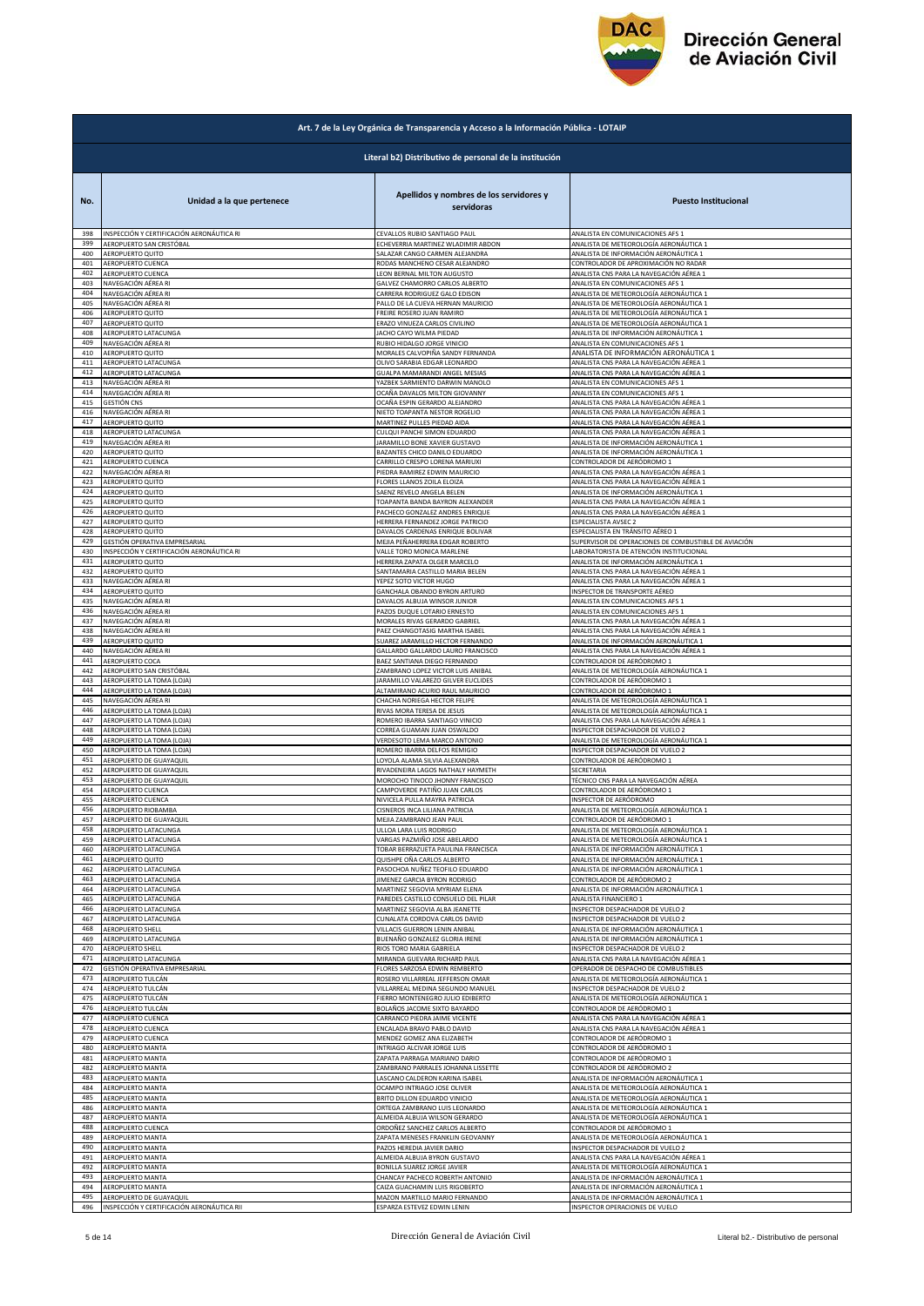

|            | Art. 7 de la Ley Orgánica de Transparencia y Acceso a la Información Pública - LOTAIP |                                                        |                                                      |  |
|------------|---------------------------------------------------------------------------------------|--------------------------------------------------------|------------------------------------------------------|--|
|            |                                                                                       | Literal b2) Distributivo de personal de la institución |                                                      |  |
| No.        | Unidad a la que pertenece                                                             | Apellidos y nombres de los servidores y<br>servidoras  | <b>Puesto Institucional</b>                          |  |
| 398        | INSPECCIÓN Y CERTIFICACIÓN AERONÁUTICA RI                                             | CEVALLOS RUBIO SANTIAGO PAUL                           | ANALISTA EN COMUNICACIONES AFS 1                     |  |
| 399        | AEROPUERTO SAN CRISTÓBAL                                                              | ECHEVERRIA MARTINEZ WLADIMIR ABDON                     | ANALISTA DE METEOROLOGÍA AERONÁUTICA 1               |  |
| 400        | AEROPUERTO QUITO                                                                      | ALAZAR CANGO CARMEN ALEJANDRA                          | ANALISTA DE INFORMACIÓN AERONÁUTICA 1                |  |
| 401        | AEROPUERTO CUENCA                                                                     | RODAS MANCHENO CESAR ALEJANDRO                         | CONTROLADOR DE APROXIMACIÓN NO RADAR                 |  |
| 402        | AEROPUERTO CUENCA                                                                     | LEON BERNAL MILTON AUGUSTO                             | ANALISTA CNS PARA LA NAVEGACIÓN AÉREA 1              |  |
| 403        | NAVEGACIÓN AÉREA RI                                                                   | GALVEZ CHAMORRO CARLOS ALBERTO                         | ANALISTA EN COMUNICACIONES AFS 1                     |  |
| 404        | NAVEGACIÓN AÉREA RI                                                                   | CARRERA RODRIGUEZ GALO EDISON                          | ANALISTA DE METEOROLOGÍA AERONÁUTICA 1               |  |
| 405        | NAVEGACIÓN AÉREA RI                                                                   | PALLO DE LA CUEVA HERNAN MAURICIO                      | ANALISTA DE METEOROLOGÍA AERONÁUTICA 1               |  |
| 406        | AEROPUERTO QUITO                                                                      | FREIRE ROSERO JUAN RAMIRO                              | ANALISTA DE METEOROLOGÍA AERONÁUTICA 1               |  |
| 407        | AEROPUERTO QUITO                                                                      | ERAZO VINUEZA CARLOS CIVILINO                          | ANALISTA DE METEOROLOGÍA AERONÁUTICA 1               |  |
| 408        | AEROPUERTO LATACUNGA                                                                  | JACHO CAYO WILMA PIEDAD                                | ANALISTA DE INFORMACIÓN AERONÁUTICA 1                |  |
| 409        | NAVEGACIÓN AÉREA RI                                                                   | RUBIO HIDALGO JORGE VINICIO                            | ANALISTA EN COMUNICACIONES AFS 1                     |  |
| 410        | <b>AEROPUERTO QUITO</b>                                                               | MORALES CALVOPIÑA SANDY FERNANDA                       | ANALISTA DE INFORMACIÓN AERONÁUTICA 1                |  |
| 411        | AEROPUERTO LATACUNGA                                                                  | OLIVO SARABIA EDGAR LEONARDO                           | ANALISTA CNS PARA LA NAVEGACIÓN AÉREA 1              |  |
| 412        | AEROPUERTO LATACUNGA                                                                  | GUALPA MAMARANDI ANGEL MESIAS                          | ANALISTA CNS PARA LA NAVEGACIÓN AÉREA 1              |  |
| 413        | NAVEGACIÓN AÉREA RI                                                                   | YAZBEK SARMIENTO DARWIN MANOLO                         | ANALISTA EN COMUNICACIONES AFS 1                     |  |
| 414        | NAVEGACIÓN AÉREA RI                                                                   | OCAÑA DAVALOS MILTON GIOVANNY                          | ANALISTA EN COMUNICACIONES AFS 1                     |  |
| 415        | <b>GESTIÓN CNS</b>                                                                    | OCAÑA ESPIN GERARDO ALEJANDRO                          | ANALISTA CNS PARA LA NAVEGACIÓN AÉREA 1              |  |
| 416        | NAVEGACIÓN AÉREA RI                                                                   | NIETO TOAPANTA NESTOR ROGELIO                          | ANALISTA CNS PARA LA NAVEGACIÓN AÉREA 1              |  |
| 417        | AEROPUERTO QUITO                                                                      | MARTINEZ PULLES PIEDAD AIDA                            | ANALISTA CNS PARA LA NAVEGACIÓN AÉREA 1              |  |
| 418        | <b>AEROPUERTO LATACUNGA</b>                                                           | CULQUI PANCHI SIMON EDUARDO                            | ANALISTA CNS PARA LA NAVEGACIÓN AÉREA 1              |  |
| 419        | NAVEGACIÓN AÉREA RI                                                                   | ARAMILLO BONE XAVIER GUSTAVO                           | ANALISTA DE INFORMACIÓN AERONÁUTICA 1                |  |
| 420        | AEROPUERTO QUITO                                                                      | BAZANTES CHICO DANILO EDUARDO                          | ANALISTA DE INFORMACIÓN AERONÁUTICA 1                |  |
| 421        | AEROPUERTO CUENCA                                                                     | CARRILLO CRESPO LORENA MARIUXI                         | CONTROLADOR DE AERÓDROMO 1                           |  |
| 422        | NAVEGACIÓN AÉREA RI                                                                   | PIEDRA RAMIREZ EDWIN MAURICIO                          | ANALISTA CNS PARA LA NAVEGACIÓN AÉREA 1              |  |
| 423        | AEROPUERTO QUITO                                                                      | FLORES LLANOS ZOILA ELOIZA                             | ANALISTA CNS PARA LA NAVEGACIÓN AÉREA 1              |  |
| 424        | AEROPUERTO QUITO                                                                      | SAENZ REVELO ANGELA BELEN                              | ANALISTA DE INFORMACIÓN AERONÁUTICA 1                |  |
| 425        | <b>AEROPUERTO QUITO</b>                                                               | TOAPANTA BANDA BAYRON ALEXANDER                        | ANALISTA CNS PARA LA NAVEGACIÓN AÉREA 1              |  |
| 426        | AEROPUERTO QUITO                                                                      | PACHECO GONZALEZ ANDRES ENRIQUE                        | ANALISTA CNS PARA LA NAVEGACIÓN AÉREA 1              |  |
| 427        | AEROPUERTO QUITO                                                                      | HERRERA FERNANDEZ JORGE PATRICIO                       | ESPECIALISTA AVSEC 2                                 |  |
| 428        | AEROPUERTO QUITO                                                                      | DAVALOS CARDENAS ENRIQUE BOLIVAR                       | ESPECIALISTA EN TRÁNSITO AÉREO 1                     |  |
| 429        | GESTIÓN OPERATIVA EMPRESARIAL                                                         | MEJIA PEÑAHERRERA EDGAR ROBERTO                        | SUPERVISOR DE OPERACIONES DE COMBUSTIBLE DE AVIACIÓN |  |
| 430        | INSPECCIÓN Y CERTIFICACIÓN AERONÁUTICA RI                                             | VALLE TORO MONICA MARLENE                              | LABORATORISTA DE ATENCIÓN INSTITUCIONAL              |  |
| 431        | AEROPUERTO QUITO                                                                      | HERRERA ZAPATA OLGER MARCELO                           | ANALISTA DE INFORMACIÓN AERONÁUTICA 1                |  |
| 432        | AEROPUERTO QUITO                                                                      | SANTAMARIA CASTILLO MARIA BELEN                        | ANALISTA CNS PARA LA NAVEGACIÓN AÉREA 1              |  |
| 433        | NAVEGACIÓN AÉREA RI                                                                   | YEPEZ SOTO VICTOR HUGO                                 | ANALISTA CNS PARA LA NAVEGACIÓN AÉREA 1              |  |
| 434        | AEROPUERTO QUITO                                                                      | GANCHALA OBANDO BYRON ARTURO                           | INSPECTOR DE TRANSPORTE AÉREO                        |  |
| 435        | NAVEGACIÓN AÉREA RI                                                                   | DAVALOS ALBUJA WINSOR JUNIOR                           | ANALISTA EN COMUNICACIONES AFS 1                     |  |
| 436        | NAVEGACIÓN AÉREA RI                                                                   | PAZOS DUQUE LOTARIO ERNESTO                            | ANALISTA EN COMUNICACIONES AFS 1                     |  |
| 437        | NAVEGACIÓN AÉREA RI                                                                   | MORALES RIVAS GERARDO GABRIEL                          | ANALISTA CNS PARA LA NAVEGACIÓN AÉREA 1              |  |
| 438        | NAVEGACIÓN AÉREA RI                                                                   | PAEZ CHANGOTASIG MARTHA ISABEI                         | ANALISTA CNS PARA LA NAVEGACIÓN AÉREA 1              |  |
| 439        | AEROPUERTO QUITO                                                                      | SUAREZ JARAMILLO HECTOR FERNANDO                       | ANALISTA DE INFORMACIÓN AERONÁUTICA 1                |  |
| 440        | NAVEGACIÓN AÉREA RI                                                                   | GALLARDO GALLARDO LAURO FRANCISCO                      | ANALISTA CNS PARA LA NAVEGACIÓN AÉREA 1              |  |
| 441        | AEROPUERTO COCA                                                                       | BAEZ SANTIANA DIEGO FERNANDO                           | CONTROLADOR DE AERÓDROMO 1                           |  |
| 442        | AEROPUERTO SAN CRISTÓBAL                                                              | ZAMBRANO LOPEZ VICTOR LUIS ANIBAL                      | ANALISTA DE METEOROLOGÍA AERONÁUTICA 1               |  |
| 443        | AEROPUERTO LA TOMA (LOJA)                                                             | JARAMILLO VALAREZO GILVER EUCLIDES                     | CONTROLADOR DE AERÓDROMO 1                           |  |
| 444        | AEROPUERTO LA TOMA (LOJA)                                                             | ALTAMIRANO ACURIO RAUL MAURICIO                        | CONTROLADOR DE AERÓDROMO 1                           |  |
| 445        | NAVEGACIÓN AÉREA RI                                                                   | CHACHA NORIEGA HECTOR FELIPE                           | ANALISTA DE METEOROLOGÍA AERONÁUTICA 1               |  |
| 446        | AEROPUERTO LA TOMA (LOJA)                                                             | RIVAS MORA TERESA DE JESUS                             | ANALISTA DE METEOROLOGÍA AERONÁUTICA 1               |  |
| 447        | AEROPUERTO LA TOMA (LOJA)                                                             | ROMERO IBARRA SANTIAGO VINICIO                         | ANALISTA CNS PARA LA NAVEGACIÓN AÉREA 1              |  |
| 448        | AEROPUERTO LA TOMA (LOJA)                                                             | CORREA GUAMAN JUAN OSWALDO                             | INSPECTOR DESPACHADOR DE VUELO 2                     |  |
| 449        | AEROPUERTO LA TOMA (LOJA)                                                             | VERDESOTO LEMA MARCO ANTONIO                           | ANALISTA DE METEOROLOGÍA AERONÁUTICA 1               |  |
| 450        | AEROPUERTO LA TOMA (LOJA)                                                             | ROMERO IBARRA DELFOS REMIGIO                           | INSPECTOR DESPACHADOR DE VUELO 2                     |  |
| 451        | AEROPUERTO DE GUAYAQUIL                                                               | LOYOLA ALAMA SILVIA ALEXANDRA                          | CONTROLADOR DE AERÓDROMO 1                           |  |
| 452        | AEROPUERTO DE GUAYAQUIL                                                               | RIVADENEIRA LAGOS NATHALY HAYMETH                      | SECRETARIA                                           |  |
| 453        | AEROPUERTO DE GUAYAQUIL                                                               | MOROCHO TINOCO JHONNY FRANCISCO                        | TÉCNICO CNS PARA LA NAVEGACIÓN AÉREA                 |  |
| 454        | AEROPUERTO CUENCA                                                                     | CAMPOVERDE PATIÑO JUAN CARLOS                          | CONTROLADOR DE AERÓDROMO 1                           |  |
| 455        | AEROPUERTO CUENCA                                                                     | NIVICELA PULLA MAYRA PATRICIA                          | INSPECTOR DE AERÓDROMO                               |  |
| 456        | AEROPUERTO RIOBAMBA                                                                   | CISNEROS INCA LILIANA PATRICIA                         | ANALISTA DE METEOROLOGIA AERONAUTICA 1               |  |
| 457        | AEROPUERTO DE GUAYAQUIL                                                               | MEJIA ZAMBRANO JEAN PAUL                               | CONTROLADOR DE AERÓDROMO 1                           |  |
| 458        | AEROPUERTO LATACUNGA                                                                  | ULLOA LARA LUIS RODRIGO                                | ANALISTA DE METEOROLOGÍA AERONÁUTICA 1               |  |
| 459        | AEROPUERTO LATACUNGA                                                                  | VARGAS PAZMIÑO JOSE ABELARDO                           | ANALISTA DE METEOROLOGÍA AERONÁUTICA 1               |  |
| 460        | AEROPUERTO LATACUNGA                                                                  | TOBAR BERRAZUETA PAULINA FRANCISCA                     | ANALISTA DE INFORMACIÓN AERONÁUTICA 1                |  |
| 461        | AEROPUERTO QUITO                                                                      | QUISHPE OÑA CARLOS ALBERTO                             | ANALISTA DE INFORMACIÓN AERONÁUTICA 1                |  |
| 462        | AEROPUERTO LATACUNGA                                                                  | PASOCHOA NUÑEZ TEOFILO EDUARDO                         | ANALISTA DE INFORMACIÓN AERONÁUTICA 1                |  |
| 463        | AEROPUERTO LATACUNGA                                                                  | JIMENEZ GARCIA BYRON RODRIGO                           | CONTROLADOR DE AERÓDROMO 2                           |  |
| 464        | AEROPUERTO LATACUNGA                                                                  | MARTINEZ SEGOVIA MYRIAM ELENA                          | ANALISTA DE INFORMACIÓN AERONÁUTICA 1                |  |
| 465        | AEROPUERTO LATACUNGA                                                                  | PAREDES CASTILLO CONSUELO DEL PILAR                    | ANALISTA FINANCIERO 1                                |  |
| 466        | AEROPUERTO LATACUNGA                                                                  | MARTINEZ SEGOVIA ALBA JEANETTE                         | INSPECTOR DESPACHADOR DE VUELO 2                     |  |
| 467        | AEROPUERTO LATACUNGA                                                                  | CUNALATA CORDOVA CARLOS DAVID                          | INSPECTOR DESPACHADOR DE VUELO 2                     |  |
| 468        | <b>AEROPUERTO SHELL</b>                                                               | VILLACIS GUERRON LENIN ANIBAL                          | ANALISTA DE INFORMACIÓN AERONÁUTICA 1                |  |
| 469        | AEROPUERTO LATACUNGA                                                                  | BUENAÑO GONZALEZ GLORIA IRENE                          | ANALISTA DE INFORMACIÓN AERONÁUTICA 1                |  |
| 470        | <b>AEROPUERTO SHELL</b>                                                               | RIOS TORO MARIA GABRIELA                               | INSPECTOR DESPACHADOR DE VUELO 2                     |  |
| 471        | AEROPUERTO LATACUNGA                                                                  | MIRANDA GUEVARA RICHARD PAUL                           | ANALISTA CNS PARA LA NAVEGACIÓN AÉREA 1              |  |
| 472        | GESTIÓN OPERATIVA EMPRESARIAL                                                         | FLORES SARZOSA EDWIN REMBERTO                          | OPERADOR DE DESPACHO DE COMBUSTIBLES                 |  |
| 473        | AEROPUERTO TULCÁN                                                                     | ROSERO VILLARREAL JEFFERSON OMAR                       | ANALISTA DE METEOROLOGÍA AERONÁUTICA 1               |  |
| 474        | AEROPUERTO TULCÁN                                                                     | VILLARREAL MEDINA SEGUNDO MANUEL                       | INSPECTOR DESPACHADOR DE VUELO 2                     |  |
| 475        | AEROPUERTO TULCÁN                                                                     | FIERRO MONTENEGRO JULIO EDIBERTO                       | ANALISTA DE METEOROLOGÍA AERONÁUTICA 1               |  |
| 476        | AEROPUERTO TULCÁN                                                                     | BOLAÑOS JACOME SIXTO BAYARDO                           | CONTROLADOR DE AERÓDROMO 1                           |  |
| 477        | AEROPUERTO CUENCA                                                                     | CARRANCO PIEDRA JAIME VICENTE                          | ANALISTA CNS PARA LA NAVEGACIÓN AÉREA 1              |  |
| 478        | AEROPUERTO CUENCA                                                                     | ENCALADA BRAVO PABLO DAVID                             | ANALISTA CNS PARA LA NAVEGACIÓN AÉREA 1              |  |
| 479        | AEROPUERTO CUENCA                                                                     | MENDEZ GOMEZ ANA ELIZABETH                             | CONTROLADOR DE AERÓDROMO 1                           |  |
| 480        | AEROPUERTO MANTA                                                                      | INTRIAGO ALCIVAR JORGE LUIS                            | CONTROLADOR DE AERÓDROMO 1                           |  |
| 481        | AEROPUERTO MANTA                                                                      | ZAPATA PARRAGA MARIANO DARIO                           | CONTROLADOR DE AERÓDROMO 1                           |  |
| 482        | AEROPUERTO MANTA                                                                      | ZAMBRANO PARRALES JOHANNA LISSETTE                     | CONTROLADOR DE AERÓDROMO 2                           |  |
| 483        | <b>AEROPUERTO MANTA</b>                                                               | LASCANO CALDERON KARINA ISABEL                         | ANALISTA DE INFORMACIÓN AERONÁUTICA 1                |  |
| 484<br>485 | AEROPUERTO MANTA                                                                      | OCAMPO INTRIAGO JOSE OLIVER                            | ANALISTA DE METEOROLOGÍA AERONÁUTICA 1               |  |
| 486        | <b>AEROPUERTO MANTA</b>                                                               | BRITO DILLON EDUARDO VINICIO                           | ANALISTA DE METEOROLOGÍA AERONÁUTICA 1               |  |
|            | AEROPUERTO MANTA                                                                      | ORTEGA ZAMBRANO LUIS LEONARDO                          | ANALISTA DE METEOROLOGÍA AERONÁUTICA 1               |  |
| 487        | AEROPUERTO MANTA                                                                      | ALMEIDA ALBUJA WILSON GERARDO                          | ANALISTA DE METEOROLOGÍA AERONÁUTICA 1               |  |
| 488        | AEROPUERTO CUENCA                                                                     | ORDOÑEZ SANCHEZ CARLOS ALBERTO                         | CONTROLADOR DE AERÓDROMO 1                           |  |
| 489        | AEROPUERTO MANTA                                                                      | ZAPATA MENESES FRANKLIN GEOVANNY                       | ANALISTA DE METEOROLOGÍA AERONÁUTICA 1               |  |
| 490        | AEROPUERTO MANTA                                                                      | PAZOS HEREDIA JAVIER DARIO                             | INSPECTOR DESPACHADOR DE VUELO 2                     |  |
| 491        | AEROPUERTO MANTA                                                                      | ALMEIDA ALBUJA BYRON GUSTAVO                           | ANALISTA CNS PARA LA NAVEGACIÓN AÉREA 1              |  |
| 492        | AEROPUERTO MANTA                                                                      | BONILLA SUAREZ JORGE JAVIER                            | ANALISTA DE METEOROLOGÍA AERONÁUTICA 1               |  |
| 493        | AEROPUERTO MANTA                                                                      | CHANCAY PACHECO ROBERTH ANTONIO                        | ANALISTA DE INFORMACIÓN AERONÁUTICA 1                |  |
| 494        | AEROPUERTO MANTA                                                                      | CAIZA GUACHAMIN LUIS RIGOBERTO                         | ANALISTA DE INFORMACIÓN AERONÁUTICA 1                |  |
| 495        | AEROPUERTO DE GUAYAQUIL                                                               | MAZON MARTILLO MARIO FERNANDO                          | ANALISTA DE INFORMACIÓN AERONÁUTICA 1                |  |
| 496        | INSPECCIÓN Y CERTIFICACIÓN AERONÁUTICA RII                                            | ESPARZA ESTEVEZ EDWIN LENIN                            | INSPECTOR OPERACIONES DE VUELO                       |  |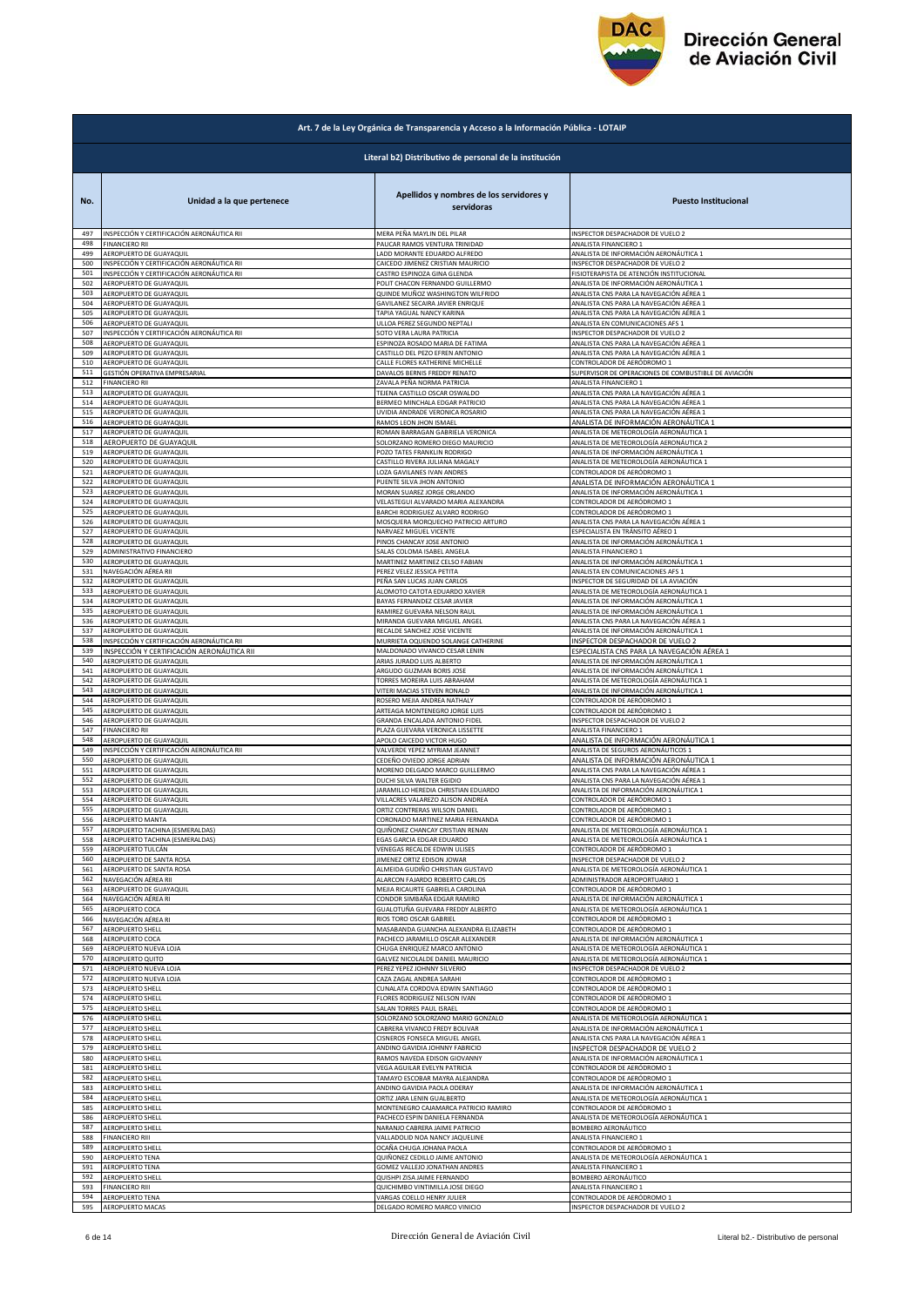

|            | Art. 7 de la Ley Orgánica de Transparencia y Acceso a la Información Pública - LOTAIP |                                                        |                                                      |  |
|------------|---------------------------------------------------------------------------------------|--------------------------------------------------------|------------------------------------------------------|--|
|            |                                                                                       | Literal b2) Distributivo de personal de la institución |                                                      |  |
| No.        | Unidad a la que pertenece                                                             | Apellidos y nombres de los servidores y<br>servidoras  | <b>Puesto Institucional</b>                          |  |
| 497        | INSPECCIÓN Y CERTIFICACIÓN AERONÁUTICA RII                                            | MERA PEÑA MAYLIN DEL PILAR                             | INSPECTOR DESPACHADOR DE VUELO 2                     |  |
| 498        | <b>FINANCIERO RII</b>                                                                 | PAUCAR RAMOS VENTURA TRINIDAD                          | ANALISTA FINANCIERO 1                                |  |
| 499        | AEROPUERTO DE GUAYAQUIL                                                               | LADD MORANTE EDUARDO ALFREDO                           | ANALISTA DE INFORMACIÓN AERONÁUTICA 1                |  |
| 500        | INSPECCIÓN Y CERTIFICACIÓN AERONÁUTICA RII                                            | CAICEDO JIMENEZ CRISTIAN MAURICIO                      | INSPECTOR DESPACHADOR DE VUELO 2                     |  |
| 501        | INSPECCIÓN Y CERTIFICACIÓN AERONÁUTICA RII                                            | CASTRO ESPINOZA GINA GLENDA                            | FISIOTERAPISTA DE ATENCIÓN INSTITUCIONAL             |  |
| 502        | AEROPUERTO DE GUAYAQUIL                                                               | POLIT CHACON FERNANDO GUILLERMO                        | ANALISTA DE INFORMACIÓN AERONÁUTICA 1                |  |
| 503        | AEROPUERTO DE GUAYAQUIL                                                               | QUINDE MUÑOZ WASHINGTON WILFRIDO                       | ANALISTA CNS PARA LA NAVEGACIÓN AÉREA 1              |  |
| 504        | AEROPUERTO DE GUAYAQUIL                                                               | GAVILANEZ SECAIRA JAVIER ENRIQUE                       | ANALISTA CNS PARA LA NAVEGACIÓN AÉREA 1              |  |
| 505        | AEROPUERTO DE GUAYAQUIL                                                               | TAPIA YAGUAL NANCY KARINA                              | ANALISTA CNS PARA LA NAVEGACIÓN AÉREA 1              |  |
| 506        | AEROPUERTO DE GUAYAQUIL                                                               | ULLOA PEREZ SEGUNDO NEPTALI                            | ANALISTA EN COMUNICACIONES AFS 1                     |  |
| 507        | INSPECCIÓN Y CERTIFICACIÓN AERONÁUTICA RII                                            | SOTO VERA LAURA PATRICIA                               | INSPECTOR DESPACHADOR DE VUELO 2                     |  |
| 508        | AEROPUERTO DE GUAYAQUIL                                                               | ESPINOZA ROSADO MARIA DE FATIMA                        | ANALISTA CNS PARA LA NAVEGACIÓN AÉREA 1              |  |
| 509        | AEROPUERTO DE GUAYAQUIL                                                               | CASTILLO DEL PEZO EFREN ANTONIO                        | ANALISTA CNS PARA LA NAVEGACIÓN AÉREA 1              |  |
| 510        | AEROPUERTO DE GUAYAQUIL                                                               | CALLE FLORES KATHERINE MICHELLE                        | CONTROLADOR DE AERÓDROMO 1                           |  |
| 511        | GESTIÓN OPERATIVA EMPRESARIAL                                                         | DAVALOS BERNIS FREDDY RENATO                           | SUPERVISOR DE OPERACIONES DE COMBUSTIBLE DE AVIACIÓN |  |
| 512        | <b>FINANCIERO RII</b>                                                                 | ZAVALA PEÑA NORMA PATRICIA                             | ANALISTA FINANCIERO 1                                |  |
| 513        | AEROPUERTO DE GUAYAQUIL                                                               | TEJENA CASTILLO OSCAR OSWALDO                          | ANALISTA CNS PARA LA NAVEGACIÓN AÉREA 1              |  |
| 514        | AEROPUERTO DE GUAYAQUIL                                                               | BERMEO MINCHALA EDGAR PATRICIO                         | ANALISTA CNS PARA LA NAVEGACIÓN AÉREA 1              |  |
| 515        | AEROPUERTO DE GUAYAQUIL                                                               | UVIDIA ANDRADE VERONICA ROSARIO                        | ANALISTA CNS PARA LA NAVEGACIÓN AÉREA 1              |  |
| 516        | AEROPUERTO DE GUAYAQUIL                                                               | RAMOS LEON JHON ISMAEL                                 | ANALISTA DE INFORMACIÓN AERONÁUTICA 1                |  |
| 517        | AEROPUERTO DE GUAYAQUIL                                                               | ROMAN BARRAGAN GABRIELA VERONICA                       | ANALISTA DE METEOROLOGÍA AERONÁUTICA 1               |  |
| 518        | AEROPUERTO DE GUAYAQUIL                                                               | SOLORZANO ROMERO DIEGO MAURICIO                        | ANALISTA DE METEOROLOGÍA AERONÁUTICA 2               |  |
| 519        | AEROPUERTO DE GUAYAQUIL                                                               | POZO TATES FRANKLIN RODRIGO                            | ANALISTA DE INFORMACIÓN AERONÁUTICA 1                |  |
| 520        | AEROPUERTO DE GUAYAQUIL                                                               | CASTILLO RIVERA JULIANA MAGALY                         | ANALISTA DE METEOROLOGÍA AERONÁUTICA 1               |  |
| 521        | AEROPUERTO DE GUAYAQUIL                                                               | LOZA GAVILANES IVAN ANDRES                             | CONTROLADOR DE AERÓDROMO 1                           |  |
| 522        | AEROPUERTO DE GUAYAQUIL                                                               | PUENTE SILVA JHON ANTONIO                              | ANALISTA DE INFORMACIÓN AERONÁUTICA 1                |  |
| 523        | AEROPUERTO DE GUAYAQUIL                                                               | MORAN SUAREZ JORGE ORLANDO                             | ANALISTA DE INFORMACIÓN AERONÁUTICA 1                |  |
| 524        | AEROPUERTO DE GUAYAQUIL                                                               | VELASTEGUI ALVARADO MARIA ALEXANDRA                    | CONTROLADOR DE AERÓDROMO 1                           |  |
| 525        | AEROPUERTO DE GUAYAQUIL                                                               | BARCHI RODRIGUEZ ALVARO RODRIGO                        | CONTROLADOR DE AERÓDROMO 1                           |  |
| 526        | AEROPUERTO DE GUAYAQUIL                                                               | MOSQUERA MORQUECHO PATRICIO ARTURO                     | ANALISTA CNS PARA LA NAVEGACIÓN AÉREA 1              |  |
| 527        | AEROPUERTO DE GUAYAQUIL                                                               | NARVAEZ MIGUEL VICENTE                                 | ESPECIALISTA EN TRÁNSITO AÉREO 1                     |  |
| 528        | AEROPUERTO DE GUAYAQUIL                                                               | PINOS CHANCAY JOSE ANTONIO                             | ANALISTA DE INFORMACIÓN AERONÁUTICA 1                |  |
| 529        | ADMINISTRATIVO FINANCIERO                                                             | SALAS COLOMA ISABEL ANGELA                             | ANALISTA FINANCIERO 1                                |  |
| 530        | AEROPUERTO DE GUAYAQUIL                                                               | MARTINEZ MARTINEZ CELSO FABIAN                         | ANALISTA DE INFORMACIÓN AERONÁUTICA 1                |  |
| 531        | NAVEGACIÓN AÉREA RII                                                                  | PEREZ VELEZ JESSICA PETITA                             | ANALISTA EN COMUNICACIONES AFS 1                     |  |
| 532        | AEROPUERTO DE GUAYAQUIL                                                               | PEÑA SAN LUCAS JUAN CARLOS                             | INSPECTOR DE SEGURIDAD DE LA AVIACIÓN                |  |
| 533        | AEROPUERTO DE GUAYAQUIL                                                               | ALOMOTO CATOTA EDUARDO XAVIER                          | ANALISTA DE METEOROLOGÍA AERONÁUTICA 1               |  |
| 534        | AEROPUERTO DE GUAYAQUIL                                                               | BAYAS FERNANDEZ CESAR JAVIER                           | ANALISTA DE INFORMACIÓN AERONÁUTICA 1                |  |
| 535        | AEROPUERTO DE GUAYAQUIL                                                               | RAMIREZ GUEVARA NELSON RAUL                            | ANALISTA DE INFORMACIÓN AERONÁUTICA 1                |  |
| 536        | AEROPUERTO DE GUAYAQUIL                                                               | MIRANDA GUEVARA MIGUEL ANGEL                           | ANALISTA CNS PARA LA NAVEGACIÓN AÉREA 1              |  |
| 537        | AEROPUERTO DE GUAYAQUIL                                                               | RECALDE SANCHEZ JOSE VICENTE                           | ANALISTA DE INFORMACIÓN AERONÁUTICA 1                |  |
| 538        | INSPECCIÓN Y CERTIFICACIÓN AERONÁUTICA RII                                            | MURRIETA OQUENDO SOLANGE CATHERINE                     | INSPECTOR DESPACHADOR DE VUELO 2                     |  |
| 539        | INSPECCIÓN Y CERTIFICACIÓN AERONÁUTICA RII                                            | MALDONADO VIVANCO CESAR LENIN                          | ESPECIALISTA CNS PARA LA NAVEGACIÓN AÉREA 1          |  |
| 540        | AEROPUERTO DE GUAYAQUIL                                                               | ARIAS JURADO LUIS ALBERTO                              | ANALISTA DE INFORMACIÓN AERONÁUTICA 1                |  |
| 541        | AEROPUERTO DE GUAYAQUIL                                                               | ARGUDO GUZMAN BORIS JOSE                               | ANALISTA DE INFORMACIÓN AERONÁUTICA 1                |  |
| 542        | AEROPUERTO DE GUAYAQUIL                                                               | TORRES MOREIRA LUIS ABRAHAM                            | ANALISTA DE METEOROLOGÍA AERONÁUTICA 1               |  |
| 543        | AEROPUERTO DE GUAYAQUIL                                                               | VITERI MACIAS STEVEN RONALD                            | ANALISTA DE INFORMACIÓN AERONÁUTICA 1                |  |
| 544        | AEROPUERTO DE GUAYAQUIL                                                               | ROSERO MEJIA ANDREA NATHALY                            | CONTROLADOR DE AERÓDROMO 1                           |  |
| 545        | AEROPUERTO DE GUAYAQUIL                                                               | ARTEAGA MONTENEGRO JORGE LUIS                          | CONTROLADOR DE AERÓDROMO 1                           |  |
| 546        | AEROPUERTO DE GUAYAQUIL                                                               | GRANDA ENCALADA ANTONIO FIDEL                          | INSPECTOR DESPACHADOR DE VUELO 2                     |  |
| 547        | FINANCIERO RII                                                                        | PLAZA GUEVARA VERONICA LISSETTE                        | ANALISTA FINANCIERO 1                                |  |
| 548        | AEROPUERTO DE GUAYAQUIL                                                               | APOLO CAICEDO VICTOR HUGO                              | ANALISTA DE INFORMACIÓN AERONÁUTICA 1                |  |
| 549        | INSPECCIÓN Y CERTIFICACIÓN AERONÁUTICA RII                                            | VALVERDE YEPEZ MYRIAM JEANNET                          | ANALISTA DE SEGUROS AERONÁUTICOS 1                   |  |
| 550        | AEROPUERTO DE GUAYAQUIL                                                               | CEDEÑO OVIEDO JORGE ADRIAN                             | ANALISTA DE INFORMACIÓN AERONÁUTICA 1                |  |
| 551        | AEROPUERTO DE GUAYAQUIL                                                               | MORENO DELGADO MARCO GUILLERMO                         | ANALISTA CNS PARA LA NAVEGACIÓN AÉREA 1              |  |
| 552        | AEROPUERTO DE GUAYAQUIL                                                               | DUCHI SILVA WALTER EGIDIO                              | ANALISTA CNS PARA LA NAVEGACIÓN AÉREA 1              |  |
| 553        | AEROPUERTO DE GUAYAQUIL                                                               | JARAMILLO HEREDIA CHRISTIAN EDUARDO                    | ANALISTA DE INFORMACIÓN AERONÁUTICA 1                |  |
| 554        | AEROPUERTO DE GUAYAQUIL                                                               | VILLACRES VALAREZO ALISON ANDREA                       | CONTROLADOR DE AERÓDROMO 1                           |  |
| 555        | AEROPUERTO DE GUAYAQUIL                                                               | ORTIZ CONTRERAS WILSON DANIEL                          | CONTROLADOR DE AERODROMO 1                           |  |
| 556        | AEROPUERTO MANTA                                                                      | CORONADO MARTINEZ MARIA FERNANDA                       | CONTROLADOR DE AERÓDROMO 1                           |  |
| 557<br>558 | AEROPUERTO TACHINA (ESMERALDAS)                                                       | QUIÑONEZ CHANCAY CRISTIAN RENAN                        | ANALISTA DE METEOROLOGÍA AERONÁUTICA 1               |  |
| 559        | AEROPUERTO TACHINA (ESMERALDAS)                                                       | EGAS GARCIA EDGAR EDUARDO                              | ANALISTA DE METEOROLOGÍA AERONÁUTICA 1               |  |
|            | AEROPUERTO TULCÁN                                                                     | VENEGAS RECALDE EDWIN ULISES                           | CONTROLADOR DE AERÓDROMO 1                           |  |
| 560        | AEROPUERTO DE SANTA ROSA                                                              | JIMENEZ ORTIZ EDISON JOWAR                             | INSPECTOR DESPACHADOR DE VUELO 2                     |  |
| 561        | AEROPUERTO DE SANTA ROSA                                                              | ALMEIDA GUDIÑO CHRISTIAN GUSTAVO                       | ANALISTA DE METEOROLOGÍA AERONÁUTICA 1               |  |
| 562        | NAVEGACIÓN AÉREA RII                                                                  | ALARCON FAJARDO ROBERTO CARLOS                         | ADMINISTRADOR AEROPORTUARIO 1                        |  |
| 563        | AEROPUERTO DE GUAYAQUIL                                                               | MEJIA RICAURTE GABRIELA CAROLINA                       | CONTROLADOR DE AERÓDROMO 1                           |  |
| 564        | NAVEGACIÓN AÉREA RI                                                                   | CONDOR SIMBAÑA EDGAR RAMIRO                            | ANALISTA DE INFORMACIÓN AERONÁUTICA 1                |  |
| 565        | AEROPUERTO COCA                                                                       | GUALOTUÑA GUEVARA FREDDY ALBERTO                       | ANALISTA DE METEOROLOGÍA AERONÁUTICA 1               |  |
| 566        | NAVEGACIÓN AÉREA RI                                                                   | RIOS TORO OSCAR GABRIEL                                | CONTROLADOR DE AERÓDROMO 1                           |  |
| 567        | <b>AEROPUERTO SHELL</b>                                                               | MASABANDA GUANCHA ALEXANDRA ELIZABETH                  | CONTROLADOR DE AERÓDROMO 1                           |  |
| 568        | AEROPUERTO COCA                                                                       | PACHECO JARAMILLO OSCAR ALEXANDER                      | ANALISTA DE INFORMACIÓN AERONÁUTICA 1                |  |
| 569        | AEROPUERTO NUEVA LOJA                                                                 | CHUGA ENRIQUEZ MARCO ANTONIO                           | ANALISTA DE METEOROLOGÍA AERONÁUTICA 1               |  |
| 570        | AEROPUERTO QUITO                                                                      | GALVEZ NICOLALDE DANIEL MAURICIO                       | ANALISTA DE METEOROLOGÍA AERONÁUTICA 1               |  |
| 571        | AEROPUERTO NUEVA LOJA                                                                 | PEREZ YEPEZ JOHNNY SILVERIO                            | INSPECTOR DESPACHADOR DE VUELO 2                     |  |
| 572        | AEROPUERTO NUEVA LOJA                                                                 | CAZA ZAGAL ANDREA SARAHI                               | CONTROLADOR DE AERÓDROMO 1                           |  |
| 573        | AEROPUERTO SHELL                                                                      | CUNALATA CORDOVA EDWIN SANTIAGO                        | CONTROLADOR DE AERÓDROMO 1                           |  |
| 574        | AEROPUERTO SHELL                                                                      | FLORES RODRIGUEZ NELSON IVAN                           | CONTROLADOR DE AERÓDROMO 1                           |  |
| 575        | AEROPUERTO SHELL                                                                      | SALAN TORRES PAUL ISRAEL                               | CONTROLADOR DE AERÓDROMO 1                           |  |
| 576        | AEROPUERTO SHELL                                                                      | SOLORZANO SOLORZANO MARIO GONZALO                      | ANALISTA DE METEOROLOGÍA AERONÁUTICA 1               |  |
| 577        | <b>AEROPUERTO SHELL</b>                                                               | CABRERA VIVANCO FREDY BOLIVAR                          | ANALISTA DE INFORMACIÓN AERONÁUTICA 1                |  |
| 578        | AEROPUERTO SHELL                                                                      | CISNEROS FONSECA MIGUEL ANGEL                          | ANALISTA CNS PARA LA NAVEGACIÓN AÉREA 1              |  |
| 579        | AEROPUERTO SHELL                                                                      | ANDINO GAVIDIA JOHNNY FABRICIO                         | INSPECTOR DESPACHADOR DE VUELO 2                     |  |
| 580        | AEROPUERTO SHELL                                                                      | RAMOS NAVEDA EDISON GIOVANNY                           | ANALISTA DE INFORMACIÓN AERONÁUTICA 1                |  |
| 581        | AEROPUERTO SHELL                                                                      | VEGA AGUILAR EVELYN PATRICIA                           | CONTROLADOR DE AERÓDROMO 1                           |  |
| 582        | AEROPUERTO SHELL                                                                      | TAMAYO ESCOBAR MAYRA ALEJANDRA                         | CONTROLADOR DE AERÓDROMO 1                           |  |
| 583        | AEROPUERTO SHELL                                                                      | ANDINO GAVIDIA PAOLA ODERAY                            | ANALISTA DE INFORMACIÓN AERONÁUTICA 1                |  |
| 584        | <b>AEROPUERTO SHELL</b>                                                               | ORTIZ JARA LENIN GUALBERTO                             | ANALISTA DE METEOROLOGÍA AERONÁUTICA 1               |  |
| 585        | AEROPUERTO SHELL                                                                      | MONTENEGRO CAJAMARCA PATRICIO RAMIRO                   | CONTROLADOR DE AERÓDROMO 1                           |  |
| 586        | AEROPUERTO SHELL                                                                      | PACHECO ESPIN DANIELA FERNANDA                         | ANALISTA DE METEOROLOGÍA AERONÁUTICA 1               |  |
| 587        | AEROPUERTO SHELL                                                                      | NARANJO CABRERA JAIME PATRICIO                         | BOMBERO AERONÁUTICO                                  |  |
| 588        | <b>FINANCIERO RIII</b>                                                                | VALLADOLID NOA NANCY JAQUELINE                         | ANALISTA FINANCIERO 1                                |  |
| 589        | <b>AEROPUERTO SHELL</b>                                                               | OCAÑA CHUGA JOHANA PAOLA                               | CONTROLADOR DE AERÓDROMO 1                           |  |
| 590        | AEROPUERTO TENA                                                                       | QUIÑONEZ CEDILLO JAIME ANTONIO                         | ANALISTA DE METEOROLOGÍA AERONÁUTICA 1               |  |
| 591        | <b>AEROPUERTO TENA</b>                                                                | GOMEZ VALLEJO JONATHAN ANDRES                          | ANALISTA FINANCIERO 1                                |  |
| 592        | AEROPUERTO SHELL                                                                      | QUISHPI ZISA JAIME FERNANDO                            | BOMBERO AERONÁUTICO                                  |  |
| 593        | <b>FINANCIERO RIII</b>                                                                | QUICHIMBO VINTIMILLA JOSE DIEGO                        | ANALISTA FINANCIERO 1                                |  |
| 594        | AEROPUERTO TENA                                                                       | VARGAS COELLO HENRY JULIER                             | CONTROLADOR DE AERÓDROMO 1                           |  |
| 595        | AEROPUERTO MACAS                                                                      | DELGADO ROMERO MARCO VINICIO                           | INSPECTOR DESPACHADOR DE VUELO 2                     |  |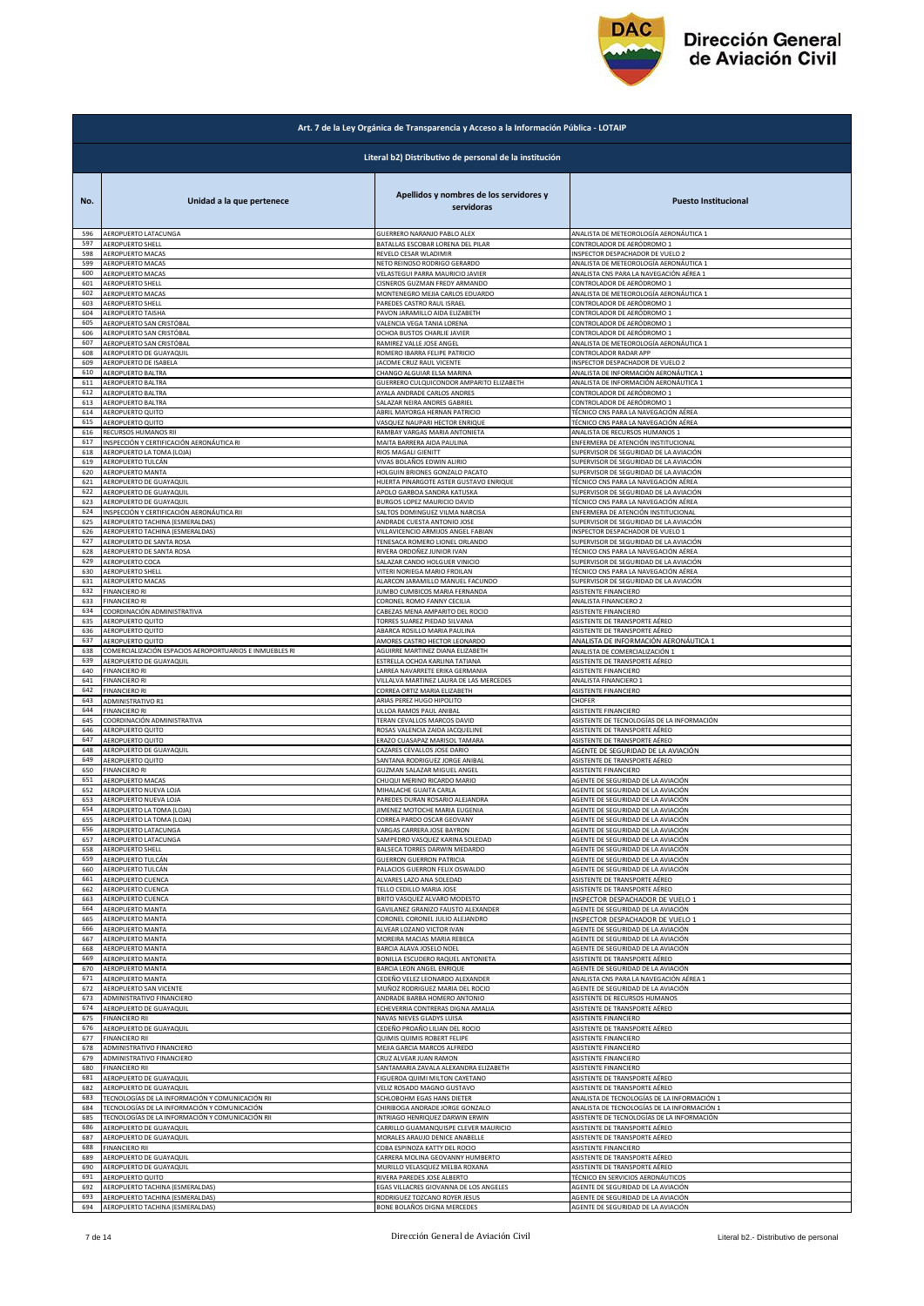

|     | Art. 7 de la Ley Orgánica de Transparencia y Acceso a la Información Pública - LOTAIP |                                                       |                                             |  |
|-----|---------------------------------------------------------------------------------------|-------------------------------------------------------|---------------------------------------------|--|
|     | Literal b2) Distributivo de personal de la institución                                |                                                       |                                             |  |
| No. | Unidad a la que pertenece                                                             | Apellidos y nombres de los servidores y<br>servidoras | <b>Puesto Institucional</b>                 |  |
| 596 | AEROPUERTO LATACUNGA                                                                  | GUERRERO NARANJO PABLO ALEX                           | ANALISTA DE METEOROLOGÍA AERONÁUTICA 1      |  |
| 597 | <b>AEROPUERTO SHELL</b>                                                               | BATALLAS ESCOBAR LORENA DEL PILAR                     | CONTROLADOR DE AERÓDROMO 1                  |  |
| 598 | AEROPUERTO MACAS                                                                      | REVELO CESAR WLADIMIR                                 | INSPECTOR DESPACHADOR DE VUELO 2            |  |
| 599 | AEROPUERTO MACAS                                                                      | NETO REINOSO RODRIGO GERARDO                          | ANALISTA DE METEOROLOGÍA AERONÁUTICA 1      |  |
| 600 | AEROPUERTO MACAS                                                                      | VELASTEGUI PARRA MAURICIO JAVIER                      | ANALISTA CNS PARA LA NAVEGACIÓN AÉREA 1     |  |
| 601 | AEROPUERTO SHELL                                                                      | CISNEROS GUZMAN FREDY ARMANDO                         | CONTROLADOR DE AERÓDROMO 1                  |  |
| 602 | AEROPUERTO MACAS                                                                      | MONTENEGRO MEJIA CARLOS EDUARDO                       | ANALISTA DE METEOROLOGÍA AERONÁUTICA 1      |  |
| 603 | AEROPUERTO SHELL                                                                      | PAREDES CASTRO RAUL ISRAEL                            | CONTROLADOR DE AERÓDROMO 1                  |  |
| 604 | AEROPUERTO TAISHA                                                                     | PAVON JARAMILLO AIDA ELIZABETH                        | CONTROLADOR DE AERÓDROMO 1                  |  |
| 605 | AEROPUERTO SAN CRISTÓBAL                                                              | VALENCIA VEGA TANIA LORENA                            | CONTROLADOR DE AERÓDROMO 1                  |  |
| 606 | AEROPUERTO SAN CRISTÓBAL                                                              | OCHOA BUSTOS CHARLIE JAVIER                           | CONTROLADOR DE AERÓDROMO 1                  |  |
| 607 | AEROPUERTO SAN CRISTÓBAL                                                              | RAMIREZ VALLE JOSE ANGEL                              | ANALISTA DE METEOROLOGÍA AERONÁUTICA 1      |  |
| 608 | AEROPUERTO DE GUAYAQUIL                                                               | ROMERO IBARRA FELIPE PATRICIO                         | CONTROLADOR RADAR APP                       |  |
| 609 | AEROPUERTO DE ISABELA                                                                 | JACOME CRUZ RAUL VICENTE                              | INSPECTOR DESPACHADOR DE VUELO 2            |  |
| 610 | AEROPUERTO BALTRA                                                                     | CHANGO ALGUIAR ELSA MARINA                            | ANALISTA DE INFORMACIÓN AERONÁUTICA 1       |  |
| 611 | AEROPUERTO BALTRA                                                                     | GUERRERO CULQUICONDOR AMPARITO ELIZABETH              | ANALISTA DE INFORMACIÓN AERONÁUTICA 1       |  |
| 612 | AEROPUERTO BALTRA                                                                     | AYALA ANDRADE CARLOS ANDRES                           | CONTROLADOR DE AERÓDROMO 1                  |  |
| 613 | AEROPUERTO BALTRA                                                                     | SALAZAR NEIRA ANDRES GABRIEL                          | CONTROLADOR DE AERÓDROMO 1                  |  |
| 614 | AEROPUERTO QUITO                                                                      | ABRIL MAYORGA HERNAN PATRICIO                         | TÉCNICO CNS PARA LA NAVEGACIÓN AÉREA        |  |
| 615 | AEROPUERTO QUITO                                                                      | VASQUEZ NAUPARI HECTOR ENRIQUE                        | TÉCNICO CNS PARA LA NAVEGACIÓN AÉREA        |  |
| 616 | RECURSOS HUMANOS RII                                                                  | RAMBAY VARGAS MARIA ANTONIETA                         | ANALISTA DE RECURSOS HUMANOS 1              |  |
| 617 | INSPECCIÓN Y CERTIFICACIÓN AERONÁUTICA RI                                             | MAITA BARRERA AIDA PAULINA                            | ENFERMERA DE ATENCIÓN INSTITUCIONAL         |  |
| 618 | AEROPUERTO LA TOMA (LOJA)                                                             | RIOS MAGALI GIENITT                                   | SUPERVISOR DE SEGURIDAD DE LA AVIACIÓN      |  |
| 619 | AEROPUERTO TULCÁN                                                                     | VIVAS BOLAÑOS EDWIN ALIRIO                            | SUPERVISOR DE SEGURIDAD DE LA AVIACIÓN      |  |
| 620 | AEROPUERTO MANTA                                                                      | HOLGUIN BRIONES GONZALO PACATO                        | SUPERVISOR DE SEGURIDAD DE LA AVIACIÓN      |  |
| 621 | AEROPUERTO DE GUAYAQUIL                                                               | HUERTA PINARGOTE ASTER GUSTAVO ENRIQUE                | TÉCNICO CNS PARA LA NAVEGACIÓN AÉREA        |  |
| 622 | AEROPUERTO DE GUAYAQUIL                                                               | APOLO GARBOA SANDRA KATUSKA                           | SUPERVISOR DE SEGURIDAD DE LA AVIACIÓN      |  |
| 623 | AEROPUERTO DE GUAYAQUIL                                                               | BURGOS LOPEZ MAURICIO DAVID                           | TÉCNICO CNS PARA LA NAVEGACIÓN AÉREA        |  |
| 624 | INSPECCIÓN Y CERTIFICACIÓN AERONÁUTICA RII                                            | SALTOS DOMINGUEZ VILMA NARCISA                        | ENFERMERA DE ATENCIÓN INSTITUCIONAL         |  |
| 625 | AEROPUERTO TACHINA (ESMERALDAS)                                                       | ANDRADE CUESTA ANTONIO JOSE                           | SUPERVISOR DE SEGURIDAD DE LA AVIACIÓN      |  |
| 626 | AEROPUERTO TACHINA (ESMERALDAS)                                                       | VILLAVICENCIO ARMIJOS ANGEL FABIAN                    | INSPECTOR DESPACHADOR DE VUELO 1            |  |
| 627 | AEROPUERTO DE SANTA ROSA                                                              | TENESACA ROMERO LIONEL ORLANDO                        | SUPERVISOR DE SEGURIDAD DE LA AVIACIÓN      |  |
| 628 | AEROPUERTO DE SANTA ROSA                                                              | RIVERA ORDOÑEZ JUNIOR IVAN                            | TÉCNICO CNS PARA LA NAVEGACIÓN AÉREA        |  |
| 629 | AEROPUERTO COCA                                                                       | SALAZAR CANDO HOLGUER VINICIO                         | SUPERVISOR DE SEGURIDAD DE LA AVIACIÓN      |  |
| 630 | AEROPUERTO SHELL                                                                      | VITERI NORIEGA MARIO FROILAN                          | TÉCNICO CNS PARA LA NAVEGACIÓN AÉREA        |  |
| 631 | AEROPUERTO MACAS                                                                      | ALARCON JARAMILLO MANUEL FACUNDO                      | SUPERVISOR DE SEGURIDAD DE LA AVIACIÓN      |  |
| 632 | <b>FINANCIERO RI</b>                                                                  | JUMBO CUMBICOS MARIA FERNANDA                         | ASISTENTE FINANCIERO                        |  |
| 633 | <b>FINANCIERO RI</b>                                                                  | CORONEL ROMO FANNY CECILIA                            | ANALISTA FINANCIERO 2                       |  |
| 634 | COORDINACIÓN ADMINISTRATIVA                                                           | CABEZAS MENA AMPARITO DEL ROCIO                       | ASISTENTE FINANCIERO                        |  |
| 635 | AEROPUERTO QUITO                                                                      | TORRES SUAREZ PIEDAD SILVANA                          | ASISTENTE DE TRANSPORTE AÉREO               |  |
| 636 | AEROPUERTO QUITO                                                                      | ABARCA ROSILLO MARIA PAULINA                          | ASISTENTE DE TRANSPORTE AÉREO               |  |
| 637 | AEROPUERTO QUITO                                                                      | AMORES CASTRO HECTOR LEONARDO                         | ANALISTA DE INFORMACIÓN AERONÁUTICA 1       |  |
| 638 | COMERCIALIZACIÓN ESPACIOS AEROPORTUARIOS E INMUEBLES RI                               | AGUIRRE MARTINEZ DIANA ELIZABETH                      | ANALISTA DE COMERCIALIZACIÓN 1              |  |
| 639 | AEROPUERTO DE GUAYAQUIL                                                               | ESTRELLA OCHOA KARLINA TATIANA                        | ASISTENTE DE TRANSPORTE AÉREO               |  |
| 640 | <b>FINANCIERO RI</b>                                                                  | LARREA NAVARRETE ERIKA GERMANIA                       | ASISTENTE FINANCIERO                        |  |
| 641 | <b>FINANCIERO RI</b>                                                                  | VILLALVA MARTINEZ LAURA DE LAS MERCEDES               | ANALISTA FINANCIERO 1                       |  |
| 642 | <b>FINANCIERO RI</b>                                                                  | CORREA ORTIZ MARIA ELIZABETH                          | ASISTENTE FINANCIERO                        |  |
| 643 | ADMINISTRATIVO R1                                                                     | ARIAS PEREZ HUGO HIPOLITO                             | CHOFER                                      |  |
| 644 | <b>FINANCIERO RI</b>                                                                  | ULLOA RAMOS PAUL ANIBAL                               | ASISTENTE FINANCIERO                        |  |
| 645 | COORDINACIÓN ADMINISTRATIVA                                                           | TERAN CEVALLOS MARCOS DAVID                           | ASISTENTE DE TECNOLOGÍAS DE LA INFORMACIÓN  |  |
| 646 | AEROPUERTO QUITO                                                                      | ROSAS VALENCIA ZAIDA JACQUELINE                       | ASISTENTE DE TRANSPORTE AÉREO               |  |
| 647 | AEROPUERTO QUITO                                                                      | ERAZO CUASAPAZ MARISOL TAMARA                         | ASISTENTE DE TRANSPORTE AÉREO               |  |
| 648 | AEROPUERTO DE GUAYAQUIL                                                               | CAZARES CEVALLOS JOSE DARIO                           | AGENTE DE SEGURIDAD DE LA AVIACIÓN          |  |
| 649 | AEROPUERTO QUITO                                                                      | SANTANA RODRIGUEZ JORGE ANIBAL                        | ASISTENTE DE TRANSPORTE AÉREO               |  |
| 650 | <b>FINANCIERO RI</b>                                                                  | GUZMAN SALAZAR MIGUEL ANGEL                           | ASISTENTE FINANCIERO                        |  |
| 651 | AEROPUERTO MACAS                                                                      | CHUQUI MERINO RICARDO MARIO                           | AGENTE DE SEGURIDAD DE LA AVIACIÓN          |  |
| 652 | AEROPUERTO NUEVA LOJA                                                                 | MIHALACHE GUAITA CARLA                                | AGENTE DE SEGURIDAD DE LA AVIACIÓN          |  |
| 653 | AEROPUERTO NUEVA LOJA                                                                 | PAREDES DURAN ROSARIO ALEJANDRA                       | AGENTE DE SEGURIDAD DE LA AVIACIÓN          |  |
| 654 | AEROPUERTO LA TOMA (LOJA                                                              | IIMENEZ MOTOCHE MARIA FUGENIA                         | AGENTE DE SEGURIDAD DE LA AVIACION          |  |
| 655 | AEROPUERTO LA TOMA (LOJA)                                                             | CORREA PARDO OSCAR GEOVANY                            | AGENTE DE SEGURIDAD DE LA AVIACIÓN          |  |
| 656 | AEROPUERTO LATACUNGA                                                                  | VARGAS CARRERA JOSE BAYRON                            | AGENTE DE SEGURIDAD DE LA AVIACIÓN          |  |
| 657 | AEROPUERTO LATACUNGA                                                                  | SAMPEDRO VASQUEZ KARINA SOLEDAD                       | AGENTE DE SEGURIDAD DE LA AVIACIÓN          |  |
| 658 | <b>AEROPUERTO SHELL</b>                                                               | BALSECA TORRES DARWIN MEDARDO                         | AGENTE DE SEGURIDAD DE LA AVIACIÓN          |  |
| 659 | AEROPUERTO TULCÁN                                                                     | <b>GUERRON GUERRON PATRICIA</b>                       | AGENTE DE SEGURIDAD DE LA AVIACIÓN          |  |
| 660 | AEROPUERTO TULCÁN                                                                     | PALACIOS GUERRON FELIX OSWALDO                        | AGENTE DE SEGURIDAD DE LA AVIACIÓN          |  |
| 661 | AEROPUERTO CUENCA                                                                     | ALVARES LAZO ANA SOLEDAD                              | ASISTENTE DE TRANSPORTE AÉREO               |  |
| 662 | AEROPUERTO CUENCA<br>AEROPUERTO CUENCA                                                | TELLO CEDILLO MARIA JOSE                              | ASISTENTE DE TRANSPORTE AÉREO               |  |
| 663 | AEROPUERTO MANTA                                                                      | BRITO VASQUEZ ALVARO MODESTO                          | INSPECTOR DESPACHADOR DE VUELO 1            |  |
| 664 |                                                                                       | GAVILANEZ GRANIZO FAUSTO ALEXANDER                    | AGENTE DE SEGURIDAD DE LA AVIACIÓN          |  |
| 665 | AEROPUERTO MANTA                                                                      | CORONEL CORONEL JULIO ALEJANDRO                       | INSPECTOR DESPACHADOR DE VUELO 1            |  |
| 666 | AEROPUERTO MANTA                                                                      | ALVEAR LOZANO VICTOR IVAN                             | AGENTE DE SEGURIDAD DE LA AVIACIÓN          |  |
| 667 | <b>AEROPUERTO MANTA</b>                                                               | MOREIRA MACIAS MARIA REBECA                           | AGENTE DE SEGURIDAD DE LA AVIACIÓN          |  |
| 668 | AEROPUERTO MANTA                                                                      | BARCIA ALAVA JOSELO NOEL                              | AGENTE DE SEGURIDAD DE LA AVIACIÓN          |  |
| 669 | AEROPUERTO MANTA                                                                      | BONILLA ESCUDERO RAQUEL ANTONIETA                     | ASISTENTE DE TRANSPORTE AÉREO               |  |
| 670 | AEROPUERTO MANTA                                                                      | BARCIA LEON ANGEL ENRIQUE                             | AGENTE DE SEGURIDAD DE LA AVIACIÓN          |  |
| 671 | AEROPUERTO MANTA                                                                      | CEDEÑO VELEZ LEONARDO ALEXANDER                       | ANALISTA CNS PARA LA NAVEGACIÓN AÉREA 1     |  |
| 672 | AEROPUERTO SAN VICENTE                                                                | MUÑOZ RODRIGUEZ MARIA DEL ROCIO                       | AGENTE DE SEGURIDAD DE LA AVIACIÓN          |  |
| 673 | ADMINISTRATIVO FINANCIERO                                                             | ANDRADE BARBA HOMERO ANTONIO                          | ASISTENTE DE RECURSOS HUMANOS               |  |
| 674 | AEROPUERTO DE GUAYAQUIL                                                               | ECHEVERRIA CONTRERAS DIGNA AMALIA                     | ASISTENTE DE TRANSPORTE AÉREO               |  |
| 675 | <b>FINANCIERO RII</b>                                                                 | NAVAS NIEVES GLADYS LUISA                             | ASISTENTE FINANCIERO                        |  |
| 676 | AEROPUERTO DE GUAYAQUIL                                                               | CEDEÑO PROAÑO LILIAN DEL ROCIO                        | ASISTENTE DE TRANSPORTE AÉREO               |  |
| 677 | <b>FINANCIERO RII</b>                                                                 | QUIMIS QUIMIS ROBERT FELIPE                           | ASISTENTE FINANCIERO                        |  |
| 678 | ADMINISTRATIVO FINANCIERO                                                             | MEJIA GARCIA MARCOS ALFREDO                           | ASISTENTE FINANCIERO                        |  |
| 679 | ADMINISTRATIVO FINANCIERO                                                             | CRUZ ALVEAR JUAN RAMON                                | ASISTENTE FINANCIERO                        |  |
| 680 | <b>FINANCIERO RII</b>                                                                 | SANTAMARIA ZAVALA ALEXANDRA ELIZABETH                 | ASISTENTE FINANCIERO                        |  |
| 681 | AEROPUERTO DE GUAYAQUIL                                                               | FIGUEROA QUIMI MILTON CAYETANO                        | ASISTENTE DE TRANSPORTE AÉREO               |  |
| 682 | AEROPUERTO DE GUAYAQUIL                                                               | VELIZ ROSADO MAGNO GUSTAVO                            | ASISTENTE DE TRANSPORTE AÉREO               |  |
| 683 | TECNOLOGÍAS DE LA INFORMACIÓN Y COMUNICACIÓN RII                                      | SCHLOBOHM EGAS HANS DIETER                            | ANALISTA DE TECNOLOGÍAS DE LA INFORMACIÓN 1 |  |
| 684 | TECNOLOGÍAS DE LA INFORMACIÓN Y COMUNICACIÓN                                          | CHIRIBOGA ANDRADE JORGE GONZALO                       | ANALISTA DE TECNOLOGÍAS DE LA INFORMACIÓN 1 |  |
| 685 | TECNOLOGÍAS DE LA INFORMACIÓN Y COMUNICACIÓN RII                                      | <b>NTRIAGO HENRIQUEZ DARWIN ERWIN</b>                 | ASISTENTE DE TECNOLOGÍAS DE LA INFORMACIÓN  |  |
| 686 | AEROPUERTO DE GUAYAQUIL                                                               | CARRILLO GUAMANQUISPE CLEVER MAURICIO                 | ASISTENTE DE TRANSPORTE AÉREO               |  |
| 687 | AEROPUERTO DE GUAYAQUIL                                                               | MORALES ARAUJO DENICE ANABELLE                        | ASISTENTE DE TRANSPORTE AÉREO               |  |
| 688 | <b>FINANCIERO RII</b>                                                                 | COBA ESPINOZA KATTY DEL ROCIO                         | ASISTENTE FINANCIERO                        |  |
| 689 |                                                                                       | CARRERA MOLINA GEOVANNY HUMBERTO                      | ASISTENTE DE TRANSPORTE AÉREO               |  |
| 690 | AEROPUERTO DE GUAYAQUIL<br>AEROPUERTO DE GUAYAQUIL                                    | MURILLO VELASQUEZ MELBA ROXANA                        | ASISTENTE DE TRANSPORTE AÉREO               |  |
| 691 | AEROPUERTO QUITO                                                                      | RIVERA PAREDES JOSE ALBERTO                           | TÉCNICO EN SERVICIOS AERONÁUTICOS           |  |
| 692 | AEROPUERTO TACHINA (ESMERALDAS)                                                       | EGAS VILLACRES GIOVANNA DE LOS ANGELES                | AGENTE DE SEGURIDAD DE LA AVIACIÓN          |  |
| 693 | AEROPUERTO TACHINA (ESMERALDAS)                                                       | RODRIGUEZ TOZCANO ROYER JESUS                         | AGENTE DE SEGURIDAD DE LA AVIACIÓN          |  |
| 694 | AEROPUERTO TACHINA (ESMERALDAS)                                                       | BONE BOLAÑOS DIGNA MERCEDES                           | AGENTE DE SEGURIDAD DE LA AVIACIÓN          |  |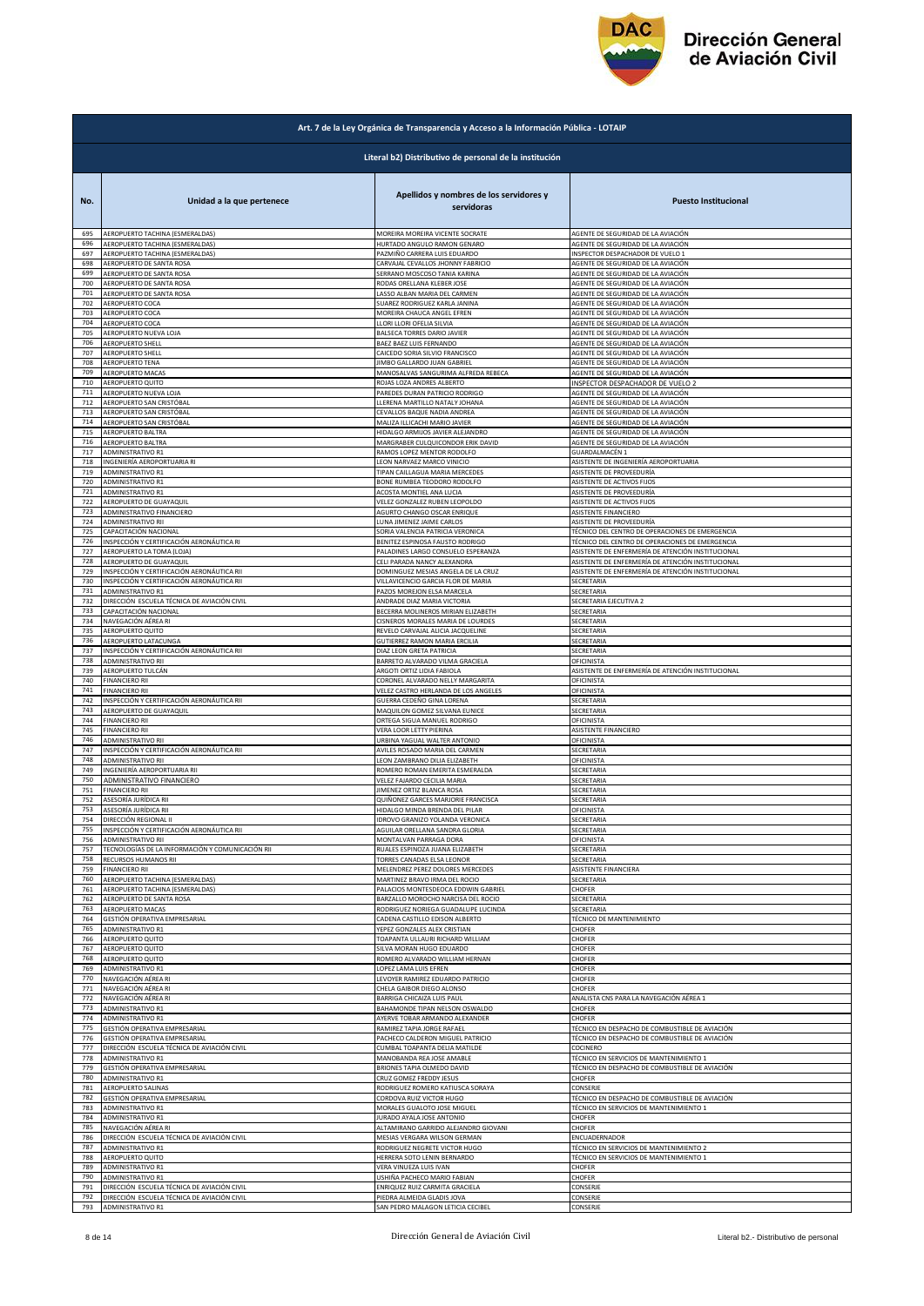

|     | Art. 7 de la Ley Orgánica de Transparencia y Acceso a la Información Pública - LOTAIP |                                                                          |                                                        |  |
|-----|---------------------------------------------------------------------------------------|--------------------------------------------------------------------------|--------------------------------------------------------|--|
|     | Literal b2) Distributivo de personal de la institución                                |                                                                          |                                                        |  |
| No. | Unidad a la que pertenece                                                             | Apellidos y nombres de los servidores y<br>servidoras                    | <b>Puesto Institucional</b>                            |  |
| 695 | AEROPUERTO TACHINA (ESMERALDAS)                                                       | MOREIRA MOREIRA VICENTE SOCRATE                                          | AGENTE DE SEGURIDAD DE LA AVIACIÓN                     |  |
| 696 | AEROPUERTO TACHINA (ESMERALDAS)                                                       | HURTADO ANGULO RAMON GENARO                                              | AGENTE DE SEGURIDAD DE LA AVIACIÓN                     |  |
| 697 | AEROPUERTO TACHINA (ESMERALDAS)                                                       | PAZMIÑO CARRERA LUIS EDUARDO                                             | INSPECTOR DESPACHADOR DE VUELO 1                       |  |
| 698 | AEROPUERTO DE SANTA ROSA                                                              | CARVAJAL CEVALLOS JHONNY FABRICIO                                        | AGENTE DE SEGURIDAD DE LA AVIACIÓN                     |  |
| 699 | AEROPUERTO DE SANTA ROSA                                                              | SERRANO MOSCOSO TANIA KARINA                                             | AGENTE DE SEGURIDAD DE LA AVIACIÓN                     |  |
| 700 | AEROPUERTO DE SANTA ROSA                                                              | RODAS ORELLANA KLEBER JOSE                                               | AGENTE DE SEGURIDAD DE LA AVIACIÓN                     |  |
| 701 | AEROPUERTO DE SANTA ROSA                                                              | LASSO ALBAN MARIA DEL CARMEN                                             | AGENTE DE SEGURIDAD DE LA AVIACIÓN                     |  |
| 702 | AEROPUERTO COCA                                                                       | SUAREZ RODRIGUEZ KARLA JANINA                                            | AGENTE DE SEGURIDAD DE LA AVIACIÓN                     |  |
| 703 | AEROPUERTO COCA                                                                       | MOREIRA CHAUCA ANGEL EFREN                                               | AGENTE DE SEGURIDAD DE LA AVIACIÓN                     |  |
| 704 | AEROPUERTO COCA                                                                       | LLORI LLORI OFELIA SILVIA                                                | AGENTE DE SEGURIDAD DE LA AVIACIÓN                     |  |
| 705 | AEROPUERTO NUEVA LOJA                                                                 | BALSECA TORRES DARIO JAVIER                                              | AGENTE DE SEGURIDAD DE LA AVIACIÓN                     |  |
| 706 | <b>AEROPUERTO SHELL</b>                                                               | BAEZ BAEZ LUIS FERNANDO                                                  | AGENTE DE SEGURIDAD DE LA AVIACIÓN                     |  |
| 707 | <b>AEROPUERTO SHELL</b>                                                               | CAICEDO SORIA SILVIO FRANCISCO                                           | AGENTE DE SEGURIDAD DE LA AVIACIÓN                     |  |
| 708 | AEROPUERTO TENA                                                                       | IIMBO GALLARDO JUAN GABRIEL                                              | AGENTE DE SEGURIDAD DE LA AVIACIÓN                     |  |
| 709 | AEROPUERTO MACAS                                                                      | MANOSALVAS SANGURIMA ALFREDA REBECA                                      | AGENTE DE SEGURIDAD DE LA AVIACIÓN                     |  |
| 710 | AEROPUERTO QUITO                                                                      | ROJAS LOZA ANDRES ALBERTO                                                | INSPECTOR DESPACHADOR DE VUELO 2                       |  |
| 711 | AEROPUERTO NUEVA LOJA                                                                 | PAREDES DURAN PATRICIO RODRIGO                                           | AGENTE DE SEGURIDAD DE LA AVIACIÓN                     |  |
| 712 | AEROPUERTO SAN CRISTÓBAL                                                              | LLERENA MARTILLO NATALY JOHANA                                           | AGENTE DE SEGURIDAD DE LA AVIACIÓN                     |  |
| 713 | AEROPUERTO SAN CRISTÓBAL                                                              | CEVALLOS BAQUE NADIA ANDREA                                              | AGENTE DE SEGURIDAD DE LA AVIACIÓN                     |  |
| 714 | AEROPUERTO SAN CRISTÓBAL                                                              | MALIZA ILLICACHI MARIO JAVIER                                            | AGENTE DE SEGURIDAD DE LA AVIACIÓN                     |  |
| 715 | AEROPUERTO BALTRA                                                                     | HIDALGO ARMIJOS JAVIER ALEJANDRO                                         | AGENTE DE SEGURIDAD DE LA AVIACIÓN                     |  |
| 716 |                                                                                       | MARGRABER CULQUICONDOR ERIK DAVID                                        | AGENTE DE SEGURIDAD DE LA AVIACIÓN                     |  |
| 717 | AEROPUERTO BALTRA<br><b>ADMINISTRATIVO R1</b>                                         | RAMOS LOPEZ MENTOR RODOLFO                                               | GUARDALMACÉN 1                                         |  |
| 718 | INGENIERÍA AEROPORTUARIA RI                                                           | LEON NARVAEZ MARCO VINICIO                                               | ASISTENTE DE INGENIERÍA AEROPORTUARIA                  |  |
| 719 | <b>ADMINISTRATIVO R1</b>                                                              | TIPAN CAILLAGUA MARIA MERCEDES                                           | ASISTENTE DE PROVEEDURÍA                               |  |
| 720 | ADMINISTRATIVO R1                                                                     | BONE RUMBEA TEODORO RODOLFO                                              | ASISTENTE DE ACTIVOS FIJOS                             |  |
| 721 | ADMINISTRATIVO R1                                                                     | ACOSTA MONTIEL ANA LUCIA                                                 | ASISTENTE DE PROVEEDURÍA                               |  |
| 722 | AEROPUERTO DE GUAYAQUIL                                                               | VELEZ GONZALEZ RUBEN LEOPOLDO                                            | ASISTENTE DE ACTIVOS FIJOS                             |  |
| 723 | ADMINISTRATIVO FINANCIERO                                                             | AGURTO CHANGO OSCAR ENRIQUE                                              | ASISTENTE FINANCIERO                                   |  |
| 724 | <b>ADMINISTRATIVO RII</b>                                                             | LUNA JIMENEZ JAIME CARLOS                                                | ASISTENTE DE PROVEEDURÍA                               |  |
| 725 | CAPACITACIÓN NACIONAL                                                                 | SORIA VALENCIA PATRICIA VERONICA                                         | TÉCNICO DEL CENTRO DE OPERACIONES DE EMERGENCIA        |  |
| 726 | INSPECCIÓN Y CERTIFICACIÓN AERONÁUTICA RI                                             | BENITEZ ESPINOSA FAUSTO RODRIGO                                          | <b>FÉCNICO DEL CENTRO DE OPERACIONES DE EMERGENCIA</b> |  |
| 727 | AEROPUERTO LA TOMA (LOJA)                                                             | PALADINES LARGO CONSUELO ESPERANZA                                       | ASISTENTE DE ENFERMERÍA DE ATENCIÓN INSTITUCIONAL      |  |
| 728 | AEROPUERTO DE GUAYAQUIL                                                               | CELI PARADA NANCY ALEXANDRA                                              | ASISTENTE DE ENFERMERÍA DE ATENCIÓN INSTITUCIONAL      |  |
| 729 | INSPECCIÓN Y CERTIFICACIÓN AERONÁUTICA RII                                            |                                                                          | ASISTENTE DE ENFERMERÍA DE ATENCIÓN INSTITUCIONAL      |  |
| 730 | INSPECCIÓN Y CERTIFICACIÓN AERONÁUTICA RII                                            | DOMINGUEZ MESIAS ANGELA DE LA CRUZ<br>VILLAVICENCIO GARCIA FLOR DE MARIA | SECRETARIA                                             |  |
| 731 | ADMINISTRATIVO R1                                                                     | PAZOS MOREJON ELSA MARCELA                                               | SECRETARIA                                             |  |
| 732 | DIRECCIÓN ESCUELA TÉCNICA DE AVIACIÓN CIVIL                                           | ANDRADE DIAZ MARIA VICTORIA                                              | SECRETARIA EJECUTIVA 2                                 |  |
| 733 | CAPACITACIÓN NACIONAL                                                                 | BECERRA MOLINEROS MIRIAN ELIZABETH                                       | SECRETARIA                                             |  |
| 734 | NAVEGACIÓN AÉREA RI                                                                   | CISNEROS MORALES MARIA DE LOURDES                                        | SECRETARIA                                             |  |
| 735 | AEROPUERTO QUITO                                                                      | REVELO CARVAJAL ALICIA JACQUELINE                                        | SECRETARIA                                             |  |
| 736 | AEROPUERTO LATACUNGA                                                                  | GUTIERREZ RAMON MARIA ERCILIA                                            | SECRETARIA                                             |  |
| 737 | INSPECCIÓN Y CERTIFICACIÓN AERONÁUTICA RII                                            | DIAZ LEON GRETA PATRICIA                                                 | SECRETARIA                                             |  |
| 738 | ADMINISTRATIVO RII                                                                    | BARRETO ALVARADO VILMA GRACIELA                                          | OFICINISTA                                             |  |
| 739 | AEROPUERTO TULCÁN                                                                     | ARGOTI ORTIZ LIDIA FABIOLA                                               | ASISTENTE DE ENFERMERÍA DE ATENCIÓN INSTITUCIONAL      |  |
| 740 | <b>FINANCIERO RII</b>                                                                 | CORONEL ALVARADO NELLY MARGARITA                                         | OFICINISTA                                             |  |
| 741 | <b>FINANCIERO RII</b>                                                                 | VELEZ CASTRO HERLANDA DE LOS ANGELES                                     | OFICINISTA                                             |  |
| 742 | INSPECCIÓN Y CERTIFICACIÓN AERONÁUTICA RII                                            | GUERRA CEDEÑO GINA LORENA                                                | SECRETARIA                                             |  |
| 743 | AEROPUERTO DE GUAYAQUIL                                                               | MAQUILON GOMEZ SILVANA EUNICE                                            | SECRETARIA                                             |  |
| 744 | <b>FINANCIERO RII</b>                                                                 | ORTEGA SIGUA MANUEL RODRIGO                                              | OFICINISTA                                             |  |
| 745 | <b>FINANCIERO RII</b>                                                                 | VERA LOOR LETTY PIERINA                                                  | ASISTENTE FINANCIERO                                   |  |
| 746 | ADMINISTRATIVO RII                                                                    | URBINA YAGUAL WALTER ANTONIO                                             | OFICINISTA                                             |  |
| 747 | INSPECCIÓN Y CERTIFICACIÓN AERONÁUTICA RII                                            | AVILES ROSADO MARIA DEL CARMEN                                           | SECRETARIA                                             |  |
| 748 | <b>ADMINISTRATIVO RII</b>                                                             | LEON ZAMBRANO DILIA ELIZABETH                                            | OFICINISTA                                             |  |
| 749 | INGENIERÍA AEROPORTUARIA RII                                                          | ROMERO ROMAN EMERITA ESMERALDA                                           | SECRETARIA                                             |  |
| 750 | ADMINISTRATIVO FINANCIERO                                                             | VELEZ FAJARDO CECILIA MARIA                                              | SECRETARIA                                             |  |
| 751 | <b>FINANCIERO RII</b>                                                                 | <b>JIMENEZ ORTIZ BLANCA ROSA</b>                                         | SECRETARIA                                             |  |
| 752 | ASESORÍA JURÍDICA RII                                                                 | QUIÑONEZ GARCES MARJORIE FRANCISCA                                       | SECRETARIA                                             |  |
| 753 | ASESORÍA JURÍDICA RII                                                                 | HIDALGO MINDA BRENDA DEL PILAR                                           | OFICINISTA                                             |  |
| 754 | DIRECCIÓN REGIONAL II                                                                 | IDROVO GRANIZO YOLANDA VERONICA                                          | SECRETARIA                                             |  |
| 755 | INSPECCIÓN Y CERTIFICACIÓN AERONÁUTICA RII                                            | AGUILAR ORELLANA SANDRA GLORIA                                           | SECRETARIA                                             |  |
| 756 | ADMINISTRATIVO RII                                                                    | MONTALVAN PARRAGA DORA                                                   | OFICINISTA                                             |  |
| 757 | TECNOLOGÍAS DE LA INFORMACIÓN Y COMUNICACIÓN RII                                      | RUALES ESPINOZA JUANA ELIZABETH                                          | SECRETARIA                                             |  |
| 758 | RECURSOS HUMANOS RII                                                                  | TORRES CANADAS ELSA LEONOR                                               | SECRETARIA                                             |  |
| 759 | <b>FINANCIERO RII</b>                                                                 | MELENDREZ PEREZ DOLORES MERCEDES                                         | ASISTENTE FINANCIERA                                   |  |
| 760 | AEROPUERTO TACHINA (ESMERALDAS)                                                       | MARTINEZ BRAVO IRMA DEL ROCIO                                            | SECRETARIA                                             |  |
| 761 | AEROPUERTO TACHINA (ESMERALDAS)                                                       | PALACIOS MONTESDEOCA EDDWIN GABRIEL                                      | CHOFER                                                 |  |
| 762 | AEROPUERTO DE SANTA ROSA                                                              | BARZALLO MOROCHO NARCISA DEL ROCIO                                       | SECRETARIA                                             |  |
| 763 | AEROPUERTO MACAS                                                                      | RODRIGUEZ NORIEGA GUADALUPE LUCINDA                                      | SECRETARIA                                             |  |
| 764 | GESTIÓN OPERATIVA EMPRESARIAL                                                         | CADENA CASTILLO EDISON ALBERTO                                           | <b>FÉCNICO DE MANTENIMIENTO</b>                        |  |
| 765 | ADMINISTRATIVO R1                                                                     | YEPEZ GONZALES ALEX CRISTIAN                                             | CHOFER                                                 |  |
| 766 | AEROPUERTO QUITO                                                                      | TOAPANTA ULLAURI RICHARD WILLIAM                                         | CHOFER                                                 |  |
| 767 | AEROPUERTO QUITO                                                                      | SILVA MORAN HUGO EDUARDO                                                 | CHOFER                                                 |  |
| 768 | AEROPUERTO QUITO                                                                      | ROMERO ALVARADO WILLIAM HERNAN                                           | CHOFER                                                 |  |
| 769 | ADMINISTRATIVO R1                                                                     | LOPEZ LAMA LUIS EFREN                                                    | CHOFER                                                 |  |
| 770 | NAVEGACIÓN AÉREA RI                                                                   | LEVOYER RAMIREZ EDUARDO PATRICIO                                         | CHOFER                                                 |  |
| 771 | NAVEGACIÓN AÉREA RI<br>NAVEGACIÓN AÉREA RI                                            | CHELA GAIBOR DIEGO ALONSO                                                | CHOFER                                                 |  |
| 772 | ADMINISTRATIVO R1                                                                     | BARRIGA CHICAIZA LUIS PAUL                                               | ANALISTA CNS PARA LA NAVEGACIÓN AÉREA 1                |  |
| 773 |                                                                                       | BAHAMONDE TIPAN NELSON OSWALDO                                           | CHOFER                                                 |  |
| 774 | ADMINISTRATIVO R1                                                                     | AYERVE TOBAR ARMANDO ALEXANDER                                           | CHOFER                                                 |  |
| 775 | GESTIÓN OPERATIVA EMPRESARIAL                                                         | RAMIREZ TAPIA JORGE RAFAEL                                               | <b>FÉCNICO EN DESPACHO DE COMBUSTIBLE DE AVIACIÓN</b>  |  |
| 776 | GESTIÓN OPERATIVA EMPRESARIAL                                                         | PACHECO CALDERON MIGUEL PATRICIO                                         | TÉCNICO EN DESPACHO DE COMBUSTIBLE DE AVIACIÓN         |  |
| 777 | DIRECCIÓN ESCUELA TÉCNICA DE AVIACIÓN CIVIL                                           | CUMBAL TOAPANTA DELIA MATILDE                                            | COCINERO                                               |  |
| 778 | <b>ADMINISTRATIVO R1</b>                                                              | MANOBANDA REA JOSE AMABLE                                                | TÉCNICO EN SERVICIOS DE MANTENIMIENTO 1                |  |
| 779 | GESTIÓN OPERATIVA EMPRESARIAL                                                         | BRIONES TAPIA OLMEDO DAVID                                               | TÉCNICO EN DESPACHO DE COMBUSTIBLE DE AVIACIÓN         |  |
| 780 | ADMINISTRATIVO R1                                                                     | CRUZ GOMEZ FREDDY JESUS                                                  | CHOFER                                                 |  |
| 781 | AEROPUERTO SALINAS                                                                    | RODRIGUEZ ROMERO KATIUSCA SORAYA                                         | CONSERJE                                               |  |
| 782 | GESTIÓN OPERATIVA EMPRESARIAL                                                         | CORDOVA RUIZ VICTOR HUGO                                                 | <b>FÉCNICO EN DESPACHO DE COMBUSTIBLE DE AVIACIÓN</b>  |  |
| 783 | ADMINISTRATIVO R1                                                                     | MORALES GUALOTO JOSE MIGUEL                                              | TÉCNICO EN SERVICIOS DE MANTENIMIENTO 1                |  |
| 784 | ADMINISTRATIVO R1                                                                     | JURADO AYALA JOSE ANTONIO                                                | CHOFER                                                 |  |
| 785 | NAVEGACIÓN AÉREA RI                                                                   | ALTAMIRANO GARRIDO ALEJANDRO GIOVANI                                     | CHOFER                                                 |  |
| 786 | DIRECCIÓN ESCUELA TÉCNICA DE AVIACIÓN CIVIL                                           | MESIAS VERGARA WILSON GERMAN                                             | ENCUADERNADOR                                          |  |
| 787 | ADMINISTRATIVO R1                                                                     | RODRIGUEZ NEGRETE VICTOR HUGO                                            | TÉCNICO EN SERVICIOS DE MANTENIMIENTO 2                |  |
| 788 | AEROPUERTO QUITO                                                                      | HERRERA SOTO LENIN BERNARDO                                              | TÉCNICO EN SERVICIOS DE MANTENIMIENTO 1                |  |
| 789 | <b>ADMINISTRATIVO R1</b>                                                              | VERA VINUEZA LUIS IVAN                                                   | CHOFER                                                 |  |
| 790 | ADMINISTRATIVO R1                                                                     | USHIÑA PACHECO MARIO FABIAN                                              | CHOFER                                                 |  |
| 791 | DIRECCIÓN ESCUELA TÉCNICA DE AVIACIÓN CIVIL                                           | ENRIQUEZ RUIZ CARMITA GRACIELA                                           | CONSERJE                                               |  |
| 792 | DIRECCIÓN ESCUELA TÉCNICA DE AVIACIÓN CIVIL                                           | PIEDRA ALMEIDA GLADIS JOVA                                               | CONSERJE                                               |  |
| 793 | ADMINISTRATIVO R1                                                                     | AN PEDRO MALAGON LETICIA CECIBEL                                         | CONSERJE                                               |  |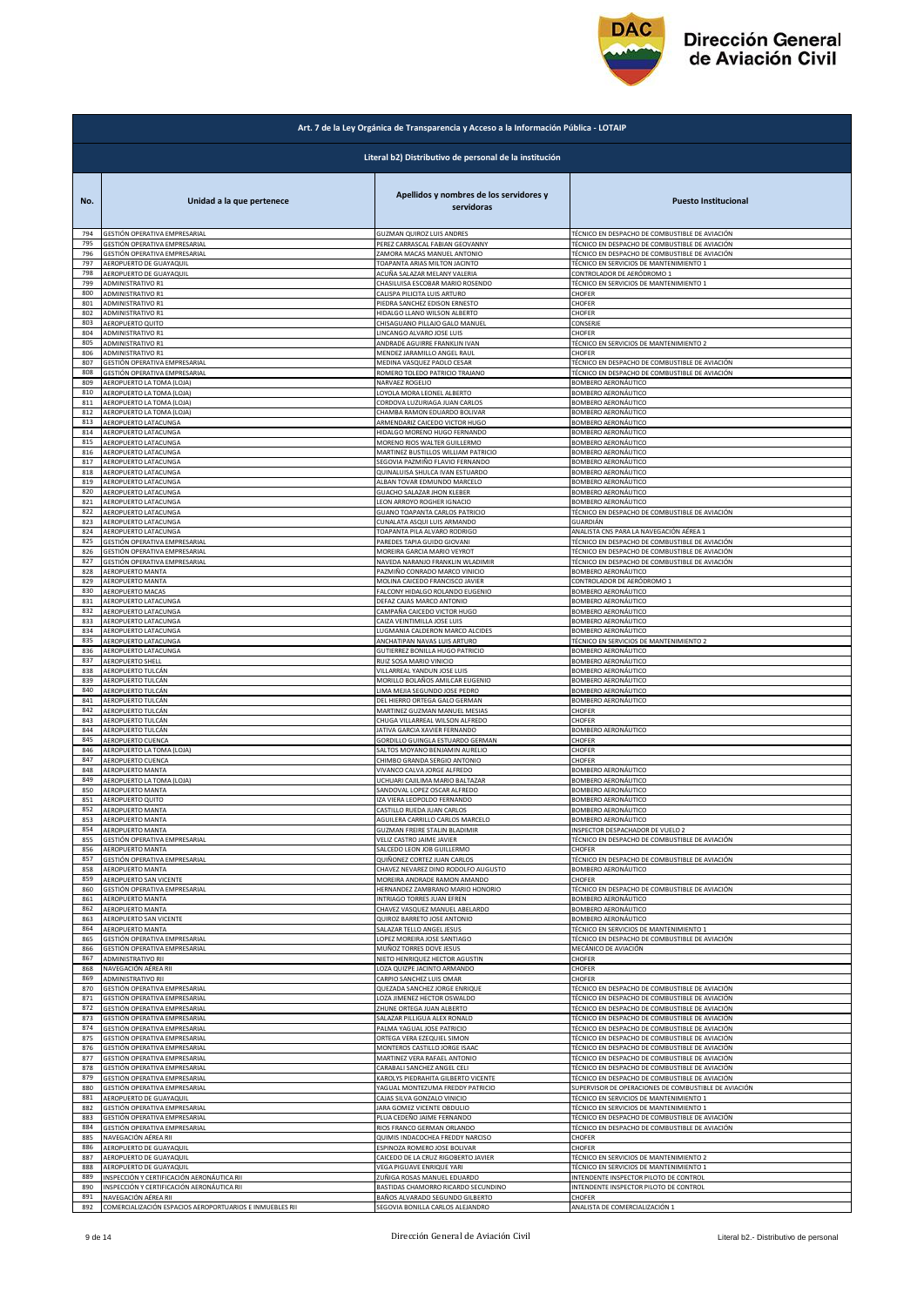

|            | Art. 7 de la Ley Orgánica de Transparencia y Acceso a la Información Pública - LOTAIP |                                                                   |                                                                                                  |  |
|------------|---------------------------------------------------------------------------------------|-------------------------------------------------------------------|--------------------------------------------------------------------------------------------------|--|
|            | Literal b2) Distributivo de personal de la institución                                |                                                                   |                                                                                                  |  |
| No.        | Unidad a la que pertenece                                                             | Apellidos y nombres de los servidores y<br>servidoras             | <b>Puesto Institucional</b>                                                                      |  |
| 794        | GESTIÓN OPERATIVA EMPRESARIAL                                                         | GUZMAN QUIROZ LUIS ANDRES                                         | TÉCNICO EN DESPACHO DE COMBUSTIBLE DE AVIACIÓN                                                   |  |
| 795        | GESTIÓN OPERATIVA EMPRESARIAL                                                         | PEREZ CARRASCAL FABIAN GEOVANNY                                   | TÉCNICO EN DESPACHO DE COMBUSTIBLE DE AVIACIÓN                                                   |  |
| 796        | GESTIÓN OPERATIVA EMPRESARIAL                                                         | ZAMORA MACAS MANUEL ANTONIO                                       | TÉCNICO EN DESPACHO DE COMBUSTIBLE DE AVIACIÓN                                                   |  |
| 797        | AEROPUERTO DE GUAYAQUIL                                                               | TOAPANTA ARIAS MILTON JACINTO                                     | TÉCNICO EN SERVICIOS DE MANTENIMIENTO 1                                                          |  |
| 798        | AEROPUERTO DE GUAYAQUIL                                                               | ACUÑA SALAZAR MELANY VALERIA                                      | CONTROLADOR DE AERÓDROMO 1                                                                       |  |
| 799        | ADMINISTRATIVO R1                                                                     | CHASILUISA ESCOBAR MARIO ROSENDO                                  | TÉCNICO EN SERVICIOS DE MANTENIMIENTO 1                                                          |  |
| 800        | ADMINISTRATIVO R1                                                                     | CALISPA PILICITA LUIS ARTURO                                      | CHOFER                                                                                           |  |
| 801        | ADMINISTRATIVO R1                                                                     | PIEDRA SANCHEZ EDISON ERNESTO                                     | CHOFER                                                                                           |  |
| 802        | ADMINISTRATIVO R1                                                                     | HIDALGO LLANO WILSON ALBERTO                                      | CHOFER                                                                                           |  |
| 803        | AEROPUERTO QUITO                                                                      | CHISAGUANO PILLAJO GALO MANUEL                                    | CONSERJE                                                                                         |  |
| 804        | ADMINISTRATIVO R1                                                                     | LINCANGO ALVARO JOSE LUIS                                         | CHOFER                                                                                           |  |
| 805        | ADMINISTRATIVO R1                                                                     | ANDRADE AGUIRRE FRANKLIN IVAN                                     | TÉCNICO EN SERVICIOS DE MANTENIMIENTO 2                                                          |  |
| 806        | ADMINISTRATIVO R1                                                                     | MENDEZ JARAMILLO ANGEL RAUL                                       | CHOFER                                                                                           |  |
| 807        | SESTIÓN OPERATIVA EMPRESARIAL                                                         | MEDINA VASQUEZ PAOLO CESAR                                        | TÉCNICO EN DESPACHO DE COMBUSTIBLE DE AVIACIÓN                                                   |  |
| 808        | GESTIÓN OPERATIVA EMPRESARIAL                                                         | ROMERO TOLEDO PATRICIO TRAJANO                                    | TÉCNICO EN DESPACHO DE COMBUSTIBLE DE AVIACIÓN                                                   |  |
| 809        | AEROPUERTO LA TOMA (LOJA)                                                             | NARVAEZ ROGELIO                                                   | BOMBERO AERONÁUTICO                                                                              |  |
| 810        | AEROPUERTO LA TOMA (LOJA)                                                             | LOYOLA MORA LEONEL ALBERTO                                        | BOMBERO AERONÁUTICO                                                                              |  |
| 811        | AEROPUERTO LA TOMA (LOJA)                                                             | CORDOVA LUZURIAGA JUAN CARLOS                                     | BOMBERO AERONÁUTICO                                                                              |  |
| 812        | AEROPUERTO LA TOMA (LOJA)                                                             | CHAMBA RAMON EDUARDO BOLIVAR                                      | BOMBERO AERONÁUTICO                                                                              |  |
| 813        | AEROPUERTO LATACUNGA                                                                  | ARMENDARIZ CAICEDO VICTOR HUGO                                    | BOMBERO AERONÁUTICO                                                                              |  |
| 814        | <b>AEROPUERTO LATACUNGA</b>                                                           | HIDALGO MORENO HUGO FERNANDO                                      | <b>BOMBERO AERONÁUTICO</b>                                                                       |  |
| 815        | AEROPUERTO LATACUNGA                                                                  | MORENO RIOS WALTER GUILLERMO                                      | <b>BOMBERO AERONÁUTICO</b>                                                                       |  |
| 816        | AEROPUERTO LATACUNGA                                                                  | MARTINEZ BUSTILLOS WILLIAM PATRICIO                               | BOMBERO AERONÁUTICO                                                                              |  |
| 817        | AEROPUERTO LATACUNGA                                                                  | SEGOVIA PAZMIÑO FLAVIO FERNANDO                                   | BOMBERO AERONÁUTICO                                                                              |  |
| 818        | AEROPUERTO LATACUNGA                                                                  | QUINALUISA SHULCA IVAN ESTUARDO                                   | BOMBERO AERONÁUTICO                                                                              |  |
| 819        | AEROPUERTO LATACUNGA                                                                  | ALBAN TOVAR EDMUNDO MARCELO                                       | <b>BOMBERO AERONÁUTICO</b>                                                                       |  |
| 820        | AEROPUERTO LATACUNGA                                                                  | GUACHO SALAZAR JHON KLEBER                                        | BOMBERO AERONÁUTICO                                                                              |  |
| 821        | AEROPUERTO LATACUNGA                                                                  | LEON ARROYO ROGHER IGNACIO                                        | BOMBERO AERONÁUTICO                                                                              |  |
| 822        | AEROPUERTO LATACUNGA                                                                  | <b>GUANO TOAPANTA CARLOS PATRICIO</b>                             | TÉCNICO EN DESPACHO DE COMBUSTIBLE DE AVIACIÓN                                                   |  |
| 823        | AEROPUERTO LATACUNGA                                                                  | CUNALATA ASQUI LUIS ARMANDO                                       | GUARDIÁN                                                                                         |  |
| 824<br>825 | AEROPUERTO LATACUNGA                                                                  | TOAPANTA PILA ALVARO RODRIGO                                      | ANALISTA CNS PARA LA NAVEGACIÓN AÉREA 1                                                          |  |
| 826        | GESTIÓN OPERATIVA EMPRESARIAL                                                         | PAREDES TAPIA GUIDO GIOVANI                                       | TÉCNICO EN DESPACHO DE COMBUSTIBLE DE AVIACIÓN                                                   |  |
|            | GESTIÓN OPERATIVA EMPRESARIAL                                                         | MOREIRA GARCIA MARIO VEYROT                                       | <b>FÉCNICO EN DESPACHO DE COMBUSTIBLE DE AVIACIÓN</b>                                            |  |
| 827        | GESTIÓN OPERATIVA EMPRESARIAL                                                         | NAVEDA NARANJO FRANKLIN WLADIMIR                                  | TÉCNICO EN DESPACHO DE COMBUSTIBLE DE AVIACIÓN                                                   |  |
| 828        | AEROPUERTO MANTA                                                                      | PAZMIÑO CONRADO MARCO VINICIO                                     | BOMBERO AERONÁUTICO                                                                              |  |
| 829        | <b>AEROPUERTO MANTA</b><br>AEROPUERTO MACAS                                           | MOLINA CAICEDO FRANCISCO JAVIER                                   | CONTROLADOR DE AERÓDROMO 1<br>BOMBERO AERONÁUTICO                                                |  |
| 830<br>831 | AEROPUERTO LATACUNGA                                                                  | FALCONY HIDALGO ROLANDO EUGENIO<br>DEFAZ CAJAS MARCO ANTONIO      | BOMBERO AERONÁUTICO                                                                              |  |
| 832        | AEROPUERTO LATACUNGA                                                                  | CAMPAÑA CAICEDO VICTOR HUGO                                       | BOMBERO AERONÁUTICO                                                                              |  |
| 833        | AEROPUERTO LATACUNGA                                                                  | CAIZA VEINTIMILLA JOSE LUIS                                       | BOMBERO AERONÁUTICO                                                                              |  |
| 834        | AEROPUERTO LATACUNGA                                                                  | LUGMANIA CALDERON MARCO ALCIDES                                   | BOMBERO AERONÁUTICO                                                                              |  |
| 835        | AEROPUERTO LATACUNGA                                                                  | ANCHATIPAN NAVAS LUIS ARTURO                                      | TÉCNICO EN SERVICIOS DE MANTENIMIENTO 2                                                          |  |
| 836        | AEROPUERTO LATACUNGA                                                                  | GUTIERREZ BONILLA HUGO PATRICIO                                   | BOMBERO AERONÁUTICO                                                                              |  |
| 837        | AEROPUERTO SHELL                                                                      | RUIZ SOSA MARIO VINICIO                                           | BOMBERO AERONÁUTICO                                                                              |  |
| 838        | AEROPUERTO TULCÁN                                                                     | VILLARREAL YANDUN JOSE LUIS                                       | BOMBERO AERONÁUTICO                                                                              |  |
| 839        | AEROPUERTO TULCÁN                                                                     | MORILLO BOLAÑOS AMILCAR EUGENIO                                   | BOMBERO AERONÁUTICO                                                                              |  |
| 840        | AEROPUERTO TULCÁN                                                                     | LIMA MEJIA SEGUNDO JOSE PEDRO                                     | BOMBERO AERONÁUTICO                                                                              |  |
| 841        | AEROPUERTO TULCÁN                                                                     | DEL HIERRO ORTEGA GALO GERMAN                                     | <b>BOMBERO AERONÁUTICO</b>                                                                       |  |
| 842        | AEROPUERTO TULCÁN                                                                     | MARTINEZ GUZMAN MANUEL MESIAS                                     | CHOFER                                                                                           |  |
| 843        | AEROPUERTO TULCÁN                                                                     | CHUGA VILLARREAL WILSON ALFREDO                                   | CHOFER                                                                                           |  |
| 844        | AEROPUERTO TULCÁN                                                                     | JATIVA GARCIA XAVIER FERNANDO                                     | <b>BOMBERO AERONÁUTICO</b>                                                                       |  |
| 845        | AEROPUERTO CUENCA                                                                     | GORDILLO GUINGLA ESTUARDO GERMAN                                  | CHOFER                                                                                           |  |
| 846        | AEROPUERTO LA TOMA (LOJA)                                                             | SALTOS MOYANO BENJAMIN AURELIO                                    | CHOFER                                                                                           |  |
| 847        | AEROPUERTO CUENCA                                                                     | CHIMBO GRANDA SERGIO ANTONIO                                      | CHOFER                                                                                           |  |
| 848        | AEROPUERTO MANTA                                                                      | VIVANCO CALVA JORGE ALFREDO                                       | BOMBERO AERONÁUTICO                                                                              |  |
| 849<br>850 | AEROPUERTO LA TOMA (LOJA)<br><b>AEROPUERTO MANTA</b>                                  | UCHUARI CAJILIMA MARIO BALTAZAR                                   | <b>BOMBERO AERONÁUTICO</b>                                                                       |  |
| 851        | AEROPUERTO QUITO                                                                      | SANDOVAL LOPEZ OSCAR ALFREDO<br><b>ZA VIERA LEOPOLDO FERNANDO</b> | BOMBERO AERONÁUTICO<br>BOMBERO AERONÁUTICO                                                       |  |
| 852        | AEROPUERTO MANTA                                                                      | CASTILLO RUEDA JUAN CARLOS                                        | BOMBERO AERONAUTICO                                                                              |  |
|            | 853 AEROPUERTO MANTA                                                                  | AGUILERA CARRILLO CARLOS MARCELO                                  | BOMBERO AERONÁUTICO                                                                              |  |
| 854        | AEROPUERTO MANTA                                                                      | <b>GUZMAN FREIRE STALIN BLADIMIR</b>                              | INSPECTOR DESPACHADOR DE VUELO 2                                                                 |  |
| 855        | GESTIÓN OPERATIVA EMPRESARIAL                                                         | VELIZ CASTRO JAIME JAVIER                                         | TÉCNICO EN DESPACHO DE COMBUSTIBLE DE AVIACIÓN                                                   |  |
| 856        | AEROPUERTO MANTA                                                                      | SALCEDO LEON JOB GUILLERMO                                        | CHOFER                                                                                           |  |
| 857        | GESTIÓN OPERATIVA EMPRESARIAL                                                         | QUIÑONEZ CORTEZ JUAN CARLOS                                       | TÉCNICO EN DESPACHO DE COMBUSTIBLE DE AVIACIÓN                                                   |  |
| 858        | AEROPUERTO MANTA                                                                      | CHAVEZ NEVAREZ DINO RODOLFO AUGUSTO                               | BOMBERO AERONÁUTICO                                                                              |  |
| 859        | AEROPUERTO SAN VICENTE                                                                | MOREIRA ANDRADE RAMON AMANDO                                      | CHOFER                                                                                           |  |
| 860        | GESTIÓN OPERATIVA EMPRESARIAL                                                         | HERNANDEZ ZAMBRANO MARIO HONORIO                                  | TÉCNICO EN DESPACHO DE COMBUSTIBLE DE AVIACIÓN                                                   |  |
| 861        | AEROPUERTO MANTA                                                                      | <b>NTRIAGO TORRES JUAN EFREN</b>                                  | BOMBERO AERONÁUTICO                                                                              |  |
| 862        | AEROPUERTO MANTA                                                                      | CHAVEZ VASQUEZ MANUEL ABELARDO                                    | BOMBERO AERONÁUTICO                                                                              |  |
| 863        | AEROPUERTO SAN VICENTE                                                                | QUIROZ BARRETO JOSE ANTONIO                                       | BOMBERO AERONÁUTICO                                                                              |  |
| 864        | AEROPUERTO MANTA                                                                      | SALAZAR TELLO ANGEL JESUS                                         | TÉCNICO EN SERVICIOS DE MANTENIMIENTO 1                                                          |  |
| 865        | SESTIÓN OPERATIVA EMPRESARIAL                                                         |                                                                   | TÉCNICO EN DESPACHO DE COMBUSTIBLE DE AVIACIÓN                                                   |  |
| 866        | SESTIÓN OPERATIVA EMPRESARIAL                                                         | LOPEZ MOREIRA JOSE SANTIAGO<br>MUÑOZ TORRES DOVE JESUS            | MECÁNICO DE AVIACIÓN                                                                             |  |
| 867        | ADMINISTRATIVO RII                                                                    | NIETO HENRIQUEZ HECTOR AGUSTIN                                    | CHOFER                                                                                           |  |
| 868        | NAVEGACIÓN AÉREA RII                                                                  | LOZA QUIZPE JACINTO ARMANDO                                       | CHOFER                                                                                           |  |
| 869        | ADMINISTRATIVO RII                                                                    | CARPIO SANCHEZ LUIS OMAR                                          | CHOFER                                                                                           |  |
| 870        | GESTIÓN OPERATIVA EMPRESARIAL                                                         | QUEZADA SANCHEZ JORGE ENRIQUE                                     | TÉCNICO EN DESPACHO DE COMBUSTIBLE DE AVIACIÓN                                                   |  |
| 871        | GESTIÓN OPERATIVA EMPRESARIAL                                                         | LOZA JIMENEZ HECTOR OSWALDO                                       | TÉCNICO EN DESPACHO DE COMBUSTIBLE DE AVIACIÓN                                                   |  |
| 872        | GESTIÓN OPERATIVA EMPRESARIAL                                                         | ZHUNE ORTEGA JUAN ALBERTO                                         | TÉCNICO EN DESPACHO DE COMBUSTIBLE DE AVIACIÓN                                                   |  |
| 873        | SESTIÓN OPERATIVA EMPRESARIAL                                                         | SALAZAR PILLIGUA ALEX RONALD                                      | TÉCNICO EN DESPACHO DE COMBUSTIBLE DE AVIACIÓN                                                   |  |
| 874        | SESTIÓN OPERATIVA EMPRESARIAL                                                         | PALMA YAGUAL JOSE PATRICIO                                        | TÉCNICO EN DESPACHO DE COMBUSTIBLE DE AVIACIÓN<br>TÉCNICO EN DESPACHO DE COMBUSTIBLE DE AVIACIÓN |  |
| 875        | GESTIÓN OPERATIVA EMPRESARIAL                                                         | ORTEGA VERA EZEQUIEL SIMON                                        | TÉCNICO EN DESPACHO DE COMBUSTIBLE DE AVIACIÓN                                                   |  |
| 876        | GESTIÓN OPERATIVA EMPRESARIAL                                                         | MONTEROS CASTILLO JORGE ISAAC                                     |                                                                                                  |  |
| 877        | GESTIÓN OPERATIVA EMPRESARIAL                                                         | MARTINEZ VERA RAFAEL ANTONIO                                      | TÉCNICO EN DESPACHO DE COMBUSTIBLE DE AVIACIÓN                                                   |  |
| 878        | GESTIÓN OPERATIVA EMPRESARIAL                                                         | CARABALI SANCHEZ ANGEL CELI                                       | TÉCNICO EN DESPACHO DE COMBUSTIBLE DE AVIACIÓN                                                   |  |
| 879        | GESTIÓN OPERATIVA EMPRESARIAL                                                         | KAROLYS PIEDRAHITA GILBERTO VICENTE                               | TÉCNICO EN DESPACHO DE COMBUSTIBLE DE AVIACIÓN                                                   |  |
| 880        | SESTIÓN OPERATIVA EMPRESARIAL                                                         | YAGUAL MONTEZUMA FREDDY PATRICIO                                  | SUPERVISOR DE OPERACIONES DE COMBUSTIBLE DE AVIACIÓN                                             |  |
| 881        | AEROPUERTO DE GUAYAQUIL                                                               | CAJAS SILVA GONZALO VINICIO                                       | TÉCNICO EN SERVICIOS DE MANTENIMIENTO 1                                                          |  |
| 882        | GESTIÓN OPERATIVA EMPRESARIAL                                                         | ARA GOMEZ VICENTE OBDULIO                                         | TÉCNICO EN SERVICIOS DE MANTENIMIENTO 1                                                          |  |
| 883        | GESTIÓN OPERATIVA EMPRESARIAL                                                         | PLUA CEDEÑO JAIME FERNANDO                                        | TÉCNICO EN DESPACHO DE COMBUSTIBLE DE AVIACIÓN                                                   |  |
| 884        | GESTIÓN OPERATIVA EMPRESARIAL                                                         | RIOS FRANCO GERMAN ORLANDO                                        | TÉCNICO EN DESPACHO DE COMBUSTIBLE DE AVIACIÓN                                                   |  |
| 885        | NAVEGACIÓN AÉREA RII                                                                  | QUIMIS INDACOCHEA FREDDY NARCISO                                  | CHOFER                                                                                           |  |
| 886        | AEROPUERTO DE GUAYAQUIL                                                               | SPINOZA ROMERO JOSE BOLIVAR                                       | CHOFER                                                                                           |  |
| 887        | AEROPUERTO DE GUAYAQUIL                                                               | CAICEDO DE LA CRUZ RIGOBERTO JAVIER                               | TÉCNICO EN SERVICIOS DE MANTENIMIENTO 2                                                          |  |
| 888        | AEROPUERTO DE GUAYAQUIL                                                               | VEGA PIGUAVE ENRIQUE YARI                                         | TÉCNICO EN SERVICIOS DE MANTENIMIENTO 1                                                          |  |
| 889        | INSPECCIÓN Y CERTIFICACIÓN AERONÁUTICA RII                                            | ZUÑIGA ROSAS MANUEL EDUARDO                                       | INTENDENTE INSPECTOR PILOTO DE CONTROL                                                           |  |
| 890        | INSPECCIÓN Y CERTIFICACIÓN AERONÁUTICA RII                                            | BASTIDAS CHAMORRO RICARDO SECUNDINO                               | INTENDENTE INSPECTOR PILOTO DE CONTROL                                                           |  |
| 891        | NAVEGACIÓN AÉREA RII                                                                  | BAÑOS ALVARADO SEGUNDO GILBERTO                                   | CHOFER                                                                                           |  |
| 892        | COMERCIALIZACIÓN ESPACIOS AEROPORTUARIOS E INMUEBLES RII                              | SEGOVIA BONILLA CARLOS ALEJANDRO                                  | ANALISTA DE COMERCIALIZACIÓN 1                                                                   |  |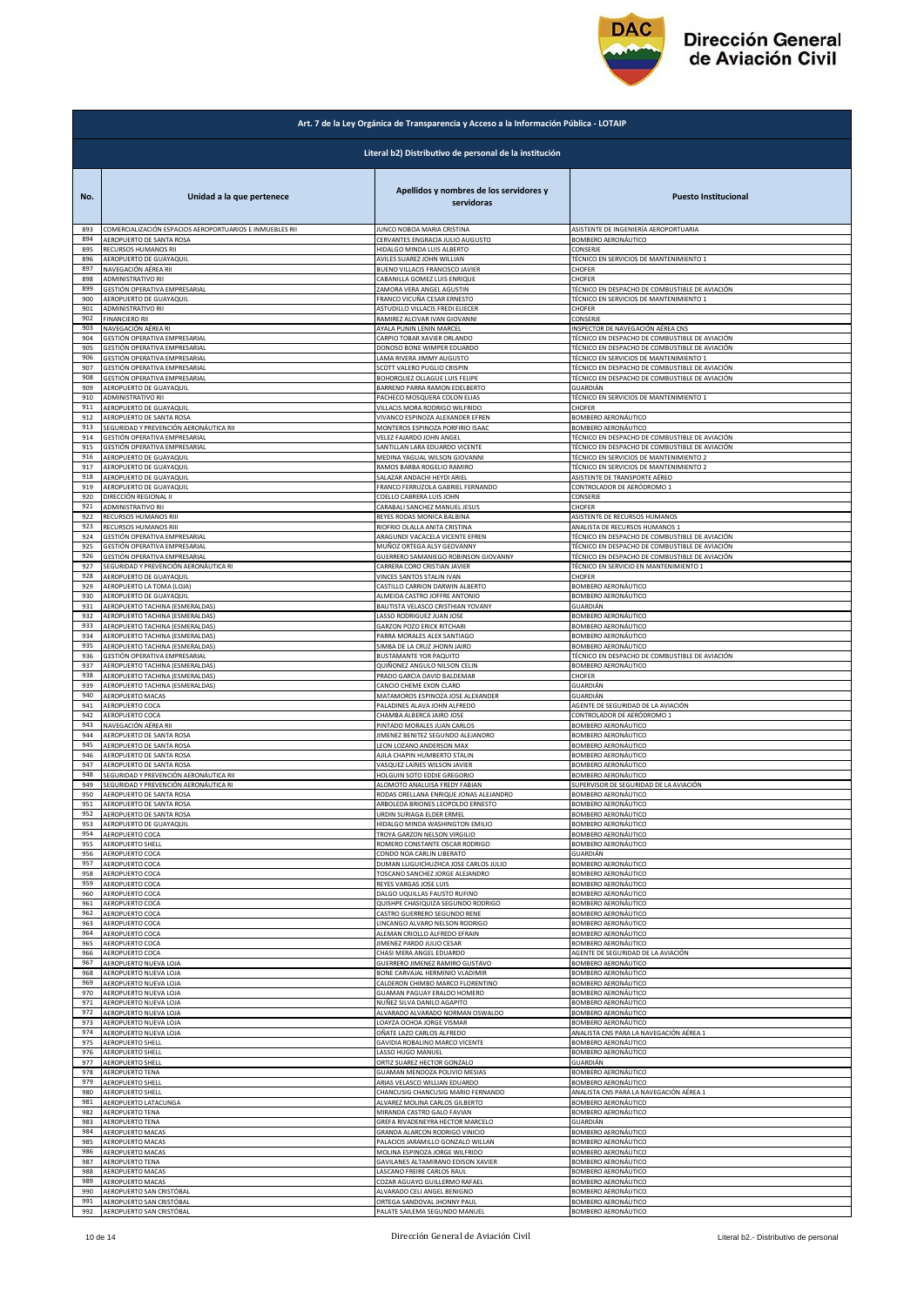

|            | Art. 7 de la Ley Orgánica de Transparencia y Acceso a la Información Pública - LOTAIP |                                                                   |                                                          |  |
|------------|---------------------------------------------------------------------------------------|-------------------------------------------------------------------|----------------------------------------------------------|--|
|            | Literal b2) Distributivo de personal de la institución                                |                                                                   |                                                          |  |
| No.        | Unidad a la que pertenece                                                             | Apellidos y nombres de los servidores y<br>servidoras             | <b>Puesto Institucional</b>                              |  |
| 893        | COMERCIALIZACIÓN ESPACIOS AEROPORTUARIOS E INMUEBLES RII                              | JUNCO NOBOA MARIA CRISTINA                                        | ASISTENTE DE INGENIERÍA AEROPORTUARIA                    |  |
| 894        | AEROPUERTO DE SANTA ROSA                                                              | CERVANTES ENGRACIA JULIO AUGUSTO                                  | BOMBERO AERONÁUTICO                                      |  |
| 895        | RECURSOS HUMANOS RII                                                                  | HIDALGO MINDA LUIS ALBERTO                                        | CONSERJE                                                 |  |
| 896        | AEROPUERTO DE GUAYAQUIL                                                               | AVILES SUAREZ JOHN WILLIAN                                        | TÉCNICO EN SERVICIOS DE MANTENIMIENTO 1                  |  |
| 897        | NAVEGACIÓN AÉREA RII                                                                  | BUENO VILLACIS FRANCISCO JAVIER                                   | CHOFER                                                   |  |
| 898        | ADMINISTRATIVO RII                                                                    | CABANILLA GOMEZ LUIS ENRIQUE                                      | CHOFER                                                   |  |
| 899        | GESTIÓN OPERATIVA EMPRESARIAL                                                         | ZAMORA VERA ANGEL AGUSTIN                                         | TÉCNICO EN DESPACHO DE COMBUSTIBLE DE AVIACIÓN           |  |
| 900<br>901 | AEROPUERTO DE GUAYAQUIL                                                               | FRANCO VICUÑA CESAR ERNESTO                                       | <b>FÉCNICO EN SERVICIOS DE MANTENIMIENTO 1</b><br>CHOFER |  |
| 902        | ADMINISTRATIVO RII<br><b>FINANCIERO RII</b>                                           | ASTUDILLO VILLACIS FREDI ELIECER<br>RAMIREZ ALCIVAR IVAN GIOVANNI | CONSERJE                                                 |  |
| 903        | NAVEGACIÓN AÉREA RI                                                                   | AYALA PUNIN LENIN MARCEL                                          | INSPECTOR DE NAVEGACIÓN AÉREA CNS                        |  |
| 904        | GESTIÓN OPERATIVA EMPRESARIAL                                                         | CARPIO TOBAR XAVIER ORLANDO                                       | TÉCNICO EN DESPACHO DE COMBUSTIBLE DE AVIACIÓN           |  |
| 905        | GESTIÓN OPERATIVA EMPRESARIAL                                                         | DONOSO BONE WIMPER EDUARDO                                        | TÉCNICO EN DESPACHO DE COMBUSTIBLE DE AVIACIÓN           |  |
| 906        | GESTIÓN OPERATIVA EMPRESARIAL                                                         | LAMA RIVERA JIMMY AUGUSTO                                         | TÉCNICO EN SERVICIOS DE MANTENIMIENTO 1                  |  |
| 907        | GESTIÓN OPERATIVA EMPRESARIAL                                                         | SCOTT VALERO PUGLIO CRISPIN                                       | FÉCNICO EN DESPACHO DE COMBUSTIBLE DE AVIACIÓN           |  |
| 908        | GESTIÓN OPERATIVA EMPRESARIAL                                                         | BOHORQUEZ OLLAGUE LUIS FELIPE                                     | TÉCNICO EN DESPACHO DE COMBUSTIBLE DE AVIACIÓN           |  |
| 909        | AEROPUERTO DE GUAYAQUIL                                                               | BARRENO PARRA RAMON EDELBERTO                                     | GUARDIÁN                                                 |  |
| 910        | ADMINISTRATIVO RII                                                                    | PACHECO MOSQUERA COLON ELIAS                                      | TÉCNICO EN SERVICIOS DE MANTENIMIENTO 1                  |  |
| 911        | AEROPUERTO DE GUAYAQUIL                                                               | VILLACIS MORA RODRIGO WILFRIDO                                    | CHOFER                                                   |  |
| 912        | AEROPUERTO DE SANTA ROSA                                                              | VIVANCO ESPINOZA ALEXANDER EFREN                                  | BOMBERO AERONÁUTICO                                      |  |
| 913        | SEGURIDAD Y PREVENCIÓN AERONÁUTICA RII                                                | MONTEROS ESPINOZA PORFIRIO ISAAC                                  | <b>BOMBERO AERONÁUTICO</b>                               |  |
| 914        | GESTIÓN OPERATIVA EMPRESARIAL                                                         | VELEZ FAJARDO JOHN ANGEL                                          | TÉCNICO EN DESPACHO DE COMBUSTIBLE DE AVIACIÓN           |  |
| 915        | GESTIÓN OPERATIVA EMPRESARIAL                                                         | SANTILLAN LARA EDUARDO VICENTE                                    | TÉCNICO EN DESPACHO DE COMBUSTIBLE DE AVIACIÓN           |  |
| 916        | AEROPUERTO DE GUAYAQUIL                                                               | MEDINA YAGUAL WILSON GIOVANNI                                     | <b>FÉCNICO EN SERVICIOS DE MANTENIMIENTO 2</b>           |  |
| 917        | AEROPUERTO DE GUAYAQUIL                                                               | RAMOS BARBA ROGELIO RAMIRO                                        | TÉCNICO EN SERVICIOS DE MANTENIMIENTO 2                  |  |
| 918        | AEROPUERTO DE GUAYAQUIL                                                               | SALAZAR ANDACHI HEYDI ARIEL                                       | ASISTENTE DE TRANSPORTE AÉREO                            |  |
| 919        | AEROPUERTO DE GUAYAQUIL                                                               | FRANCO FERRUZOLA GABRIEL FERNANDO                                 | CONTROLADOR DE AERÓDROMO 1                               |  |
| 920        | DIRECCIÓN REGIONAL II                                                                 | COELLO CABRERA LUIS JOHN                                          | CONSERJE                                                 |  |
| 921        | ADMINISTRATIVO RII                                                                    | CARABALI SANCHEZ MANUEL JESUS                                     | CHOFER                                                   |  |
| 922        | RECURSOS HUMANOS RIII                                                                 | REYES RODAS MONICA BALBINA                                        | ASISTENTE DE RECURSOS HUMANOS                            |  |
| 923        | RECURSOS HUMANOS RIII                                                                 | RIOFRIO OLALLA ANITA CRISTINA                                     | ANALISTA DE RECURSOS HUMANOS 1                           |  |
| 924        | GESTIÓN OPERATIVA EMPRESARIAL                                                         | ARAGUNDI VACACELA VICENTE EFREN                                   | TÉCNICO EN DESPACHO DE COMBUSTIBLE DE AVIACIÓN           |  |
| 925        | GESTIÓN OPERATIVA EMPRESARIAL                                                         | MUÑOZ ORTEGA ALSY GEOVANNY                                        | TÉCNICO EN DESPACHO DE COMBUSTIBLE DE AVIACIÓN           |  |
| 926        | GESTIÓN OPERATIVA EMPRESARIAL                                                         | GUERRERO SAMANIEGO ROBINSON GIOVANNY                              | TÉCNICO EN DESPACHO DE COMBUSTIBLE DE AVIACIÓN           |  |
| 927        | SEGURIDAD Y PREVENCIÓN AERONÁUTICA RI                                                 | CARRERA CORO CRISTIAN JAVIER                                      | TÉCNICO EN SERVICIO EN MANTENIMIENTO 1                   |  |
| 928        | AEROPUERTO DE GUAYAQUIL                                                               | VINCES SANTOS STALIN IVAN                                         | CHOFER                                                   |  |
| 929        | AEROPUERTO LA TOMA (LOJA)                                                             | CASTILLO CARRION DARWIN ALBERTO                                   | BOMBERO AERONÁUTICO                                      |  |
| 930        | AEROPUERTO DE GUAYAQUIL                                                               | ALMEIDA CASTRO JOFFRE ANTONIO                                     | BOMBERO AERONÁUTICO                                      |  |
| 931        | AEROPUERTO TACHINA (ESMERALDAS)                                                       | BAUTISTA VELASCO CRISTHIAN YOVANY                                 | GUARDIÁN                                                 |  |
| 932        | AEROPUERTO TACHINA (ESMERALDAS)                                                       | LASSO RODRIGUEZ JUAN JOSE                                         | BOMBERO AERONÁUTICO                                      |  |
| 933        | AEROPUERTO TACHINA (ESMERALDAS)                                                       | <b>GARZON POZO ERICK RITCHARI</b>                                 | BOMBERO AERONÁUTICO                                      |  |
| 934        | AEROPUERTO TACHINA (ESMERALDAS)                                                       | PARRA MORALES ALEX SANTIAGO                                       | BOMBERO AERONÁUTICO                                      |  |
| 935        | AEROPUERTO TACHINA (ESMERALDAS)                                                       | SIMBA DE LA CRUZ JHONN JAIRO                                      | <b>BOMBERO AERONÁUTICO</b>                               |  |
| 936        | GESTIÓN OPERATIVA EMPRESARIAL                                                         | <b>BUSTAMANTE YOR PAQUITO</b>                                     | TÉCNICO EN DESPACHO DE COMBUSTIBLE DE AVIACIÓN           |  |
| 937        | AEROPUERTO TACHINA (ESMERALDAS)                                                       | QUIÑONEZ ANGULO NILSON CELIN                                      | BOMBERO AERONÁUTICO                                      |  |
| 938        | AEROPUERTO TACHINA (ESMERALDAS)                                                       | PRADO GARCIA DAVID BALDEMAR                                       | CHOFER                                                   |  |
| 939        | AEROPUERTO TACHINA (ESMERALDAS)                                                       | CANCIO CHEME EXON CLARD                                           | GUARDIÁN                                                 |  |
| 940        | AEROPUERTO MACAS                                                                      | MATAMOROS ESPINOZA JOSE ALEXANDER                                 | GUARDIÁN                                                 |  |
| 941        | AEROPUERTO COCA                                                                       | PALADINES ALAVA JOHN ALFREDO                                      | AGENTE DE SEGURIDAD DE LA AVIACIÓN                       |  |
| 942        | AEROPUERTO COCA                                                                       | CHAMBA ALBERCA JAIRO JOSE                                         | CONTROLADOR DE AERÓDROMO 1                               |  |
| 943        | NAVEGACIÓN AÉREA RII                                                                  | PINTADO MORALES JUAN CARLOS                                       | BOMBERO AERONÁUTICO                                      |  |
| 944        | AEROPUERTO DE SANTA ROSA                                                              | JIMENEZ BENITEZ SEGUNDO ALEJANDRO                                 | BOMBERO AERONÁUTICO                                      |  |
| 945        | AEROPUERTO DE SANTA ROSA                                                              | LEON LOZANO ANDERSON MAX                                          | BOMBERO AERONÁUTICO                                      |  |
| 946        | AEROPUERTO DE SANTA ROSA                                                              | AJILA CHAPIN HUMBERTO STALIN                                      | <b>BOMBERO AERONÁUTICO</b>                               |  |
| 947        | AEROPUERTO DE SANTA ROSA                                                              | VASQUEZ LAINES WILSON JAVIER                                      | BOMBERO AERONÁUTICO                                      |  |
| 948        | SEGURIDAD Y PREVENCIÓN AERONÁUTICA RII                                                | HOLGUIN SOTO EDDIE GREGORIO                                       | BOMBERO AERONÁUTICO                                      |  |
| 949        | SEGURIDAD Y PREVENCIÓN AERONÁUTICA RI                                                 | ALOMOTO ANALUISA FREDY FABIAN                                     | SUPERVISOR DE SEGURIDAD DE LA AVIACIÓN                   |  |
| 950        | AEROPUERTO DE SANTA ROSA                                                              | RODAS ORELLANA ENRIQUE JONAS ALEJANDRO                            | BOMBERO AERONÁUTICO                                      |  |
| 951        | <b>AFROPLIERTO DE SANTA ROSA</b>                                                      | <b>ARROLEDA BRIONES LEOPOLDO ERNESTO</b>                          | <b>ROMBERO AERONÁLITICO</b>                              |  |
| 952        | AEROPUERTO DE SANTA ROSA                                                              | URDIN SURIAGA ELDER ERMEL                                         | BOMBERO AERONÁUTICO                                      |  |
| 953        | AEROPUERTO DE GUAYAQUIL                                                               | HIDALGO MINDA WASHINGTON EMILIO                                   | BOMBERO AERONÁUTICO                                      |  |
| 954        | AEROPUERTO COCA                                                                       | TROYA GARZON NELSON VIRGILIO                                      | BOMBERO AERONÁUTICO                                      |  |
| 955        | AEROPUERTO SHELL                                                                      | ROMERO CONSTANTE OSCAR RODRIGO                                    | BOMBERO AERONÁUTICO                                      |  |
| 956        | AEROPUERTO COCA                                                                       | CONDO NOA CARLIN LIBERATO                                         | GUARDIÁN                                                 |  |
| 957        | AEROPUERTO COCA                                                                       | DUMAN LLIGUICHUZHCA JOSE CARLOS JULIO                             | BOMBERO AERONÁUTICO                                      |  |
| 958        | AEROPUERTO COCA                                                                       | TOSCANO SANCHEZ JORGE ALEJANDRO                                   | <b>BOMBERO AERONÁUTICO</b>                               |  |
| 959        | AEROPUERTO COCA                                                                       | REYES VARGAS JOSE LUIS                                            | BOMBERO AERONÁUTICO                                      |  |
| 960        | AEROPUERTO COCA                                                                       | DALGO UQUILLAS FAUSTO RUFINO                                      | BOMBERO AERONÁUTICO                                      |  |
| 961        | AEROPUERTO COCA                                                                       | QUISHPE CHASIQUIZA SEGUNDO RODRIGO                                | BOMBERO AERONÁUTICO                                      |  |
| 962        | AEROPUERTO COCA                                                                       | CASTRO GUERRERO SEGUNDO RENE                                      | BOMBERO AERONÁUTICO                                      |  |
| 963        | AEROPUERTO COCA                                                                       | LINCANGO ALVARO NELSON RODRIGO                                    | <b>BOMBERO AERONÁUTICO</b>                               |  |
| 964        | AEROPUERTO COCA                                                                       | ALEMAN CRIOLLO ALFREDO EFRAIN                                     | BOMBERO AERONÁUTICO                                      |  |
| 965        | AEROPUERTO COCA                                                                       | JIMENEZ PARDO JULIO CESAR                                         | <b>BOMBERO AERONÁUTICO</b>                               |  |
| 966        | AEROPUERTO COCA                                                                       | CHASI MERA ANGEL EDUARDO                                          | AGENTE DE SEGURIDAD DE LA AVIACIÓN                       |  |
| 967        | AEROPUERTO NUEVA LOJA                                                                 | GUERRERO JIMENEZ RAMIRO GUSTAVO                                   | <b>BOMBERO AERONÁUTICO</b>                               |  |
| 968        | AEROPUERTO NUEVA LOJA                                                                 | BONE CARVAJAL HERMINIO VLADIMIR                                   | BOMBERO AERONÁUTICO                                      |  |
| 969        | AEROPUERTO NUEVA LOJA                                                                 | CALDERON CHIMBO MARCO FLORENTINO                                  | BOMBERO AERONÁUTICO                                      |  |
| 970        | AEROPUERTO NUEVA LOJA                                                                 | GUAMAN PAGUAY ERALDO HOMERO                                       | BOMBERO AERONÁUTICO                                      |  |
| 971        | AEROPUERTO NUEVA LOJA                                                                 | NUÑEZ SILVA DANILO AGAPITO                                        | BOMBERO AERONÁUTICO                                      |  |
| 972        | AEROPUERTO NUEVA LOJA                                                                 | ALVARADO ALVARADO NORMAN OSWALDO                                  | BOMBERO AERONÁUTICO                                      |  |
| 973        | AEROPUERTO NUEVA LOJA                                                                 | LOAYZA OCHOA JORGE VISMAR                                         | BOMBERO AERONÁUTICO                                      |  |
| 974        | AEROPUERTO NUEVA LOJA                                                                 | OÑATE LAZO CARLOS ALFREDO                                         | ANALISTA CNS PARA LA NAVEGACIÓN AÉREA 1                  |  |
| 975        | AEROPUERTO SHELL                                                                      | GAVIDIA ROBALINO MARCO VICENTE                                    | BOMBERO AERONÁUTICO                                      |  |
| 976        | <b>AEROPUERTO SHELL</b>                                                               | LASSO HUGO MANUEL                                                 | BOMBERO AERONÁUTICO                                      |  |
| 977        | <b>AEROPUERTO SHELL</b>                                                               | ORTIZ SUAREZ HECTOR GONZALO                                       | GUARDIÁN                                                 |  |
| 978        | AEROPUERTO TENA                                                                       | GUAMAN MENDOZA POLIVIO MESIAS                                     | <b>BOMBERO AERONÁUTICO</b>                               |  |
| 979        | <b>AEROPUERTO SHELL</b>                                                               | ARIAS VELASCO WILLIAN EDUARDO                                     | BOMBERO AERONÁUTICO                                      |  |
| 980        | AEROPUERTO SHELL                                                                      | CHANCUSIG CHANCUSIG MARIO FERNANDO                                | ANALISTA CNS PARA LA NAVEGACIÓN AÉREA 1                  |  |
| 981        | AEROPUERTO LATACUNGA                                                                  | ALVAREZ MOLINA CARLOS GILBERTO                                    | BOMBERO AERONÁUTICO                                      |  |
| 982        | AEROPUERTO TENA                                                                       | MIRANDA CASTRO GALO FAVIAN                                        | BOMBERO AERONÁUTICO                                      |  |
| 983        | <b>AEROPUERTO TENA</b>                                                                | GREFA RIVADENEYRA HECTOR MARCELO                                  | SUARDIÁN                                                 |  |
| 984        | AEROPUERTO MACAS                                                                      | GRANDA ALARCON RODRIGO VINICIO                                    | BOMBERO AERONÁUTICO                                      |  |
| 985        | AEROPUERTO MACAS                                                                      | PALACIOS JARAMILLO GONZALO WILLAN                                 | BOMBERO AERONÁUTICO                                      |  |
| 986        | AEROPUERTO MACAS                                                                      | MOLINA ESPINOZA JORGE WILFRIDO                                    | BOMBERO AERONÁUTICO                                      |  |
| 987        | <b>AEROPUERTO TENA</b>                                                                | GAVILANES ALTAMIRANO EDISON XAVIER                                | BOMBERO AERONÁUTICO                                      |  |
| 988        | <b>AEROPUERTO MACAS</b>                                                               | ASCANO FREIRE CARLOS RAUL                                         | BOMBERO AERONÁUTICO                                      |  |
| 989        | <b>AEROPUERTO MACAS</b>                                                               | COZAR AGUAYO GUILLERMO RAFAEL                                     | <b>BOMBERO AERONÁUTICO</b>                               |  |
| 990        | AEROPUERTO SAN CRISTÓBAL                                                              | ALVARADO CELI ANGEL BENIGNO                                       | BOMBERO AERONÁUTICO                                      |  |
| 991        | AEROPUERTO SAN CRISTÓBAL                                                              | ORTEGA SANDOVAL JHONNY PAUL                                       | BOMBERO AERONÁUTICO                                      |  |
| 992        | AEROPUERTO SAN CRISTÓBAL                                                              | PALATE SAILEMA SEGUNDO MANUEL                                     | BOMBERO AERONÁUTICO                                      |  |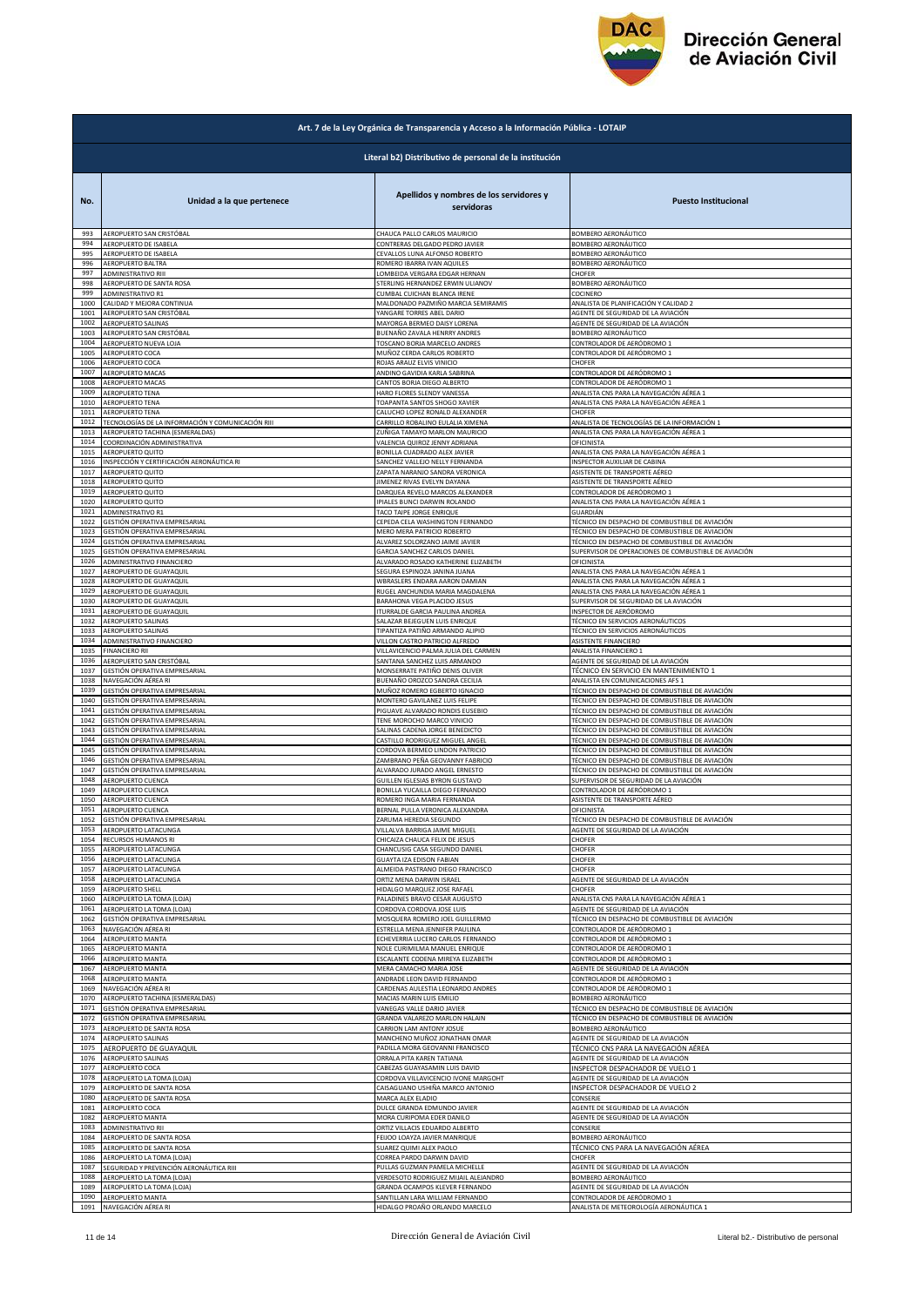

|              | Art. 7 de la Ley Orgánica de Transparencia y Acceso a la Información Pública - LOTAIP |                                                                  |                                                             |  |
|--------------|---------------------------------------------------------------------------------------|------------------------------------------------------------------|-------------------------------------------------------------|--|
|              | Literal b2) Distributivo de personal de la institución                                |                                                                  |                                                             |  |
| No.          | Unidad a la que pertenece                                                             | Apellidos y nombres de los servidores y<br>servidoras            | <b>Puesto Institucional</b>                                 |  |
| 993          | AEROPUERTO SAN CRISTÓBAL                                                              | CHAUCA PALLO CARLOS MAURICIO                                     | BOMBERO AERONÁUTICO                                         |  |
| 994          | AEROPUERTO DE ISABELA                                                                 | CONTRERAS DELGADO PEDRO JAVIER                                   | BOMBERO AERONÁUTICO                                         |  |
| 995          | AEROPUERTO DE ISABELA                                                                 | CEVALLOS LUNA ALFONSO ROBERTO                                    | BOMBERO AERONÁUTICO                                         |  |
| 996          | AEROPUERTO BALTRA                                                                     | ROMERO IBARRA IVAN AQUILES                                       | BOMBERO AERONÁUTICO                                         |  |
| 997          | ADMINISTRATIVO RIII                                                                   | LOMBEIDA VERGARA EDGAR HERNAN                                    | CHOFER                                                      |  |
| 998<br>999   | AEROPUERTO DE SANTA ROSA                                                              | STERLING HERNANDEZ ERWIN ULIANOV                                 | BOMBERO AERONÁUTICO                                         |  |
| 1000         | ADMINISTRATIVO R1                                                                     | CUMBAL CUICHAN BLANCA IRENE                                      | COCINERO                                                    |  |
|              | CALIDAD Y MEJORA CONTINUA                                                             | MALDONADO PAZMIÑO MARCIA SEMIRAMIS                               | ANALISTA DE PLANIFICACIÓN Y CALIDAD 2                       |  |
| 1001         | AEROPUERTO SAN CRISTÓBAL                                                              | YANGARE TORRES ABEL DARIO                                        | AGENTE DE SEGURIDAD DE LA AVIACIÓN                          |  |
| 1002         | AEROPUERTO SALINAS                                                                    | MAYORGA BERMEO DAISY LORENA                                      | AGENTE DE SEGURIDAD DE LA AVIACIÓN                          |  |
| 1003         | AEROPUERTO SAN CRISTÓBAL                                                              | BUENAÑO ZAVALA HENRRY ANDRES                                     | <b>BOMBERO AERONÁUTICO</b>                                  |  |
| 1004         | AEROPUERTO NUEVA LOJA                                                                 | TOSCANO BORJA MARCELO ANDRES                                     | CONTROLADOR DE AERÓDROMO 1                                  |  |
| 1005         | AEROPUERTO COCA                                                                       | MUÑOZ CERDA CARLOS ROBERTO                                       | CONTROLADOR DE AERÓDROMO 1                                  |  |
| 1006         | AEROPUERTO COCA                                                                       | ROJAS ARAUZ ELVIS VINICIO                                        | CHOFER                                                      |  |
| 1007         | AEROPUERTO MACAS                                                                      | ANDINO GAVIDIA KARLA SABRINA                                     | CONTROLADOR DE AERÓDROMO 1                                  |  |
| 1008         | AEROPUERTO MACAS                                                                      | CANTOS BORJA DIEGO ALBERTO                                       | CONTROLADOR DE AERÓDROMO 1                                  |  |
| 1009         | AEROPUERTO TENA                                                                       | HARO FLORES SLENDY VANESSA                                       | ANALISTA CNS PARA LA NAVEGACIÓN AÉREA 1                     |  |
| 1010         | <b>AEROPUERTO TENA</b>                                                                | TOAPANTA SANTOS SHOGO XAVIER                                     | ANALISTA CNS PARA LA NAVEGACIÓN AÉREA 1                     |  |
| 1011         | <b>AEROPUERTO TENA</b>                                                                | CALUCHO LOPEZ RONALD ALEXANDER                                   | CHOFER                                                      |  |
| 1012         | TECNOLOGÍAS DE LA INFORMACIÓN Y COMUNICACIÓN RIII                                     | CARRILLO ROBALINO EULALIA XIMENA                                 | ANALISTA DE TECNOLOGÍAS DE LA INFORMACIÓN 1                 |  |
| 1013         | AEROPUERTO TACHINA (ESMERALDAS)                                                       | ZUÑIGA TAMAYO MARLON MAURICIO                                    | ANALISTA CNS PARA LA NAVEGACIÓN AÉREA 1                     |  |
| 1014         | COORDINACIÓN ADMINISTRATIVA                                                           | VALENCIA QUIROZ JENNY ADRIANA                                    | OFICINISTA                                                  |  |
| 1015         | AEROPUERTO QUITO                                                                      | BONILLA CUADRADO ALEX JAVIER                                     | ANALISTA CNS PARA LA NAVEGACIÓN AÉREA 1                     |  |
| 1016         | INSPECCIÓN Y CERTIFICACIÓN AERONÁUTICA RI                                             |                                                                  | INSPECTOR AUXILIAR DE CABINA                                |  |
| 1017         | AEROPUERTO QUITO                                                                      | SANCHEZ VALLEJO NELLY FERNANDA<br>ZAPATA NARANJO SANDRA VERONICA | ASISTENTE DE TRANSPORTE AÉREO                               |  |
| 1018         | AEROPUERTO QUITO                                                                      | JIMENEZ RIVAS EVELYN DAYANA                                      | ASISTENTE DE TRANSPORTE AÉREO                               |  |
| 1019         | AEROPUERTO QUITO                                                                      | DARQUEA REVELO MARCOS ALEXANDER                                  | CONTROLADOR DE AERÓDROMO 1                                  |  |
| 1020         | AEROPUERTO QUITO                                                                      | IPIALES BUNCI DARWIN ROLANDO                                     | ANALISTA CNS PARA LA NAVEGACIÓN AÉREA 1                     |  |
| 1021         | ADMINISTRATIVO R1                                                                     | TACO TAIPE JORGE ENRIQUE                                         | GUARDIÁN                                                    |  |
| 1022         | GESTIÓN OPERATIVA EMPRESARIAL                                                         | CEPEDA CELA WASHINGTON FERNANDO                                  | TÉCNICO EN DESPACHO DE COMBUSTIBLE DE AVIACIÓN              |  |
| 1023         | GESTIÓN OPERATIVA EMPRESARIAL                                                         | MERO MERA PATRICIO ROBERTO                                       | TÉCNICO EN DESPACHO DE COMBUSTIBLE DE AVIACIÓN              |  |
| 1024         | GESTIÓN OPERATIVA EMPRESARIAL                                                         | ALVAREZ SOLORZANO JAIME JAVIER                                   | TÉCNICO EN DESPACHO DE COMBUSTIBLE DE AVIACIÓN              |  |
| 1025         | GESTIÓN OPERATIVA EMPRESARIAL                                                         | GARCIA SANCHEZ CARLOS DANIEL                                     | SUPERVISOR DE OPERACIONES DE COMBUSTIBLE DE AVIACIÓN        |  |
| 1026<br>1027 | ADMINISTRATIVO FINANCIERO                                                             | ALVARADO ROSADO KATHERINE ELIZABETH                              | OFICINISTA                                                  |  |
| 1028         | AEROPUERTO DE GUAYAQUIL                                                               | SEGURA ESPINOZA JANINA JUANA                                     | ANALISTA CNS PARA LA NAVEGACIÓN AÉREA 1                     |  |
|              | AEROPUERTO DE GUAYAQUIL                                                               | WBRASLERS ENDARA AARON DAMIAN                                    | ANALISTA CNS PARA LA NAVEGACIÓN AÉREA 1                     |  |
| 1029         | AEROPUERTO DE GUAYAQUIL                                                               | RUGEL ANCHUNDIA MARIA MAGDALENA                                  | ANALISTA CNS PARA LA NAVEGACIÓN AÉREA 1                     |  |
| 1030         | AEROPUERTO DE GUAYAQUIL                                                               | BARAHONA VEGA PLACIDO JESUS                                      | SUPERVISOR DE SEGURIDAD DE LA AVIACIÓN                      |  |
| 1031         | AEROPUERTO DE GUAYAQUIL                                                               | ITURRALDE GARCIA PAULINA ANDREA                                  | INSPECTOR DE AERÓDROMO                                      |  |
| 1032         | AEROPUERTO SALINAS                                                                    | SALAZAR BEJEGUEN LUIS ENRIQUE                                    | TÉCNICO EN SERVICIOS AERONÁUTICOS                           |  |
| 1033         | AEROPUERTO SALINAS                                                                    | TIPANTIZA PATIÑO ARMANDO ALIPIO                                  | TÉCNICO EN SERVICIOS AERONÁUTICOS                           |  |
| 1034         | ADMINISTRATIVO FINANCIERO                                                             | VILLON CASTRO PATRICIO ALFREDO                                   | ASISTENTE FINANCIERO                                        |  |
| 1035         | FINANCIERO RII                                                                        | VILLAVICENCIO PALMA JULIA DEL CARMEN                             | ANALISTA FINANCIERO 1                                       |  |
| 1036         | AEROPUERTO SAN CRISTÓBAL                                                              | SANTANA SANCHEZ LUIS ARMANDO                                     | AGENTE DE SEGURIDAD DE LA AVIACIÓN                          |  |
| 1037<br>1038 | GESTIÓN OPERATIVA EMPRESARIAL                                                         | MONSERRATE PATIÑO DENIS OLIVER                                   | TÉCNICO EN SERVICIO EN MANTENIMIENTO 1                      |  |
| 1039         | NAVEGACIÓN AÉREA RI                                                                   | BUENAÑO OROZCO SANDRA CECILIA                                    | ANALISTA EN COMUNICACIONES AFS 1                            |  |
|              | GESTIÓN OPERATIVA EMPRESARIAL                                                         | MUÑOZ ROMERO EGBERTO IGNACIO                                     | TÉCNICO EN DESPACHO DE COMBUSTIBLE DE AVIACIÓN              |  |
| 1040         | GESTIÓN OPERATIVA EMPRESARIAL                                                         | MONTERO GAVILANEZ LUIS FELIPE                                    | TÉCNICO EN DESPACHO DE COMBUSTIBLE DE AVIACIÓN              |  |
| 1041         | GESTIÓN OPERATIVA EMPRESARIAL                                                         | PIGUAVE ALVARADO RONDIS EUSEBIO                                  | TÉCNICO EN DESPACHO DE COMBUSTIBLE DE AVIACIÓN              |  |
| 1042         | GESTIÓN OPERATIVA EMPRESARIAL                                                         | TENE MOROCHO MARCO VINICIO                                       | TÉCNICO EN DESPACHO DE COMBUSTIBLE DE AVIACIÓN              |  |
| 1043         | GESTIÓN OPERATIVA EMPRESARIAL                                                         | SALINAS CADENA JORGE BENEDICTO                                   | TÉCNICO EN DESPACHO DE COMBUSTIBLE DE AVIACIÓN              |  |
| 1044         | GESTIÓN OPERATIVA EMPRESARIAL                                                         | CASTILLO RODRIGUEZ MIGUEL ANGEL                                  | TÉCNICO EN DESPACHO DE COMBUSTIBLE DE AVIACIÓN              |  |
| 1045         | GESTIÓN OPERATIVA EMPRESARIAL                                                         | CORDOVA BERMEO LINDON PATRICIO                                   | TÉCNICO EN DESPACHO DE COMBUSTIBLE DE AVIACIÓN              |  |
| 1046         | GESTIÓN OPERATIVA EMPRESARIAL                                                         | ZAMBRANO PEÑA GEOVANNY FABRICIO                                  | TÉCNICO EN DESPACHO DE COMBUSTIBLE DE AVIACIÓN              |  |
| 1047         | GESTIÓN OPERATIVA EMPRESARIAL                                                         | ALVARADO JURADO ANGEL ERNESTO                                    | TÉCNICO EN DESPACHO DE COMBUSTIBLE DE AVIACIÓN              |  |
| 1048         | AEROPUERTO CUENCA                                                                     | GUILLEN IGLESIAS BYRON GUSTAVO                                   | SUPERVISOR DE SEGURIDAD DE LA AVIACIÓN                      |  |
| 1049         | AEROPUERTO CUENCA                                                                     | BONILLA YUCAILLA DIEGO FERNANDO                                  |                                                             |  |
| 1050         | AEROPUERTO CUENCA                                                                     | ROMERO INGA MARIA FERNANDA                                       | CONTROLADOR DE AERÓDROMO 1<br>ASISTENTE DE TRANSPORTE AÉREO |  |
| 1051         | AEROPUERTO CUENCA                                                                     | BERNAL PULLA VERONICA ALEXANDRA                                  | OFICINISTA                                                  |  |
| 1052         | GESTIÓN OPERATIVA EMPRESARIAL                                                         | ZARUMA HEREDIA SEGUNDO                                           | TÉCNICO EN DESPACHO DE COMBUSTIBLE DE AVIACIÓN              |  |
| 1053         | AEROPUERTO LATACUNGA                                                                  | VILLALVA BARRIGA JAIME MIGUEL                                    | AGENTE DE SEGURIDAD DE LA AVIACIÓN                          |  |
| 1054         | RECURSOS HUMANOS RI                                                                   | CHICAIZA CHAUCA FELIX DE JESUS                                   | CHOFER                                                      |  |
| 1055         | AEROPUERTO LATACUNGA                                                                  | CHANCUSIG CASA SEGUNDO DANIEL                                    | CHOFER                                                      |  |
| 1056         | AEROPUERTO LATACUNGA                                                                  | GUAYTA IZA EDISON FABIAN                                         | CHOFER                                                      |  |
| 1057         | AEROPUERTO LATACUNGA                                                                  | ALMEIDA PASTRANO DIEGO FRANCISCO                                 | CHOFER                                                      |  |
| 1058         | AEROPUERTO LATACUNGA                                                                  | ORTIZ MENA DARWIN ISRAEL                                         | AGENTE DE SEGURIDAD DE LA AVIACIÓN                          |  |
| 1059         | <b>AEROPUERTO SHELL</b>                                                               | HIDALGO MARQUEZ JOSE RAFAEL                                      | CHOFER                                                      |  |
| 1060         | AEROPUERTO LA TOMA (LOJA)                                                             | PALADINES BRAVO CESAR AUGUSTO                                    | ANALISTA CNS PARA LA NAVEGACIÓN AÉREA 1                     |  |
| 1061         | AEROPUERTO LA TOMA (LOJA)                                                             | CORDOVA CORDOVA JOSE LUIS                                        | AGENTE DE SEGURIDAD DE LA AVIACIÓN                          |  |
| 1062         | GESTIÓN OPERATIVA EMPRESARIAL                                                         | MOSQUERA ROMERO JOEL GUILLERMO                                   | TÉCNICO EN DESPACHO DE COMBUSTIBLE DE AVIACIÓN              |  |
| 1063         | NAVEGACIÓN AÉREA RI                                                                   | ESTRELLA MENA JENNIFER PAULINA                                   | CONTROLADOR DE AERÓDROMO 1                                  |  |
| 1064         | AEROPUERTO MANTA                                                                      | ECHEVERRIA LUCERO CARLOS FERNANDO                                | CONTROLADOR DE AERÓDROMO 1                                  |  |
| 1065         | AEROPUERTO MANTA                                                                      | NOLE CURIMILMA MANUEL ENRIQUE                                    | CONTROLADOR DE AERÓDROMO 1                                  |  |
| 1066         | <b>AEROPUERTO MANTA</b>                                                               | ESCALANTE CODENA MIREYA ELIZABETH                                | CONTROLADOR DE AERÓDROMO 1                                  |  |
| 1067         | AEROPUERTO MANTA                                                                      | MERA CAMACHO MARIA JOSE                                          | AGENTE DE SEGURIDAD DE LA AVIACIÓN                          |  |
| 1068         | AEROPUERTO MANTA                                                                      | ANDRADE LEON DAVID FERNANDO                                      | CONTROLADOR DE AERÓDROMO 1                                  |  |
| 1069         | NAVEGACIÓN AÉREA RI                                                                   | CARDENAS AULESTIA LEONARDO ANDRES                                | CONTROLADOR DE AERÓDROMO 1                                  |  |
| 1070         | AEROPUERTO TACHINA (ESMERALDAS)                                                       | MACIAS MARIN LUIS EMILIO                                         | BOMBERO AERONÁUTICO                                         |  |
| 1071         | GESTIÓN OPERATIVA EMPRESARIAI                                                         | VANEGAS VALLE DARIO JAVIER                                       | TÉCNICO EN DESPACHO DE COMBUSTIBLE DE AVIACIÓN              |  |
| 1072         | GESTIÓN OPERATIVA EMPRESARIAL                                                         | GRANDA VALAREZO MARLON HALAIN                                    | TÉCNICO EN DESPACHO DE COMBUSTIBLE DE AVIACIÓN              |  |
| 1073         | AEROPUERTO DE SANTA ROSA                                                              | CARRION LAM ANTONY JOSUE                                         | BOMBERO AERONÁUTICO                                         |  |
| 1074         | AEROPUERTO SALINAS                                                                    | MANCHENO MUÑOZ JONATHAN OMAR                                     | AGENTE DE SEGURIDAD DE LA AVIACIÓN                          |  |
| 1075         | AEROPUERTO DE GUAYAQUIL                                                               | PADILLA MORA GEOVANNI FRANCISCO                                  | TÉCNICO CNS PARA LA NAVEGACIÓN AÉREA                        |  |
| 1076         | AEROPUERTO SALINAS                                                                    | ORRALA PITA KAREN TATIANA                                        | AGENTE DE SEGURIDAD DE LA AVIACIÓN                          |  |
| 1077         | AEROPUERTO COCA                                                                       | CABEZAS GUAYASAMIN LUIS DAVID                                    | INSPECTOR DESPACHADOR DE VUELO 1                            |  |
| 1078         | AEROPUERTO LA TOMA (LOJA)                                                             | CORDOVA VILLAVICENCIO IVONE MARGOHT                              | AGENTE DE SEGURIDAD DE LA AVIACIÓN                          |  |
| 1079         | AEROPUERTO DE SANTA ROSA                                                              | CAISAGUANO USHIÑA MARCO ANTONIO                                  | INSPECTOR DESPACHADOR DE VUELO 2                            |  |
| 1080         | AEROPUERTO DE SANTA ROSA                                                              | MARCA ALEX ELADIO                                                | CONSERJE                                                    |  |
| 1081         | <b>AEROPUERTO COCA</b>                                                                | DULCE GRANDA EDMUNDO JAVIER                                      | AGENTE DE SEGURIDAD DE LA AVIACIÓN                          |  |
| 1082         | AEROPUERTO MANTA                                                                      | MORA CURIPOMA EDER DANILO                                        | AGENTE DE SEGURIDAD DE LA AVIACIÓN                          |  |
| 1083         | ADMINISTRATIVO RII                                                                    | ORTIZ VILLACIS EDUARDO ALBERTO                                   | CONSERJE                                                    |  |
| 1084         | AEROPUERTO DE SANTA ROSA                                                              | FEIJOO LOAYZA JAVIER MANRIQUE                                    | BOMBERO AERONÁUTICO                                         |  |
| 1085         | AEROPUERTO DE SANTA ROSA                                                              | SUAREZ QUIMI ALEX PAOLO                                          | TÉCNICO CNS PARA LA NAVEGACIÓN AÉREA                        |  |
| 1086         | AEROPUERTO LA TOMA (LOJA)                                                             | CORREA PARDO DARWIN DAVID                                        | CHOFER                                                      |  |
| 1087         | SEGURIDAD Y PREVENCIÓN AERONÁUTICA RIII                                               | PULLAS GUZMAN PAMELA MICHELLE                                    | AGENTE DE SEGURIDAD DE LA AVIACIÓN                          |  |
| 1088         | AEROPUERTO LA TOMA (LOJA)                                                             | VERDESOTO RODRIGUEZ MIJAIL ALEJANDRO                             | BOMBERO AERONÁUTICO                                         |  |
| 1089<br>1090 | AEROPUERTO LA TOMA (LOJA)                                                             | GRANDA OCAMPOS KLEVER FERNANDO                                   | AGENTE DE SEGURIDAD DE LA AVIACIÓN                          |  |
|              | AEROPUERTO MANTA                                                                      | SANTILLAN LARA WILLIAM FERNANDO                                  | CONTROLADOR DE AERÓDROMO 1                                  |  |
|              | 1091 NAVEGACIÓN AÉREA RI                                                              | HIDALGO PROAÑO ORLANDO MARCELO                                   | ANALISTA DE METEOROLOGÍA AERONÁUTICA 1                      |  |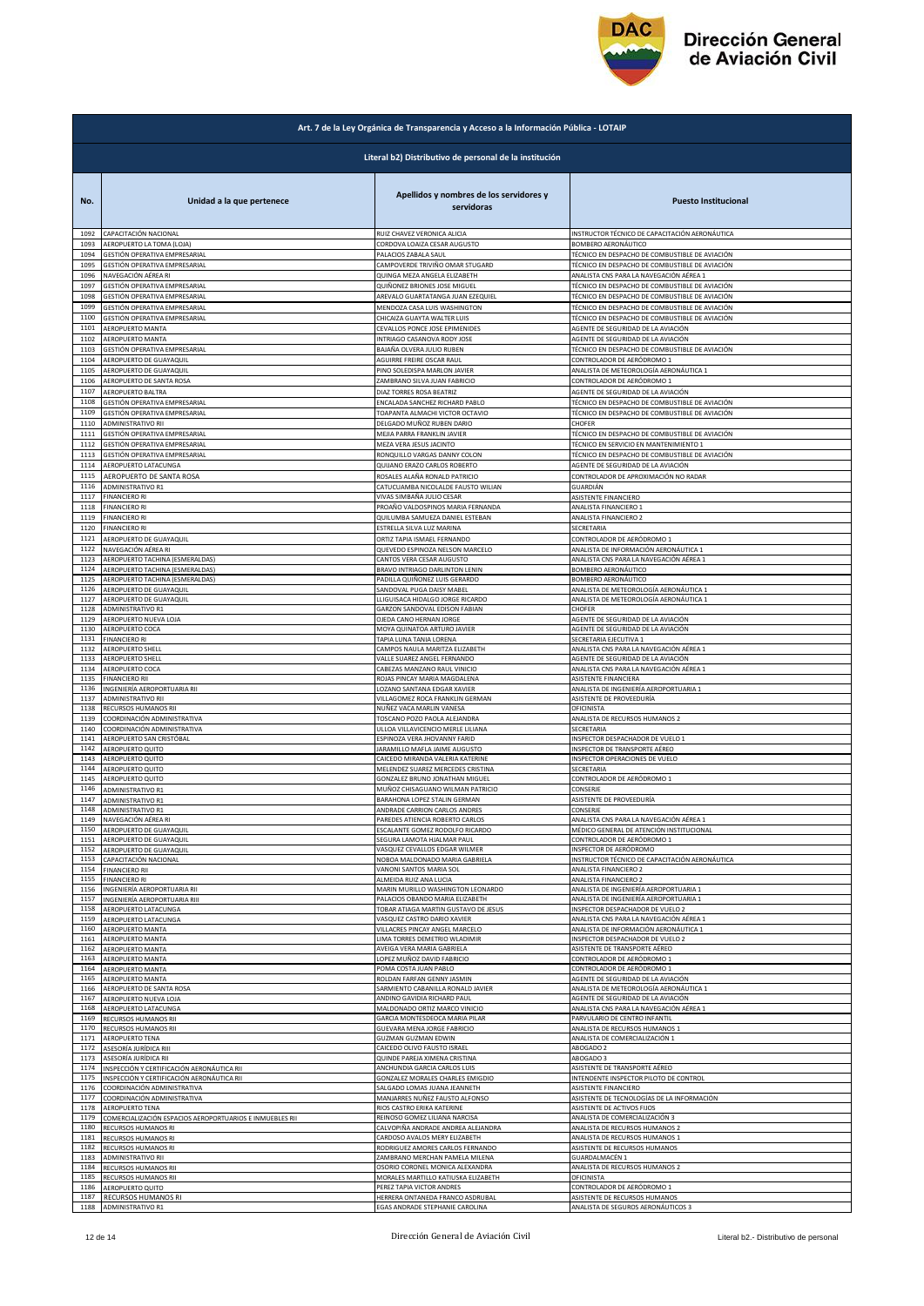

|              | Art. 7 de la Ley Orgánica de Transparencia y Acceso a la Información Pública - LOTAIP |                                                               |                                                                                                  |  |
|--------------|---------------------------------------------------------------------------------------|---------------------------------------------------------------|--------------------------------------------------------------------------------------------------|--|
|              | Literal b2) Distributivo de personal de la institución                                |                                                               |                                                                                                  |  |
| No.          | Unidad a la que pertenece                                                             | Apellidos y nombres de los servidores y<br>servidoras         | <b>Puesto Institucional</b>                                                                      |  |
| 1092         | CAPACITACIÓN NACIONAL                                                                 | RUIZ CHAVEZ VERONICA ALICIA                                   | INSTRUCTOR TÉCNICO DE CAPACITACIÓN AERONÁUTICA                                                   |  |
| 1093         | AEROPUERTO LA TOMA (LOJA)                                                             | CORDOVA LOAIZA CESAR AUGUSTO                                  | BOMBERO AERONÁUTICO                                                                              |  |
| 1094         | GESTIÓN OPERATIVA EMPRESARIAL                                                         | PALACIOS ZABALA SAUL                                          | TÉCNICO EN DESPACHO DE COMBUSTIBLE DE AVIACIÓN                                                   |  |
| 1095         | GESTIÓN OPERATIVA EMPRESARIAL                                                         | CAMPOVERDE TRIVIÑO OMAR STUGARD                               | TÉCNICO EN DESPACHO DE COMBUSTIBLE DE AVIACIÓN                                                   |  |
| 1096         | NAVEGACIÓN AÉREA RI                                                                   | QUINGA MEZA ANGELA ELIZABETH                                  | ANALISTA CNS PARA LA NAVEGACIÓN AÉREA 1                                                          |  |
| 1097         | GESTIÓN OPERATIVA EMPRESARIAL                                                         | QUIÑONEZ BRIONES JOSE MIGUEL                                  | TÉCNICO EN DESPACHO DE COMBUSTIBLE DE AVIACIÓN                                                   |  |
| 1098         | GESTIÓN OPERATIVA EMPRESARIAL                                                         | AREVALO GUARTATANGA JUAN EZEQUIEL                             | TÉCNICO EN DESPACHO DE COMBUSTIBLE DE AVIACIÓN                                                   |  |
| 1099         | GESTIÓN OPERATIVA EMPRESARIAL<br>GESTIÓN OPERATIVA EMPRESARIAL                        | MENDOZA CASA LUIS WASHINGTON                                  | TÉCNICO EN DESPACHO DE COMBUSTIBLE DE AVIACIÓN<br>TÉCNICO EN DESPACHO DE COMBUSTIBLE DE AVIACIÓN |  |
| 1100<br>1101 | AEROPUERTO MANTA                                                                      | CHICAIZA GUAYTA WALTER LUIS<br>CEVALLOS PONCE JOSE EPIMENIDES | AGENTE DE SEGURIDAD DE LA AVIACIÓN                                                               |  |
| 1102         | AEROPUERTO MANTA                                                                      | INTRIAGO CASANOVA RODY JOSE                                   | AGENTE DE SEGURIDAD DE LA AVIACIÓN                                                               |  |
| 1103         | GESTIÓN OPERATIVA EMPRESARIAL                                                         | BAJAÑA OLVERA JULIO RUBEN                                     | TÉCNICO EN DESPACHO DE COMBUSTIBLE DE AVIACIÓN                                                   |  |
| 1104         | AEROPUERTO DE GUAYAQUIL                                                               | AGUIRRE FREIRE OSCAR RAUL                                     | CONTROLADOR DE AERÓDROMO 1                                                                       |  |
| 1105         | AEROPUERTO DE GUAYAQUIL                                                               | PINO SOLEDISPA MARLON JAVIER                                  | ANALISTA DE METEOROLOGÍA AERONÁUTICA 1                                                           |  |
| 1106         | AEROPUERTO DE SANTA ROSA                                                              | ZAMBRANO SILVA JUAN FABRICIO                                  | CONTROLADOR DE AERÓDROMO 1                                                                       |  |
| 1107         | AEROPUERTO BALTRA                                                                     | DIAZ TORRES ROSA BEATRIZ                                      | AGENTE DE SEGURIDAD DE LA AVIACIÓN                                                               |  |
| 1108         | GESTIÓN OPERATIVA EMPRESARIAL                                                         | ENCALADA SANCHEZ RICHARD PABLO                                | TÉCNICO EN DESPACHO DE COMBUSTIBLE DE AVIACIÓN                                                   |  |
| 1109         | GESTIÓN OPERATIVA EMPRESARIAL                                                         | TOAPANTA ALMACHI VICTOR OCTAVIO                               | TÉCNICO EN DESPACHO DE COMBUSTIBLE DE AVIACIÓN                                                   |  |
| 1110         | ADMINISTRATIVO RII                                                                    | DELGADO MUÑOZ RUBEN DARIO                                     | CHOFER                                                                                           |  |
| 1111         | GESTIÓN OPERATIVA EMPRESARIAL                                                         | MEJIA PARRA FRANKLIN JAVIER                                   | TÉCNICO EN DESPACHO DE COMBUSTIBLE DE AVIACIÓN                                                   |  |
| 1112         | GESTIÓN OPERATIVA EMPRESARIAL                                                         | MEZA VERA JESUS JACINTO                                       | TÉCNICO EN SERVICIO EN MANTENIMIENTO 1                                                           |  |
| 1113         | GESTIÓN OPERATIVA EMPRESARIAL                                                         | RONQUILLO VARGAS DANNY COLON                                  | TÉCNICO EN DESPACHO DE COMBUSTIBLE DE AVIACIÓN                                                   |  |
| 1114         | AEROPUERTO LATACUNGA                                                                  | QUIJANO ERAZO CARLOS ROBERTO                                  | AGENTE DE SEGURIDAD DE LA AVIACIÓN                                                               |  |
| 1115         | AEROPUERTO DE SANTA ROSA<br><b>ADMINISTRATIVO R1</b>                                  | ROSALES ALAÑA RONALD PATRICIO                                 | CONTROLADOR DE APROXIMACIÓN NO RADAR                                                             |  |
| 1116         | <b>FINANCIERO RI</b>                                                                  | CATUCUAMBA NICOLALDE FAUSTO WILIAN                            | GUARDIÁN                                                                                         |  |
| 1117         |                                                                                       | VIVAS SIMBAÑA JULIO CESAR                                     | ASISTENTE FINANCIERO                                                                             |  |
| 1118         | FINANCIERO RI                                                                         | PROAÑO VALDOSPINOS MARIA FERNANDA                             | ANALISTA FINANCIERO 1                                                                            |  |
| 1119         | FINANCIERO RI                                                                         | QUILUMBA SAMUEZA DANIEL ESTEBAN                               | ANALISTA FINANCIERO 2                                                                            |  |
| 1120         | FINANCIERO RI                                                                         | ESTRELLA SILVA LUZ MARINA                                     | SECRETARIA                                                                                       |  |
| 1121         | AEROPUERTO DE GUAYAQUIL                                                               | ORTIZ TAPIA ISMAEL FERNANDO                                   | CONTROLADOR DE AERÓDROMO 1                                                                       |  |
| 1122         | NAVEGACIÓN AÉREA RI                                                                   | QUEVEDO ESPINOZA NELSON MARCELO                               | ANALISTA DE INFORMACIÓN AERONÁUTICA 1                                                            |  |
| 1123         | AEROPUERTO TACHINA (ESMERALDAS)                                                       | CANTOS VERA CESAR AUGUSTO                                     | ANALISTA CNS PARA LA NAVEGACIÓN AÉREA 1                                                          |  |
| 1124         | AEROPUERTO TACHINA (ESMERALDAS)                                                       | BRAVO INTRIAGO DARLINTON LENIN                                | BOMBERO AERONÁUTICO                                                                              |  |
| 1125         | AEROPUERTO TACHINA (ESMERALDAS)                                                       | PADILLA QUIÑONEZ LUIS GERARDO                                 | BOMBERO AERONÁUTICO                                                                              |  |
| 1126         | AEROPUERTO DE GUAYAQUIL                                                               | <b>SANDOVAL PUGA DAISY MABEL</b>                              | ANALISTA DE METEOROLOGÍA AERONÁUTICA 1                                                           |  |
| 1127         | AEROPUERTO DE GUAYAQUIL                                                               | LLIGUISACA HIDALGO JORGE RICARDO                              | ANALISTA DE METEOROLOGÍA AERONÁUTICA 1                                                           |  |
| 1128         | ADMINISTRATIVO R1                                                                     | GARZON SANDOVAL EDISON FABIAN                                 | CHOFER                                                                                           |  |
| 1129         | AEROPUERTO NUEVA LOJA                                                                 | OJEDA CANO HERNAN JORGE                                       | AGENTE DE SEGURIDAD DE LA AVIACIÓN                                                               |  |
| 1130         | AEROPUERTO COCA                                                                       | MOYA QUINATOA ARTURO JAVIER                                   | AGENTE DE SEGURIDAD DE LA AVIACIÓN                                                               |  |
| 1131         | FINANCIERO RI                                                                         | TAPIA LUNA TANIA LORENA                                       | SECRETARIA EJECUTIVA 1                                                                           |  |
| 1132         | <b>AEROPUERTO SHELL</b>                                                               | CAMPOS NAULA MARITZA ELIZABETH                                | ANALISTA CNS PARA LA NAVEGACIÓN AÉREA 1                                                          |  |
| 1133         | <b>AEROPUERTO SHELL</b>                                                               | VALLE SUAREZ ANGEL FERNANDO                                   | AGENTE DE SEGURIDAD DE LA AVIACIÓN                                                               |  |
| 1134         | AEROPUERTO COCA                                                                       | CABEZAS MANZANO RAUL VINICIO                                  | ANALISTA CNS PARA LA NAVEGACIÓN AÉREA 1                                                          |  |
| 1135         | <b>FINANCIERO RII</b>                                                                 | ROJAS PINCAY MARIA MAGDALENA                                  | ASISTENTE FINANCIERA                                                                             |  |
| 1136         | INGENIERÍA AEROPORTUARIA RII                                                          | OZANO SANTANA EDGAR XAVIER                                    | ANALISTA DE INGENIERÍA AEROPORTUARIA 1                                                           |  |
| 1137         | ADMINISTRATIVO RII                                                                    | VILLAGOMEZ ROCA FRANKLIN GERMAN                               | ASISTENTE DE PROVEEDURÍA                                                                         |  |
| 1138         | RECURSOS HUMANOS RII                                                                  | NUÑEZ VACA MARLIN VANESA                                      | OFICINISTA                                                                                       |  |
| 1139         | COORDINACIÓN ADMINISTRATIVA                                                           | TOSCANO POZO PAOLA ALEJANDRA                                  | ANALISTA DE RECURSOS HUMANOS 2                                                                   |  |
| 1140         | COORDINACIÓN ADMINISTRATIVA                                                           | ULLOA VILLAVICENCIO MERLE LILIANA                             | SECRETARIA                                                                                       |  |
| 1141         | AEROPUERTO SAN CRISTÓBAL                                                              | ESPINOZA VERA JHOVANNY FARID                                  | INSPECTOR DESPACHADOR DE VUELO 1                                                                 |  |
| 1142         | <b>AEROPUERTO QUITO</b>                                                               | JARAMILLO MAFLA JAIME AUGUSTO                                 | INSPECTOR DE TRANSPORTE AÉREO                                                                    |  |
| 1143         | AEROPUERTO QUITO                                                                      | CAICEDO MIRANDA VALERIA KATERINE                              | INSPECTOR OPERACIONES DE VUELO                                                                   |  |
| 1144         | AEROPUERTO QUITO                                                                      | MELENDEZ SUAREZ MERCEDES CRISTINA                             | SECRETARIA                                                                                       |  |
| 1145         | AEROPUERTO QUITO                                                                      | GONZALEZ BRUNO JONATHAN MIGUEL                                | CONTROLADOR DE AERÓDROMO 1                                                                       |  |
| 1146         | ADMINISTRATIVO R1                                                                     | MUÑOZ CHISAGUANO WILMAN PATRICIO                              | CONSERJE                                                                                         |  |
| 1147         | ADMINISTRATIVO R1                                                                     | BARAHONA LOPEZ STALIN GERMAN                                  | ASISTENTE DE PROVEEDURÍA                                                                         |  |
| 1148         |                                                                                       | ANDRADE CARRION CARLOS ANDRES                                 | CONSERJE                                                                                         |  |
|              | ADMINISTRATIVO R1<br>1149 NAVEGACIÓN AÉREA RI                                         | PAREDES ATIENCIA ROBERTO CARLOS                               | ANALISTA CNS PARA LA NAVEGACIÓN AÉREA 1                                                          |  |
| 1151         | 1150 AEROPUERTO DE GUAYAQUIL                                                          | ESCALANTE GOMEZ RODOLFO RICARDO                               | MÉDICO GENERAL DE ATENCIÓN INSTITUCIONAL                                                         |  |
|              | AEROPUERTO DE GUAYAQUIL                                                               | SEGURA LAMOTA HJALMAR PAUL                                    | CONTROLADOR DE AERÓDROMO 1                                                                       |  |
| 1152         | AEROPUERTO DE GUAYAQUIL                                                               | VASQUEZ CEVALLOS EDGAR WILMER                                 | INSPECTOR DE AERÓDROMO                                                                           |  |
| 1153         | CAPACITACIÓN NACIONAL                                                                 | NOBOA MALDONADO MARIA GABRIELA                                | INSTRUCTOR TÉCNICO DE CAPACITACIÓN AERONÁUTICA                                                   |  |
| 1154         | <b>FINANCIERO RII</b>                                                                 | VANONI SANTOS MARIA SOL<br>ALMEIDA RUIZ ANA LUCIA             | ANALISTA FINANCIERO 2<br>ANALISTA FINANCIERO 2                                                   |  |
| 1155<br>1156 | FINANCIERO RI<br>INGENIERÍA AEROPORTUARIA RII                                         | MARIN MURILLO WASHINGTON LEONARDO                             | ANALISTA DE INGENIERÍA AEROPORTUARIA 1                                                           |  |
| 1157         | INGENIERÍA AEROPORTUARIA RIII                                                         | PALACIOS OBANDO MARIA ELIZABETH                               | ANALISTA DE INGENIERÍA AEROPORTUARIA 1                                                           |  |
| 1158         | AEROPUERTO LATACUNGA                                                                  | TOBAR ATIAGA MARTIN GUSTAVO DE JESUS                          | INSPECTOR DESPACHADOR DE VUELO 2                                                                 |  |
| 1159         | AEROPUERTO LATACUNGA                                                                  | VASQUEZ CASTRO DARIO XAVIER                                   | ANALISTA CNS PARA LA NAVEGACIÓN AÉREA 1                                                          |  |
| 1160         | <b>AEROPUERTO MANTA</b>                                                               | VILLACRES PINCAY ANGEL MARCELO                                | ANALISTA DE INFORMACIÓN AERONÁUTICA 1                                                            |  |
| 1161         | AEROPUERTO MANTA                                                                      | LIMA TORRES DEMETRIO WLADIMIR                                 | INSPECTOR DESPACHADOR DE VUELO 2                                                                 |  |
| 1162         | AEROPUERTO MANTA                                                                      | AVEIGA VERA MARIA GABRIELA                                    | ASISTENTE DE TRANSPORTE AÉREO                                                                    |  |
| 1163         | AEROPUERTO MANTA                                                                      | LOPEZ MUÑOZ DAVID FABRICIO                                    | CONTROLADOR DE AERÓDROMO 1                                                                       |  |
| 1164         | AEROPUERTO MANTA                                                                      | POMA COSTA JUAN PABLO                                         | CONTROLADOR DE AERÓDROMO 1                                                                       |  |
| 1165         | AEROPUERTO MANTA                                                                      | ROLDAN FARFAN GENNY JASMIN                                    | AGENTE DE SEGURIDAD DE LA AVIACIÓN                                                               |  |
| 1166         | AEROPUERTO DE SANTA ROSA                                                              | SARMIENTO CABANILLA RONALD JAVIER                             | ANALISTA DE METEOROLOGÍA AERONÁUTICA 1                                                           |  |
| 1167         | AEROPUERTO NUEVA LOJA                                                                 | ANDINO GAVIDIA RICHARD PAUL                                   | AGENTE DE SEGURIDAD DE LA AVIACIÓN                                                               |  |
| 1168         | AEROPUERTO LATACUNGA                                                                  | MALDONADO ORTIZ MARCO VINICIO                                 | ANALISTA CNS PARA LA NAVEGACIÓN AÉREA 1                                                          |  |
| 1169         | RECURSOS HUMANOS RII                                                                  | GARCIA MONTESDEOCA MARIA PILAR                                | PARVULARIO DE CENTRO INFANTIL                                                                    |  |
| 1170         | RECURSOS HUMANOS RII                                                                  | GUEVARA MENA JORGE FABRICIO                                   | ANALISTA DE RECURSOS HUMANOS 1                                                                   |  |
| 1171         | AEROPUERTO TENA                                                                       | <b>GUZMAN GUZMAN EDWIN</b>                                    | ANALISTA DE COMERCIALIZACIÓN 1                                                                   |  |
| 1172         | ASESORÍA JURÍDICA RIII                                                                | CAICEDO OLIVO FAUSTO ISRAEL                                   | ABOGADO 2                                                                                        |  |
| 1173         | ASESORÍA JURÍDICA RII                                                                 | QUINDE PAREJA XIMENA CRISTINA                                 | ABOGADO 3                                                                                        |  |
| 1174         | INSPECCIÓN Y CERTIFICACIÓN AERONÁUTICA RII                                            | ANCHUNDIA GARCIA CARLOS LUIS                                  | ASISTENTE DE TRANSPORTE AÉREO                                                                    |  |
| 1175         | INSPECCIÓN Y CERTIFICACIÓN AERONÁUTICA RII                                            | GONZALEZ MORALES CHARLES EMIGDIO                              | INTENDENTE INSPECTOR PILOTO DE CONTROL                                                           |  |
| 1176         | COORDINACIÓN ADMINISTRATIVA                                                           | SALGADO LOMAS JUANA JEANNETH                                  | ASISTENTE FINANCIERO                                                                             |  |
| 1177         | COORDINACIÓN ADMINISTRATIVA                                                           | MANJARRES NUÑEZ FAUSTO ALFONSO                                | ASISTENTE DE TECNOLOGÍAS DE LA INFORMACIÓN                                                       |  |
| 1178         | <b>AEROPUERTO TENA</b>                                                                | RIOS CASTRO ERIKA KATERINE                                    | ASISTENTE DE ACTIVOS FIJOS                                                                       |  |
| 1179         | COMERCIALIZACIÓN ESPACIOS AEROPORTUARIOS E INMUEBLES RII                              | REINOSO GOMEZ LILIANA NARCISA                                 | ANALISTA DE COMERCIALIZACIÓN 3                                                                   |  |
| 1180         | RECURSOS HUMANOS RI                                                                   | CALVOPIÑA ANDRADE ANDREA ALEJANDRA                            | ANALISTA DE RECURSOS HUMANOS 2                                                                   |  |
| 1181         | RECURSOS HUMANOS RI                                                                   | CARDOSO AVALOS MERY ELIZABETH                                 | ANALISTA DE RECURSOS HUMANOS 1                                                                   |  |
| 1182         | RECURSOS HUMANOS RI                                                                   | RODRIGUEZ AMORES CARLOS FERNANDO                              | ASISTENTE DE RECURSOS HUMANOS                                                                    |  |
| 1183         | ADMINISTRATIVO RII                                                                    | AMBRANO MERCHAN PAMELA MILENA                                 | GUARDALMACÉN 1                                                                                   |  |
| 1184         | RECURSOS HUMANOS RII                                                                  | OSORIO CORONEL MONICA ALEXANDRA                               | ANALISTA DE RECURSOS HUMANOS 2                                                                   |  |
| 1185         | RECURSOS HUMANOS RII                                                                  | MORALES MARTILLO KATIUSKA ELIZABETH                           | OFICINISTA                                                                                       |  |
| 1186         | AEROPUERTO QUITO                                                                      | PEREZ TAPIA VICTOR ANDRES                                     | CONTROLADOR DE AERÓDROMO 1                                                                       |  |
| 1187         | RECURSOS HUMANOS RI                                                                   | HERRERA ONTANEDA FRANCO ASDRUBAL                              | ASISTENTE DE RECURSOS HUMANOS                                                                    |  |
|              | 1188 ADMINISTRATIVO R1                                                                | EGAS ANDRADE STEPHANIE CAROLINA                               | ANALISTA DE SEGUROS AERONÁUTICOS 3                                                               |  |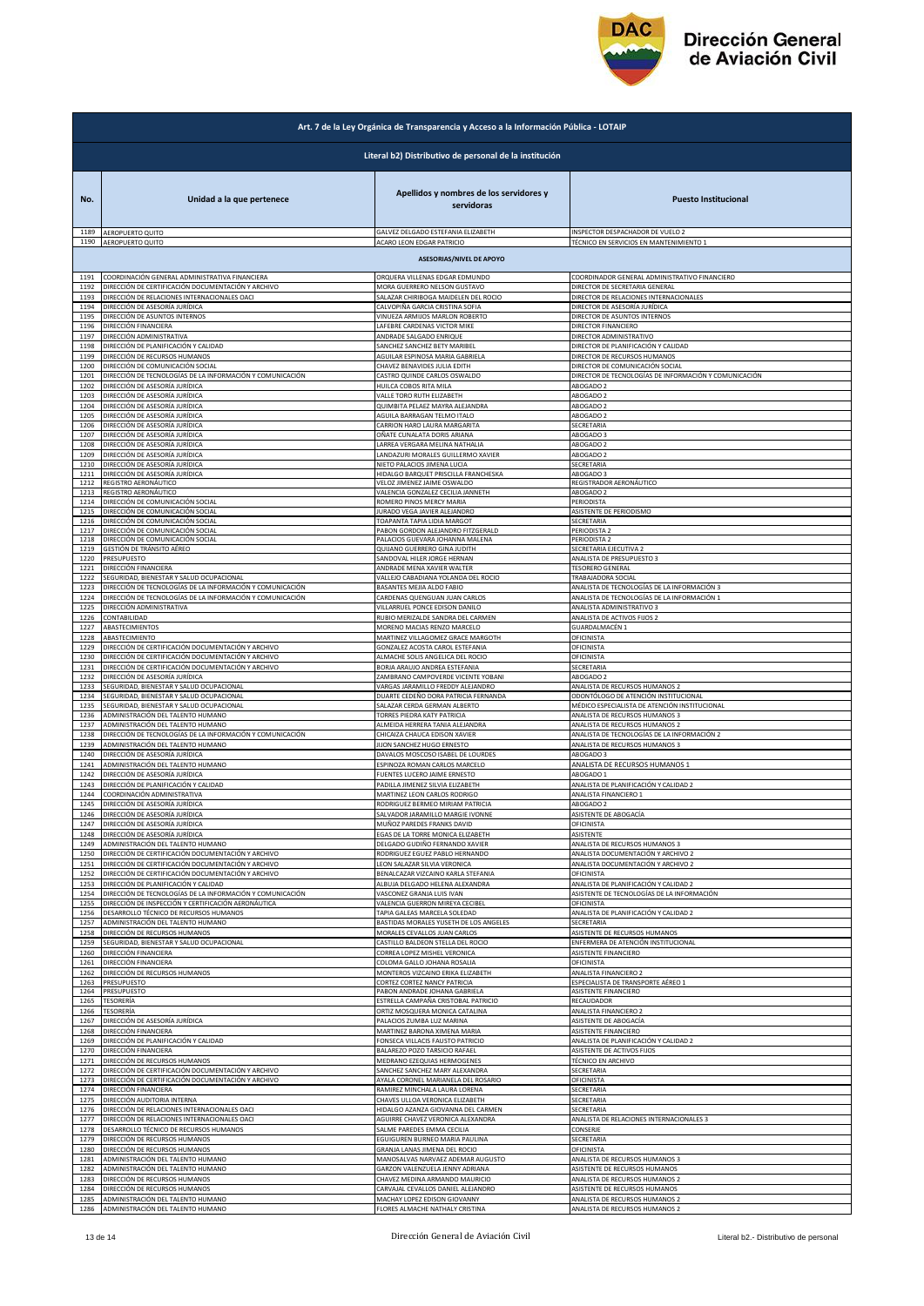

| Art. 7 de la Ley Orgánica de Transparencia y Acceso a la Información Pública - LOTAIP |                                                                                                                                     |                                                                                                     |                                                                                                                         |  |
|---------------------------------------------------------------------------------------|-------------------------------------------------------------------------------------------------------------------------------------|-----------------------------------------------------------------------------------------------------|-------------------------------------------------------------------------------------------------------------------------|--|
| Literal b2) Distributivo de personal de la institución                                |                                                                                                                                     |                                                                                                     |                                                                                                                         |  |
| No.                                                                                   | Unidad a la que pertenece                                                                                                           | Apellidos y nombres de los servidores y<br>servidoras                                               | <b>Puesto Institucional</b>                                                                                             |  |
| 1189                                                                                  | AEROPUERTO QUITO                                                                                                                    | GALVEZ DELGADO ESTEFANIA ELIZABETH                                                                  | INSPECTOR DESPACHADOR DE VUELO 2                                                                                        |  |
| 1190                                                                                  | AEROPUERTO QUITO                                                                                                                    | ACARO LEON EDGAR PATRICIO                                                                           | TÉCNICO EN SERVICIOS EN MANTENIMIENTO 1                                                                                 |  |
| <b>ASESORIAS/NIVEL DE APOYO</b>                                                       |                                                                                                                                     |                                                                                                     |                                                                                                                         |  |
| 1191                                                                                  | COORDINACIÓN GENERAL ADMINISTRATIVA FINANCIERA                                                                                      | ORQUERA VILLENAS EDGAR EDMUNDO                                                                      | COORDINADOR GENERAL ADMINISTRATIVO FINANCIERO                                                                           |  |
| 1192                                                                                  | DIRECCIÓN DE CERTIFICACIÓN DOCUMENTACIÓN Y ARCHIVO                                                                                  | MORA GUERRERO NELSON GUSTAVO                                                                        | DIRECTOR DE SECRETARIA GENERAL                                                                                          |  |
| 1193                                                                                  | DIRECCIÓN DE RELACIONES INTERNACIONALES OACI                                                                                        | SALAZAR CHIRIBOGA MAIDELEN DEL ROCIO                                                                | DIRECTOR DE RELACIONES INTERNACIONALES                                                                                  |  |
| 1194                                                                                  | DIRECCIÓN DE ASESORÍA JURÍDICA                                                                                                      | CALVOPIÑA GARCIA CRISTINA SOFIA                                                                     | DIRECTOR DE ASESORÍA JURÍDICA                                                                                           |  |
| 1195                                                                                  | DIRECCIÓN DE ASUNTOS INTERNOS                                                                                                       | VINUEZA ARMIJOS MARLON ROBERTO                                                                      | DIRECTOR DE ASUNTOS INTERNOS                                                                                            |  |
| 1196                                                                                  | DIRECCIÓN FINANCIERA                                                                                                                | LAFEBRE CARDENAS VICTOR MIKE                                                                        | DIRECTOR FINANCIERO                                                                                                     |  |
| 1197                                                                                  | DIRECCIÓN ADMINISTRATIVA                                                                                                            | ANDRADE SALGADO ENRIQUE                                                                             | DIRECTOR ADMINISTRATIVO                                                                                                 |  |
| 1198                                                                                  | DIRECCIÓN DE PLANIFICACIÓN Y CALIDAD                                                                                                | SANCHEZ SANCHEZ BETY MARIBE                                                                         | DIRECTOR DE PLANIFICACIÓN Y CALIDAD                                                                                     |  |
| 1199                                                                                  | DIRECCIÓN DE RECURSOS HUMANOS                                                                                                       | AGUILAR ESPINOSA MARIA GABRIELA                                                                     | DIRECTOR DE RECURSOS HUMANOS                                                                                            |  |
| 1200                                                                                  | DIRECCIÓN DE COMUNICACIÓN SOCIAL                                                                                                    | CHAVEZ BENAVIDES JULIA EDITH                                                                        | DIRECTOR DE COMUNICACIÓN SOCIAL                                                                                         |  |
| 1201                                                                                  | DIRECCIÓN DE TECNOLOGÍAS DE LA INFORMACIÓN Y COMUNICACIÓN                                                                           | CASTRO QUINDE CARLOS OSWALDO                                                                        | DIRECTOR DE TECNOLOGÍAS DE INFORMACIÓN Y COMUNICACIÓN                                                                   |  |
| 1202                                                                                  | DIRECCIÓN DE ASESORÍA JURÍDICA                                                                                                      | HUILCA COBOS RITA MILA                                                                              | ABOGADO 2                                                                                                               |  |
| 1203                                                                                  | DIRECCIÓN DE ASESORÍA JURÍDICA                                                                                                      | VALLE TORO RUTH ELIZABETH                                                                           | ABOGADO 2                                                                                                               |  |
| 1204                                                                                  | DIRECCIÓN DE ASESORÍA JURÍDICA                                                                                                      | QUIMBITA PELAEZ MAYRA ALEJANDRA                                                                     | ABOGADO 2                                                                                                               |  |
| 1205                                                                                  | DIRECCIÓN DE ASESORÍA JURÍDICA                                                                                                      | AGUILA BARRAGAN TELMO ITALO                                                                         | ABOGADO 2                                                                                                               |  |
| 1206                                                                                  | DIRECCIÓN DE ASESORÍA JURÍDICA                                                                                                      | CARRION HARO LAURA MARGARITA                                                                        | SECRETARIA                                                                                                              |  |
| 1207                                                                                  | DIRECCIÓN DE ASESORÍA JURÍDICA                                                                                                      | OÑATE CUNALATA DORIS ARIANA                                                                         | ABOGADO 3                                                                                                               |  |
| 1208                                                                                  | DIRECCIÓN DE ASESORÍA JURÍDICA                                                                                                      | LARREA VERGARA MELINA NATHALIA                                                                      | ABOGADO 2                                                                                                               |  |
| 1209                                                                                  | DIRECCIÓN DE ASESORÍA JURÍDICA                                                                                                      | LANDAZURI MORALES GUILLERMO XAVIER                                                                  | ABOGADO 2                                                                                                               |  |
| 1210                                                                                  | DIRECCIÓN DE ASESORÍA JURÍDICA                                                                                                      | NIETO PALACIOS JIMENA LUCIA                                                                         | SECRETARIA                                                                                                              |  |
| 1211                                                                                  | DIRECCIÓN DE ASESORÍA JURÍDICA                                                                                                      | HIDALGO BARQUET PRISCILLA FRANCHESKA                                                                | ABOGADO 3                                                                                                               |  |
| 1212                                                                                  | REGISTRO AERONÁUTICO                                                                                                                | VELOZ JIMENEZ JAIME OSWALDO                                                                         | REGISTRADOR AERONÁUTICO                                                                                                 |  |
| 1213                                                                                  | REGISTRO AERONÁUTICO                                                                                                                | VALENCIA GONZALEZ CECILIA JANNETH                                                                   | ABOGADO 2                                                                                                               |  |
| 1214                                                                                  | DIRECCIÓN DE COMUNICACIÓN SOCIAL                                                                                                    | ROMERO PINOS MERCY MARIA                                                                            | PERIODISTA                                                                                                              |  |
| 1215                                                                                  | DIRECCIÓN DE COMUNICACIÓN SOCIAL                                                                                                    | JURADO VEGA JAVIER ALEJANDRO                                                                        | ASISTENTE DE PERIODISMO                                                                                                 |  |
| 1216                                                                                  | DIRECCIÓN DE COMUNICACIÓN SOCIAL                                                                                                    | TOAPANTA TAPIA LIDIA MARGOT                                                                         | SECRETARIA                                                                                                              |  |
| 1217                                                                                  | DIRECCIÓN DE COMUNICACIÓN SOCIAL                                                                                                    | PABON GORDON ALEJANDRO FITZGERALD                                                                   | PERIODISTA 2                                                                                                            |  |
| 1218                                                                                  | DIRECCIÓN DE COMUNICACIÓN SOCIAL                                                                                                    | PALACIOS GUEVARA JOHANNA MALENA                                                                     | PERIODISTA 2                                                                                                            |  |
| 1219                                                                                  | GESTIÓN DE TRÁNSITO AÉREO                                                                                                           | QUIJANO GUERRERO GINA JUDITH                                                                        | SECRETARIA EJECUTIVA 2                                                                                                  |  |
| 1220                                                                                  | PRESUPUESTO                                                                                                                         | SANDOVAL HILER JORGE HERNAN                                                                         | ANALISTA DE PRESUPUESTO 3                                                                                               |  |
| 1221                                                                                  | DIRECCIÓN FINANCIERA                                                                                                                | ANDRADE MENA XAVIER WALTER                                                                          | <b>TESORERO GENERAL</b>                                                                                                 |  |
| 1222                                                                                  | SEGURIDAD, BIENESTAR Y SALUD OCUPACIONAL                                                                                            | VALLEJO CABADIANA YOLANDA DEL ROCIO                                                                 | TRABAJADORA SOCIAL                                                                                                      |  |
| 1223                                                                                  | DIRECCIÓN DE TECNOLOGÍAS DE LA INFORMACIÓN Y COMUNICACIÓN                                                                           | BASANTES MEJIA ALDO FABIO                                                                           | ANALISTA DE TECNOLOGÍAS DE LA INFORMACIÓN 3                                                                             |  |
| 1224                                                                                  | DIRECCIÓN DE TECNOLOGÍAS DE LA INFORMACIÓN Y COMUNICACIÓN                                                                           | CARDENAS QUENGUAN JUAN CARLOS                                                                       | ANALISTA DE TECNOLOGÍAS DE LA INFORMACIÓN 1                                                                             |  |
| 1225                                                                                  | DIRECCIÓN ADMINISTRATIVA                                                                                                            | VILLARRUEL PONCE EDISON DANILO                                                                      | ANALISTA ADMINISTRATIVO 3                                                                                               |  |
| 1226                                                                                  | CONTABILIDAD                                                                                                                        | RUBIO MERIZALDE SANDRA DEL CARMEN                                                                   | ANALISTA DE ACTIVOS FIJOS 2                                                                                             |  |
| 1227                                                                                  | ABASTECIMIENTOS                                                                                                                     | MORENO MACIAS RENZO MARCELO                                                                         | GUARDALMACÉN 1                                                                                                          |  |
| 1228                                                                                  | ABASTECIMIENTO                                                                                                                      | MARTINEZ VILLAGOMEZ GRACE MARGOTH                                                                   | OFICINISTA                                                                                                              |  |
| 1229                                                                                  | DIRECCIÓN DE CERTIFICACIÓN DOCUMENTACIÓN Y ARCHIVO                                                                                  | GONZALEZ ACOSTA CAROL ESTEFANIA                                                                     | OFICINISTA                                                                                                              |  |
| 1230                                                                                  | DIRECCIÓN DE CERTIFICACIÓN DOCUMENTACIÓN Y ARCHIVO                                                                                  | ALMACHE SOLIS ANGELICA DEL ROCIO                                                                    | OFICINISTA                                                                                                              |  |
| 1231                                                                                  | DIRECCIÓN DE CERTIFICACIÓN DOCUMENTACIÓN Y ARCHIVO                                                                                  | BORJA ARAUJO ANDREA ESTEFANIA                                                                       | SECRETARIA                                                                                                              |  |
| 1232                                                                                  | DIRECCIÓN DE ASESORÍA JURÍDICA                                                                                                      | ZAMBRANO CAMPOVERDE VICENTE YOBANI                                                                  | ABOGADO 2                                                                                                               |  |
| 1233                                                                                  | SEGURIDAD, BIENESTAR Y SALUD OCUPACIONAL                                                                                            | VARGAS JARAMILLO FREDDY ALEJANDRO                                                                   | ANALISTA DE RECURSOS HUMANOS 2                                                                                          |  |
| 1234<br>1235                                                                          | SEGURIDAD, BIENESTAR Y SALUD OCUPACIONAL<br>SEGURIDAD, BIENESTAR Y SALUD OCUPACIONAL                                                | DUARTE CEDEÑO DORA PATRICIA FERNANDA<br>SALAZAR CERDA GERMAN ALBERTO<br>TORRES PIEDRA KATY PATRICIA | ODONTÓLOGO DE ATENCIÓN INSTITUCIONAL<br>MÉDICO ESPECIALISTA DE ATENCIÓN INSTITUCIONAL<br>ANALISTA DE RECURSOS HUMANOS 3 |  |
| 1236<br>1237<br>1238                                                                  | ADMINISTRACIÓN DEL TALENTO HUMANO<br>ADMINISTRACIÓN DEL TALENTO HUMANO<br>DIRECCIÓN DE TECNOLOGÍAS DE LA INFORMACIÓN Y COMUNICACIÓN | ALMEIDA HERRERA TANIA ALEJANDRA<br>CHICAIZA CHAUCA EDISON XAVIER                                    | ANALISTA DE RECURSOS HUMANOS 2<br>ANALISTA DE TECNOLOGÍAS DE LA INFORMACIÓN 2                                           |  |
| 1239                                                                                  | ADMINISTRACIÓN DEL TALENTO HUMANO                                                                                                   | JIJON SANCHEZ HUGO ERNESTO                                                                          | ANALISTA DE RECURSOS HUMANOS 3                                                                                          |  |
| 1240                                                                                  | DIRECCIÓN DE ASESORÍA JURÍDICA                                                                                                      | DAVALOS MOSCOSO ISABEL DE LOURDES                                                                   | ABOGADO 3                                                                                                               |  |
| 1241                                                                                  | ADMINISTRACIÓN DEL TALENTO HUMANO                                                                                                   | ESPINOZA ROMAN CARLOS MARCELO                                                                       | ANALISTA DE RECURSOS HUMANOS 1                                                                                          |  |
| 1242                                                                                  | DIRECCIÓN DE ASESORÍA JURÍDICA                                                                                                      | FUENTES LUCERO JAIME ERNESTO                                                                        | ABOGADO 1                                                                                                               |  |
| 1243                                                                                  | DIRECCIÓN DE PLANIFICACIÓN Y CALIDAD                                                                                                | PADILLA JIMENEZ SILVIA ELIZABETH                                                                    | ANALISTA DE PLANIFICACIÓN Y CALIDAD 2                                                                                   |  |
| 1244                                                                                  | COORDINACIÓN ADMINISTRATIVA                                                                                                         | MARTINEZ LEON CARLOS RODRIGO                                                                        | ANALISTA FINANCIERO 1                                                                                                   |  |
| 1245                                                                                  | DIRECCIÓN DE ASESORÍA JURÍDICA                                                                                                      | RODRIGUEZ BERMEO MIRIAM PATRICIA                                                                    | ABOGADO 2                                                                                                               |  |
| 1246                                                                                  | DIRECCIÓN DE ASESORÍA JURÍDICA                                                                                                      | SALVADOR JARAMILLO MARGIE IVONNE                                                                    | ASISTENTE DE ABOGACÍA                                                                                                   |  |
| 1247                                                                                  | DIRECCIÓN DE ASESORÍA JURÍDICA                                                                                                      | MUÑOZ PAREDES FRANKS DAVID                                                                          | OFICINISTA                                                                                                              |  |
| 1248                                                                                  | DIRECCIÓN DE ASESORÍA JURÍDICA                                                                                                      | EGAS DE LA TORRE MONICA ELIZABETH                                                                   | ASISTENTE                                                                                                               |  |
| 1249                                                                                  | ADMINISTRACIÓN DEL TALENTO HUMANO                                                                                                   | DELGADO GUDIÑO FERNANDO XAVIER                                                                      | ANALISTA DE RECURSOS HUMANOS 3                                                                                          |  |
| 1250                                                                                  | DIRECCIÓN DE CERTIFICACIÓN DOCUMENTACIÓN Y ARCHIVO                                                                                  | RODRIGUEZ EGUEZ PABLO HERNANDO                                                                      | ANALISTA DOCUMENTACIÓN Y ARCHIVO 2                                                                                      |  |
| 1251                                                                                  | DIRECCIÓN DE CERTIFICACIÓN DOCUMENTACIÓN Y ARCHIVO                                                                                  | LEON SALAZAR SILVIA VERONICA                                                                        | ANALISTA DOCUMENTACIÓN Y ARCHIVO 2                                                                                      |  |
| 1252                                                                                  | DIRECCIÓN DE CERTIFICACIÓN DOCUMENTACIÓN Y ARCHIVO                                                                                  | BENALCAZAR VIZCAINO KARLA STEFANIA                                                                  | <b>OFICINISTA</b>                                                                                                       |  |
| 1253                                                                                  | DIRECCIÓN DE PLANIFICACIÓN Y CALIDAD                                                                                                | ALBUJA DELGADO HELENA ALEXANDRA                                                                     | ANALISTA DE PLANIFICACIÓN Y CALIDAD 2                                                                                   |  |
| 1254                                                                                  | DIRECCIÓN DE TECNOLOGÍAS DE LA INFORMACIÓN Y COMUNICACIÓN                                                                           | VASCONEZ GRANJA LUIS IVAN                                                                           | ASISTENTE DE TECNOLOGÍAS DE LA INFORMACIÓN                                                                              |  |
| 1255                                                                                  | DIRECCIÓN DE INSPECCIÓN Y CERTIFICACIÓN AERONÁUTICA                                                                                 | VALENCIA GUERRON MIREYA CECIBEL                                                                     | OFICINISTA                                                                                                              |  |
| 1256                                                                                  | DESARROLLO TÉCNICO DE RECURSOS HUMANOS                                                                                              | TAPIA GALEAS MARCELA SOLEDAD                                                                        | ANALISTA DE PLANIFICACIÓN Y CALIDAD 2                                                                                   |  |
| 1257                                                                                  | ADMINISTRACIÓN DEL TALENTO HUMANO                                                                                                   | BASTIDAS MORALES YUSETH DE LOS ANGELES                                                              | SECRETARIA                                                                                                              |  |
| 1258                                                                                  | DIRECCIÓN DE RECURSOS HUMANOS                                                                                                       | MORALES CEVALLOS JUAN CARLOS                                                                        | ASISTENTE DE RECURSOS HUMANOS                                                                                           |  |
| 1259                                                                                  | SEGURIDAD, BIENESTAR Y SALUD OCUPACIONAL                                                                                            | CASTILLO BALDEON STELLA DEL ROCIO                                                                   | ENFERMERA DE ATENCIÓN INSTITUCIONAL                                                                                     |  |
| 1260                                                                                  | DIRECCIÓN FINANCIERA                                                                                                                | CORREA LOPEZ MISHEL VERONICA                                                                        | <b>ASISTENTE FINANCIERO</b>                                                                                             |  |
| 1261                                                                                  | DIRECCIÓN FINANCIERA                                                                                                                | COLOMA GALLO JOHANA ROSALIA                                                                         | <b>OFICINISTA</b>                                                                                                       |  |
| 1262                                                                                  | DIRECCIÓN DE RECURSOS HUMANOS                                                                                                       | MONTEROS VIZCAINO ERIKA ELIZABETH                                                                   | <b>ANALISTA FINANCIERO 2</b>                                                                                            |  |
| 1263                                                                                  | PRESUPUESTO                                                                                                                         | CORTEZ CORTEZ NANCY PATRICIA                                                                        | ESPECIALISTA DE TRANSPORTE AÉREO 1                                                                                      |  |
| 1264                                                                                  | PRESUPUESTO                                                                                                                         | PABON ANDRADE JOHANA GABRIELA                                                                       | ASISTENTE FINANCIERO                                                                                                    |  |
| 1265                                                                                  | TESORERÍA                                                                                                                           | ESTRELLA CAMPAÑA CRISTOBAL PATRICIO                                                                 | RECAUDADOR                                                                                                              |  |
| 1266                                                                                  | <b>TESORERÍA</b>                                                                                                                    | ORTIZ MOSQUERA MONICA CATALINA                                                                      | ANALISTA FINANCIERO 2                                                                                                   |  |
| 1267                                                                                  | DIRECCIÓN DE ASESORÍA JURÍDICA                                                                                                      | PALACIOS ZUMBA LUZ MARINA                                                                           | ASISTENTE DE ABOGACÍA                                                                                                   |  |
| 1268                                                                                  | DIRECCIÓN FINANCIERA                                                                                                                | MARTINEZ BARONA XIMENA MARIA                                                                        | ASISTENTE FINANCIERO                                                                                                    |  |
| 1269<br>1270                                                                          | DIRECCIÓN DE PLANIFICACIÓN Y CALIDAD<br>DIRECCIÓN FINANCIERA<br>DIRECCIÓN DE RECURSOS HUMANOS                                       | FONSECA VILLACIS FAUSTO PATRICIO<br>BALAREZO POZO TARSICIO RAFAEL<br>MEDRANO EZEQUIAS HERMOGENES    | ANALISTA DE PLANIFICACIÓN Y CALIDAD 2<br>ASISTENTE DE ACTIVOS FIJOS<br>TÉCNICO EN ARCHIVO                               |  |
| 1271<br>1272<br>1273                                                                  | DIRECCIÓN DE CERTIFICACIÓN DOCUMENTACIÓN Y ARCHIVO<br>DIRECCIÓN DE CERTIFICACIÓN DOCUMENTACIÓN Y ARCHIVO                            | SANCHEZ SANCHEZ MARY ALEXANDRA<br>AYALA CORONEL MARIANELA DEL ROSARIO                               | SECRETARIA<br>OFICINISTA                                                                                                |  |
| 1274                                                                                  | DIRECCIÓN FINANCIERA                                                                                                                | RAMIREZ MINCHALA LAURA LORENA                                                                       | SECRETARIA                                                                                                              |  |
| 1275                                                                                  | DIRECCIÓN AUDITORIA INTERNA                                                                                                         | CHAVES ULLOA VERONICA ELIZABETH                                                                     | SECRETARIA                                                                                                              |  |
| 1276                                                                                  | DIRECCIÓN DE RELACIONES INTERNACIONALES OACI                                                                                        | HIDALGO AZANZA GIOVANNA DEL CARMEN                                                                  | SECRETARIA                                                                                                              |  |
| 1277                                                                                  | DIRECCIÓN DE RELACIONES INTERNACIONALES OACI                                                                                        | AGUIRRE CHAVEZ VERONICA ALEXANDRA                                                                   | ANALISTA DE RELACIONES INTERNACIONALES 3                                                                                |  |
| 1278                                                                                  | DESARROLLO TÉCNICO DE RECURSOS HUMANOS                                                                                              | SALME PAREDES EMMA CECILIA                                                                          | CONSERJE                                                                                                                |  |
| 1279                                                                                  | DIRECCIÓN DE RECURSOS HUMANOS                                                                                                       | EGUIGUREN BURNEO MARIA PAULINA                                                                      | SECRETARIA                                                                                                              |  |
| 1280                                                                                  | DIRECCIÓN DE RECURSOS HUMANOS                                                                                                       | GRANJA LANAS JIMENA DEL ROCIO                                                                       | OFICINISTA                                                                                                              |  |
| 1281                                                                                  | ADMINISTRACIÓN DEL TALENTO HUMANO                                                                                                   | MANOSALVAS NARVAEZ ADEMAR AUGUSTO                                                                   | ANALISTA DE RECURSOS HUMANOS 3                                                                                          |  |
| 1282                                                                                  | ADMINISTRACIÓN DEL TALENTO HUMANO                                                                                                   | GARZON VALENZUELA JENNY ADRIANA                                                                     | ASISTENTE DE RECURSOS HUMANOS                                                                                           |  |
| 1283                                                                                  | DIRECCIÓN DE RECURSOS HUMANOS                                                                                                       | CHAVEZ MEDINA ARMANDO MAURICIO                                                                      | ANALISTA DE RECURSOS HUMANOS 2                                                                                          |  |
| 1284                                                                                  | DIRECCIÓN DE RECURSOS HUMANOS                                                                                                       | CARVAJAL CEVALLOS DANIEL ALEJANDRO                                                                  | ASISTENTE DE RECURSOS HUMANOS                                                                                           |  |
| 1285                                                                                  | ADMINISTRACIÓN DEL TALENTO HUMANO                                                                                                   | MACHAY LOPEZ EDISON GIOVANNY                                                                        | ANALISTA DE RECURSOS HUMANOS 2                                                                                          |  |
| 1286                                                                                  | ADMINISTRACIÓN DEL TALENTO HUMANO                                                                                                   | FLORES ALMACHE NATHALY CRISTINA                                                                     | ANALISTA DE RECURSOS HUMANOS 2                                                                                          |  |